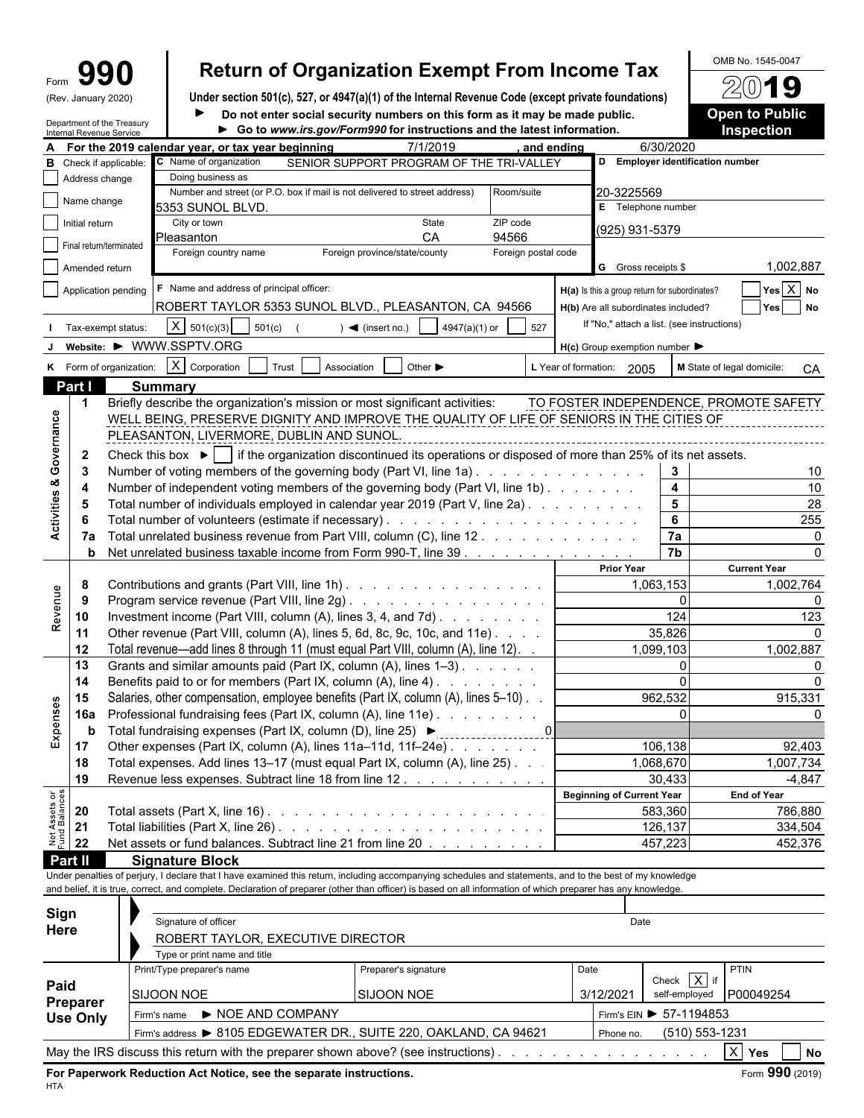| m |               |
|---|---------------|
| w | January 2020) |

# Form **990 Return of Organization Exempt From Income Tax**  $\frac{60\text{dB No. }1545-0047}{20\text{dB}}$

| (Rev. January 2020) | Under section 501(c), 527, or 4947(a)(1) of the Internal Revenue Code (except private foundations) | 74W I J               |
|---------------------|----------------------------------------------------------------------------------------------------|-----------------------|
|                     | Do not enter social security numbers on this form as it may be made public.                        | <b>Open to Public</b> |

**Go to** *www.irs.gov/Form990* **for instructions and the latest information. Inspection**

|                                | Internal Revenue Service | Department of the Treasury |                                                                                                                                                              | Go to www.irs.gov/Form990 for instructions and the latest information. |                     |                                                     |                                            | <b>Inspection</b>                      |
|--------------------------------|--------------------------|----------------------------|--------------------------------------------------------------------------------------------------------------------------------------------------------------|------------------------------------------------------------------------|---------------------|-----------------------------------------------------|--------------------------------------------|----------------------------------------|
|                                |                          |                            | For the 2019 calendar vear, or tax vear beginning                                                                                                            | 7/1/2019                                                               | and ending          |                                                     | 6/30/2020                                  |                                        |
| в                              |                          | Check if applicable:       | C Name of organization                                                                                                                                       | SENIOR SUPPORT PROGRAM OF THE TRI-VALLEY                               |                     |                                                     | D Employer identification number           |                                        |
|                                | Address change           |                            | Doing business as                                                                                                                                            |                                                                        |                     |                                                     |                                            |                                        |
|                                | Name change              |                            | Number and street (or P.O. box if mail is not delivered to street address)                                                                                   |                                                                        | Room/suite          | 20-3225569                                          |                                            |                                        |
|                                | Initial return           |                            | 5353 SUNOL BLVD.<br>City or town                                                                                                                             | State                                                                  | ZIP code            |                                                     | E Telephone number                         |                                        |
|                                |                          |                            | Pleasanton                                                                                                                                                   | CA                                                                     | 94566               | (925) 931-5379                                      |                                            |                                        |
|                                | Final return/terminated  |                            | Foreign country name                                                                                                                                         | Foreign province/state/county                                          | Foreign postal code |                                                     |                                            |                                        |
|                                | Amended return           |                            |                                                                                                                                                              |                                                                        |                     | G Gross receipts \$                                 |                                            | 1,002,887                              |
|                                |                          | Application pending        | F Name and address of principal officer:                                                                                                                     |                                                                        |                     | H(a) Is this a group return for subordinates?       |                                            | $Yes \ X$ No                           |
|                                |                          |                            | ROBERT TAYLOR 5353 SUNOL BLVD., PLEASANTON, CA 94566                                                                                                         |                                                                        |                     | H(b) Are all subordinates included?                 |                                            | Yes No                                 |
|                                |                          |                            | $X = 501(c)(3)$                                                                                                                                              |                                                                        |                     |                                                     | If "No," attach a list. (see instructions) |                                        |
|                                |                          | Tax-exempt status:         | 501(c)                                                                                                                                                       | 4947(a)(1) or<br>$\blacktriangleleft$ (insert no.)                     | 527                 |                                                     |                                            |                                        |
|                                |                          |                            | Website: ▶ WWW.SSPTV.ORG                                                                                                                                     |                                                                        |                     | $H(c)$ Group exemption number $\blacktriangleright$ |                                            |                                        |
|                                |                          | K Form of organization:    | X Corporation<br>Trust                                                                                                                                       | Association<br>Other $\blacktriangleright$                             |                     | L Year of formation: 2005                           |                                            | M State of legal domicile:<br>CA       |
|                                | Part I                   |                            | <b>Summary</b>                                                                                                                                               |                                                                        |                     |                                                     |                                            |                                        |
|                                | -1                       |                            | Briefly describe the organization's mission or most significant activities:                                                                                  |                                                                        |                     |                                                     |                                            | TO FOSTER INDEPENDENCE, PROMOTE SAFETY |
|                                |                          |                            | WELL BEING, PRESERVE DIGNITY AND IMPROVE THE QUALITY OF LIFE OF SENIORS IN THE CITIES OF                                                                     |                                                                        |                     |                                                     |                                            |                                        |
|                                |                          |                            | PLEASANTON, LIVERMORE, DUBLIN AND SUNOL.                                                                                                                     |                                                                        |                     |                                                     |                                            |                                        |
| Governance                     | $\mathbf{2}$             |                            | Check this box $\blacktriangleright$   if the organization discontinued its operations or disposed of more than 25% of its net assets.                       |                                                                        |                     |                                                     |                                            |                                        |
|                                | -3                       |                            | Number of voting members of the governing body (Part VI, line 1a)                                                                                            |                                                                        |                     |                                                     | 3                                          | 10                                     |
| Activities &                   | -4                       |                            | Number of independent voting members of the governing body (Part VI, line 1b)                                                                                |                                                                        |                     |                                                     | $\overline{\mathbf{4}}$                    | $10$                                   |
|                                | 5                        |                            | Total number of individuals employed in calendar year 2019 (Part V, line 2a).                                                                                |                                                                        |                     |                                                     | $5\phantom{a}$                             | 28                                     |
|                                | 6                        |                            |                                                                                                                                                              |                                                                        |                     |                                                     | 6                                          | 255                                    |
|                                | 7a                       |                            | Total unrelated business revenue from Part VIII, column (C), line 12                                                                                         |                                                                        |                     |                                                     | 7a                                         | $\Omega$                               |
|                                | b                        |                            | Net unrelated business taxable income from Form 990-T, line 39                                                                                               |                                                                        |                     |                                                     | $\overline{7b}$                            | $\Omega$                               |
|                                |                          |                            |                                                                                                                                                              |                                                                        |                     | <b>Prior Year</b>                                   |                                            | <b>Current Year</b>                    |
|                                | 8                        |                            | Contributions and grants (Part VIII, line 1h)                                                                                                                |                                                                        |                     |                                                     | 1,063,153                                  | 1,002,764                              |
| Revenue                        | 9                        |                            | Program service revenue (Part VIII, line 2g)                                                                                                                 |                                                                        |                     |                                                     | $\Omega$                                   |                                        |
|                                | 10                       |                            | Investment income (Part VIII, column (A), lines 3, 4, and 7d)                                                                                                |                                                                        |                     |                                                     | 124                                        | 123                                    |
|                                | 11                       |                            | Other revenue (Part VIII, column (A), lines 5, 6d, 8c, 9c, 10c, and 11e)                                                                                     |                                                                        |                     |                                                     | 35,826                                     |                                        |
|                                | 12                       |                            | Total revenue—add lines 8 through 11 (must equal Part VIII, column (A), line 12). .                                                                          |                                                                        |                     |                                                     | 1,099,103                                  | 1,002,887                              |
|                                | 13                       |                            | Grants and similar amounts paid (Part IX, column (A), lines 1-3)<br>Benefits paid to or for members (Part IX, column (A), line 4)                            |                                                                        |                     |                                                     | $\mathbf{0}$<br>0                          |                                        |
|                                | 14<br>15                 |                            | Salaries, other compensation, employee benefits (Part IX, column (A), lines 5-10).                                                                           |                                                                        |                     |                                                     | 962,532                                    | 915,331                                |
|                                | 16a                      |                            | Professional fundraising fees (Part IX, column (A), line 11e)                                                                                                |                                                                        |                     |                                                     | $\Omega$                                   |                                        |
|                                | b                        |                            | Total fundraising expenses (Part IX, column (D), line 25) ▶                                                                                                  |                                                                        |                     |                                                     |                                            |                                        |
| Expenses                       | 17                       |                            | Other expenses (Part IX, column (A), lines 11a-11d, 11f-24e)                                                                                                 |                                                                        | <u>0</u>            |                                                     | 106.138                                    | 92.403                                 |
|                                | 18                       |                            | Total expenses. Add lines 13-17 (must equal Part IX, column (A), line 25). .                                                                                 |                                                                        |                     |                                                     | 1,068,670                                  | 1,007,734                              |
|                                | 19                       |                            | Revenue less expenses. Subtract line 18 from line 12.                                                                                                        |                                                                        |                     |                                                     | 30,433                                     | $-4,847$                               |
|                                |                          |                            |                                                                                                                                                              |                                                                        |                     | <b>Beginning of Current Year</b>                    |                                            | <b>End of Year</b>                     |
| Net Assets or<br>Fund Balances | 20                       |                            | Total assets (Part X, line 16) $\ldots$ $\ldots$ $\ldots$ $\ldots$ $\ldots$ $\ldots$ $\ldots$ $\ldots$ $\ldots$                                              |                                                                        |                     |                                                     | 583,360                                    | 786,880                                |
|                                | 21                       |                            |                                                                                                                                                              |                                                                        |                     |                                                     | 126,137                                    | 334,504                                |
|                                | 22                       |                            | Net assets or fund balances. Subtract line 21 from line 20                                                                                                   |                                                                        |                     |                                                     | 457,223                                    | 452,376                                |
|                                | Part II                  |                            | <b>Signature Block</b>                                                                                                                                       |                                                                        |                     |                                                     |                                            |                                        |
|                                |                          |                            | Under penalties of perjury, I declare that I have examined this return, including accompanying schedules and statements, and to the best of my knowledge     |                                                                        |                     |                                                     |                                            |                                        |
|                                |                          |                            | and belief, it is true, correct, and complete. Declaration of preparer (other than officer) is based on all information of which preparer has any knowledge. |                                                                        |                     |                                                     |                                            |                                        |
|                                |                          |                            |                                                                                                                                                              |                                                                        |                     |                                                     |                                            |                                        |
| Sign<br>Here                   |                          |                            | Signature of officer                                                                                                                                         |                                                                        |                     | Date                                                |                                            |                                        |
|                                |                          |                            | ROBERT TAYLOR, EXECUTIVE DIRECTOR                                                                                                                            |                                                                        |                     |                                                     |                                            |                                        |
|                                |                          |                            | Type or print name and title                                                                                                                                 |                                                                        |                     |                                                     |                                            |                                        |
|                                |                          |                            | Print/Type preparer's name                                                                                                                                   | Preparer's signature                                                   |                     | Date                                                | Check $X$ if                               | PTIN                                   |
| Paid                           |                          |                            | SIJOON NOE                                                                                                                                                   | <b>SIJOON NOE</b>                                                      |                     | 3/12/2021                                           | self-employed                              | P00049254                              |
|                                | Preparer                 |                            | NOE AND COMPANY                                                                                                                                              |                                                                        |                     |                                                     | Firm's EIN ▶ 57-1194853                    |                                        |
|                                | <b>Use Only</b>          |                            | Firm's name                                                                                                                                                  |                                                                        |                     |                                                     |                                            |                                        |
|                                |                          |                            | Firm's address > 8105 EDGEWATER DR., SUITE 220, OAKLAND, CA 94621                                                                                            |                                                                        |                     | Phone no.                                           | (510) 553-1231                             |                                        |
|                                |                          |                            | May the IRS discuss this return with the preparer shown above? (see instructions).                                                                           |                                                                        |                     |                                                     |                                            | $X$ Yes<br>No                          |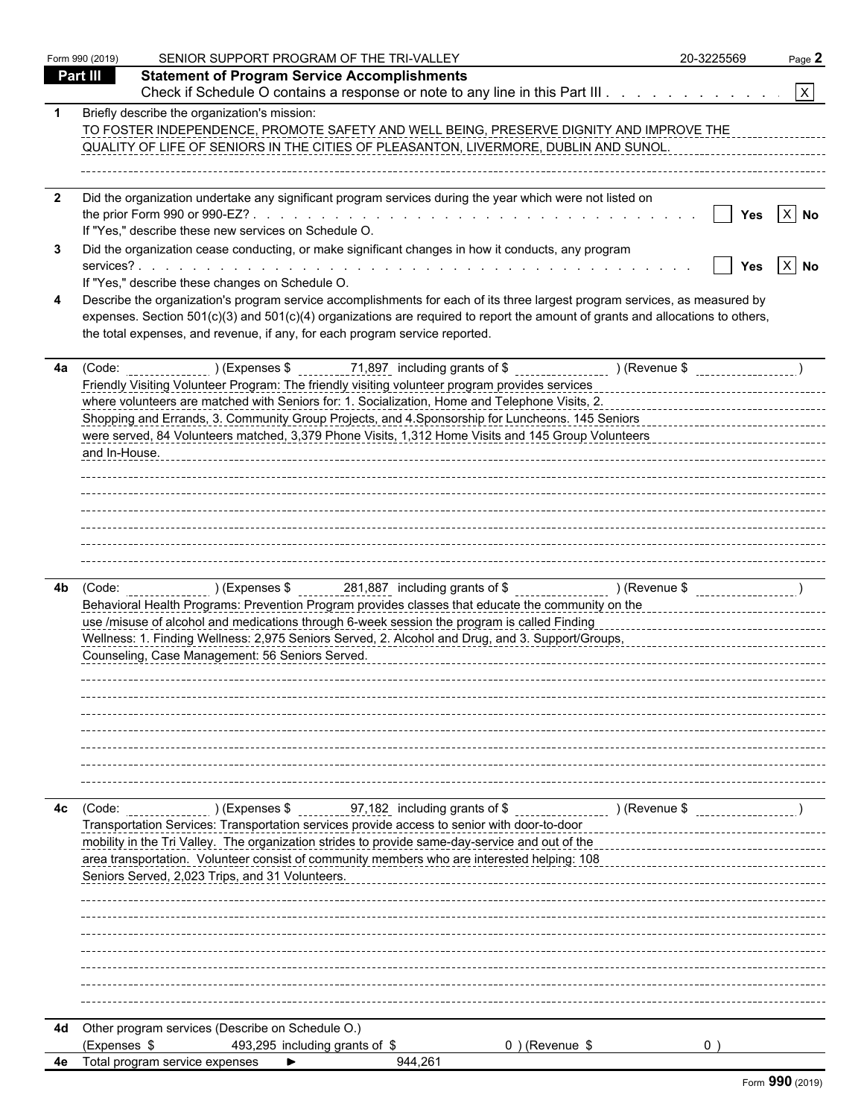|              | Form 990 (2019) | SENIOR SUPPORT PROGRAM OF THE TRI-VALLEY                                                                                                                                                                                                                                                                                                    | 20-3225569 | Page 2            |
|--------------|-----------------|---------------------------------------------------------------------------------------------------------------------------------------------------------------------------------------------------------------------------------------------------------------------------------------------------------------------------------------------|------------|-------------------|
|              | Part III        | <b>Statement of Program Service Accomplishments</b>                                                                                                                                                                                                                                                                                         |            |                   |
|              |                 | Check if Schedule O contains a response or note to any line in this Part III                                                                                                                                                                                                                                                                |            | $\mathbf{x}$      |
|              |                 | Briefly describe the organization's mission:<br>TO FOSTER INDEPENDENCE, PROMOTE SAFETY AND WELL BEING, PRESERVE DIGNITY AND IMPROVE THE<br>QUALITY OF LIFE OF SENIORS IN THE CITIES OF PLEASANTON, LIVERMORE, DUBLIN AND SUNOL.                                                                                                             |            |                   |
| $\mathbf{2}$ |                 | Did the organization undertake any significant program services during the year which were not listed on                                                                                                                                                                                                                                    |            |                   |
|              |                 |                                                                                                                                                                                                                                                                                                                                             | Yes        | $X$ No            |
|              |                 | If "Yes," describe these new services on Schedule O.<br>Did the organization cease conducting, or make significant changes in how it conducts, any program                                                                                                                                                                                  |            |                   |
|              |                 |                                                                                                                                                                                                                                                                                                                                             | Yes        | $\overline{X}$ No |
|              |                 | If "Yes," describe these changes on Schedule O.                                                                                                                                                                                                                                                                                             |            |                   |
|              |                 | Describe the organization's program service accomplishments for each of its three largest program services, as measured by<br>expenses. Section 501(c)(3) and 501(c)(4) organizations are required to report the amount of grants and allocations to others,<br>the total expenses, and revenue, if any, for each program service reported. |            |                   |
| 4a           |                 | (Code: _________________)(Expenses \$ ________71,897 including grants of \$ ____________________)(Revenue \$ __________________                                                                                                                                                                                                             |            |                   |
|              |                 | Friendly Visiting Volunteer Program: The friendly visiting volunteer program provides services entertainment contact control control of the friends of the friends of the friends of the friends of the friends of the friends<br>where volunteers are matched with Seniors for: 1. Socialization, Home and Telephone Visits, 2.            |            |                   |
|              | and In-House.   | were served, 84 Volunteers matched, 3,379 Phone Visits, 1,312 Home Visits and 145 Group Volunteers                                                                                                                                                                                                                                          |            |                   |
|              |                 |                                                                                                                                                                                                                                                                                                                                             |            |                   |
|              |                 |                                                                                                                                                                                                                                                                                                                                             |            |                   |
| 4b.          |                 | Behavioral Health Programs: Prevention Program provides classes that educate the community on the<br>use /misuse of alcohol and medications through 6-week session the program is called Finding                                                                                                                                            |            |                   |
|              |                 | Counseling, Case Management: 56 Seniors Served.                                                                                                                                                                                                                                                                                             |            |                   |
|              |                 |                                                                                                                                                                                                                                                                                                                                             |            |                   |
|              |                 |                                                                                                                                                                                                                                                                                                                                             |            |                   |
|              |                 |                                                                                                                                                                                                                                                                                                                                             |            |                   |
| 4c           | (Code:          | ____________)(Expenses \$ _________97,182_ including grants of \$ _________________)(Revenue \$                                                                                                                                                                                                                                             |            |                   |
|              |                 | Transportation Services: Transportation services provide access to senior with door-to-door                                                                                                                                                                                                                                                 |            |                   |
|              |                 | mobility in the Tri Valley. The organization strides to provide same-day-service and out of the<br>area transportation. Volunteer consist of community members who are interested helping: 108                                                                                                                                              |            |                   |
|              |                 | Seniors Served, 2,023 Trips, and 31 Volunteers.                                                                                                                                                                                                                                                                                             |            |                   |
|              |                 |                                                                                                                                                                                                                                                                                                                                             |            |                   |
|              |                 |                                                                                                                                                                                                                                                                                                                                             |            |                   |
|              |                 |                                                                                                                                                                                                                                                                                                                                             |            |                   |
|              |                 |                                                                                                                                                                                                                                                                                                                                             |            |                   |
|              |                 |                                                                                                                                                                                                                                                                                                                                             |            |                   |
| 4d           |                 | Other program services (Describe on Schedule O.)                                                                                                                                                                                                                                                                                            |            |                   |
|              | (Expenses \$    | 493,295 including grants of \$<br>0) (Revenue \$                                                                                                                                                                                                                                                                                            |            |                   |
| 4e           |                 | Total program service expenses<br>944,261                                                                                                                                                                                                                                                                                                   |            |                   |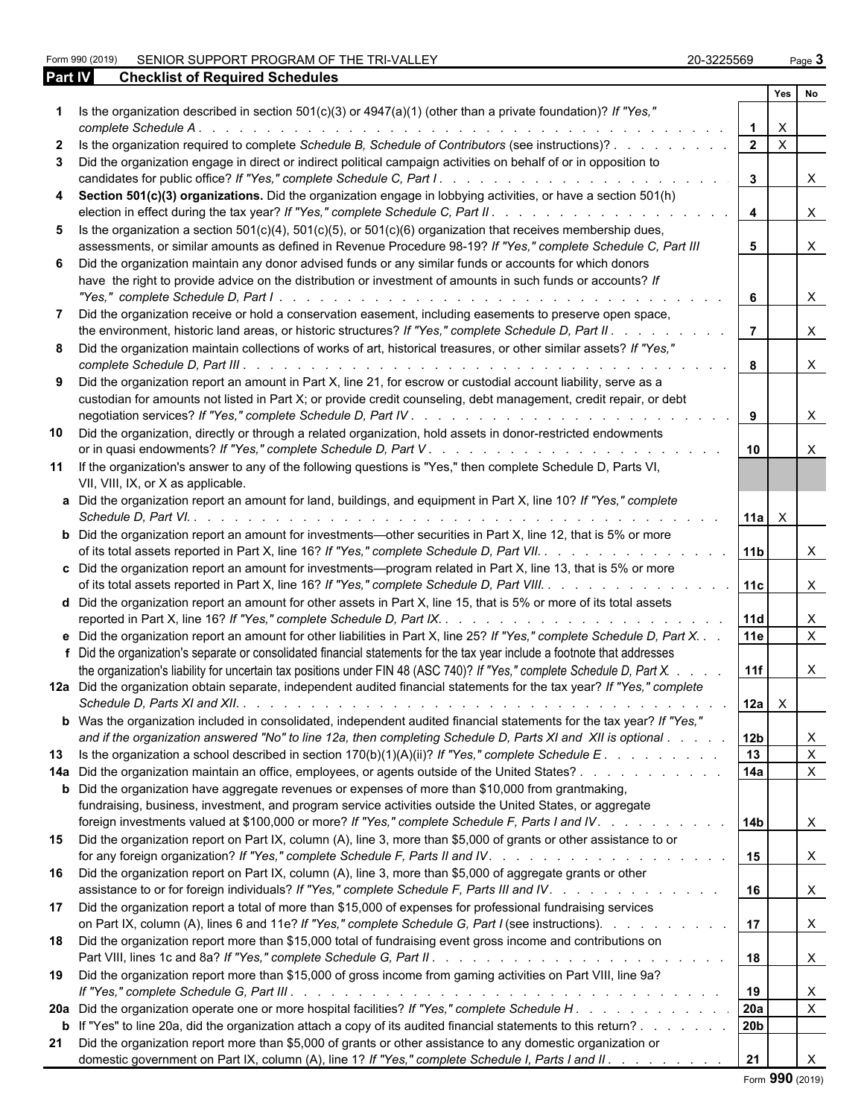Form 990 (2019) SENIOR SUPPORT PROGRAM OF THE TRI-VALLEY 20-3225569 Page 3 **Part IV Checklist of Required Schedules**

| 20-3225569 | Page . |
|------------|--------|
|            |        |

|              |                                                                                                                                                                                                                                                                                                                                                                               |                  | Yes                       | No                 |
|--------------|-------------------------------------------------------------------------------------------------------------------------------------------------------------------------------------------------------------------------------------------------------------------------------------------------------------------------------------------------------------------------------|------------------|---------------------------|--------------------|
|              | 1 Is the organization described in section 501(c)(3) or 4947(a)(1) (other than a private foundation)? If "Yes,"<br>complete Schedule A.<br>a de la caractería de la caractería de la caractería de la caractería                                                                                                                                                              |                  | $\boldsymbol{\mathsf{X}}$ |                    |
| $\mathbf{2}$ | Is the organization required to complete Schedule B, Schedule of Contributors (see instructions)?                                                                                                                                                                                                                                                                             | $2^{\circ}$      | $\overline{X}$            |                    |
|              | 3 Did the organization engage in direct or indirect political campaign activities on behalf of or in opposition to                                                                                                                                                                                                                                                            | $\mathbf{3}$     |                           | X                  |
|              | 4 Section 501(c)(3) organizations. Did the organization engage in lobbying activities, or have a section 501(h)<br>election in effect during the tax year? If "Yes," complete Schedule C, Part II.<br>$\frac{1}{2}$                                                                                                                                                           | $\overline{4}$   |                           | X.                 |
|              | 5 Is the organization a section $501(c)(4)$ , $501(c)(5)$ , or $501(c)(6)$ organization that receives membership dues,<br>assessments, or similar amounts as defined in Revenue Procedure 98-19? If "Yes," complete Schedule C, Part III                                                                                                                                      | 5                |                           | X.                 |
|              | 6 Did the organization maintain any donor advised funds or any similar funds or accounts for which donors<br>have the right to provide advice on the distribution or investment of amounts in such funds or accounts? If<br>"Yes," complete Schedule D, Part I.                                                                                                               | 6                |                           | $\times$           |
| 7            | Did the organization receive or hold a conservation easement, including easements to preserve open space,<br>the environment, historic land areas, or historic structures? If "Yes," complete Schedule D, Part II.                                                                                                                                                            |                  |                           | $\times$           |
|              | 8 Did the organization maintain collections of works of art, historical treasures, or other similar assets? If "Yes,"                                                                                                                                                                                                                                                         |                  |                           | $\mathsf{X}$       |
|              | 9 Did the organization report an amount in Part X, line 21, for escrow or custodial account liability, serve as a<br>custodian for amounts not listed in Part X; or provide credit counseling, debt management, credit repair, or debt                                                                                                                                        | 8                |                           | $\times$           |
|              | 10 Did the organization, directly or through a related organization, hold assets in donor-restricted endowments                                                                                                                                                                                                                                                               | 10               |                           | X                  |
|              | 11 If the organization's answer to any of the following questions is "Yes," then complete Schedule D, Parts VI,<br>VII, VIII, IX, or X as applicable.                                                                                                                                                                                                                         |                  |                           |                    |
|              | a Did the organization report an amount for land, buildings, and equipment in Part X, line 10? If "Yes," complete<br>Schedule D, Part VI. .                                                                                                                                                                                                                                   | 11a              | $\mathsf{X}$              |                    |
|              | <b>b</b> Did the organization report an amount for investments—other securities in Part X, line 12, that is 5% or more<br>of its total assets reported in Part X, line 16? If "Yes," complete Schedule D, Part VII.                                                                                                                                                           | 111 <sub>b</sub> |                           | X                  |
|              | c Did the organization report an amount for investments—program related in Part X, line 13, that is 5% or more<br>of its total assets reported in Part X, line 16? If "Yes," complete Schedule D, Part VIII.                                                                                                                                                                  | 11c              |                           | X.                 |
|              | d Did the organization report an amount for other assets in Part X, line 15, that is 5% or more of its total assets                                                                                                                                                                                                                                                           | <b>11d</b>       |                           | X                  |
|              | e Did the organization report an amount for other liabilities in Part X, line 25? If "Yes," complete Schedule D, Part X.<br>f Did the organization's separate or consolidated financial statements for the tax year include a footnote that addresses                                                                                                                         | 11e              |                           | $\mathsf{X}$       |
|              | the organization's liability for uncertain tax positions under FIN 48 (ASC 740)? If "Yes," complete Schedule D, Part X.<br>12a Did the organization obtain separate, independent audited financial statements for the tax year? If "Yes," complete<br>Schedule D. Parts XI and XII. $\ldots$ $\ldots$ $\ldots$ $\ldots$ $\ldots$ $\ldots$ $\ldots$ $\ldots$ $\ldots$ $\ldots$ | 11f<br>12a       | $\boldsymbol{\mathsf{X}}$ | X                  |
|              | b Was the organization included in consolidated, independent audited financial statements for the tax year? If "Yes,<br>and if the organization answered "No" to line 12a, then completing Schedule D, Parts XI and XII is optional                                                                                                                                           |                  |                           |                    |
|              | 13 Is the organization a school described in section 170(b)(1)(A)(ii)? If "Yes," complete Schedule E.                                                                                                                                                                                                                                                                         | 12b<br>13        |                           | X.<br>$\mathsf{X}$ |
|              | 14a Did the organization maintain an office, employees, or agents outside of the United States?<br>and the contract of the contract of                                                                                                                                                                                                                                        | 14a              |                           | $\times$           |
|              | <b>b</b> Did the organization have aggregate revenues or expenses of more than \$10,000 from grantmaking,<br>fundraising, business, investment, and program service activities outside the United States, or aggregate                                                                                                                                                        |                  |                           |                    |
|              | foreign investments valued at \$100,000 or more? If "Yes," complete Schedule F, Parts I and IV.                                                                                                                                                                                                                                                                               | l 14b            |                           | X                  |
|              | 15 Did the organization report on Part IX, column (A), line 3, more than \$5,000 of grants or other assistance to or                                                                                                                                                                                                                                                          | 15               |                           | X.                 |
|              | 16 Did the organization report on Part IX, column (A), line 3, more than \$5,000 of aggregate grants or other<br>assistance to or for foreign individuals? If "Yes," complete Schedule F, Parts III and IV.                                                                                                                                                                   | 16               |                           | X                  |
|              | 17 Did the organization report a total of more than \$15,000 of expenses for professional fundraising services<br>on Part IX, column (A), lines 6 and 11e? If "Yes," complete Schedule G, Part I (see instructions).                                                                                                                                                          | 17               |                           | X                  |
|              | 18 Did the organization report more than \$15,000 total of fundraising event gross income and contributions on                                                                                                                                                                                                                                                                | 18               |                           | X                  |
|              | 19 Did the organization report more than \$15,000 of gross income from gaming activities on Part VIII, line 9a?                                                                                                                                                                                                                                                               | 19               |                           | X                  |
|              |                                                                                                                                                                                                                                                                                                                                                                               | 20a              |                           | $\mathsf{X}$       |
|              | <b>b</b> If "Yes" to line 20a, did the organization attach a copy of its audited financial statements to this return?                                                                                                                                                                                                                                                         | 20b              |                           |                    |
|              | 21 Did the organization report more than \$5,000 of grants or other assistance to any domestic organization or<br>domestic government on Part IX, column (A), line 1? If "Yes," complete Schedule I, Parts I and II.                                                                                                                                                          | 21               |                           |                    |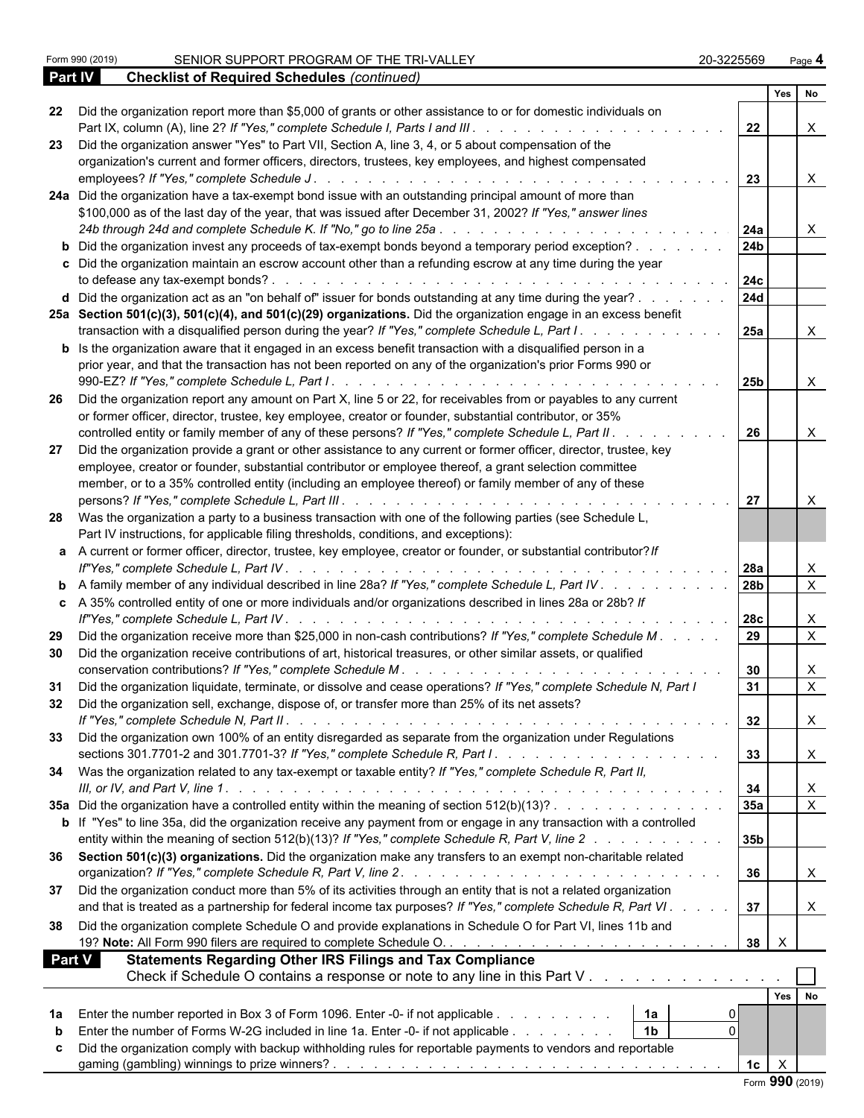|               |                                                                                                                                            | Yes No              |              |                |
|---------------|--------------------------------------------------------------------------------------------------------------------------------------------|---------------------|--------------|----------------|
| 22            | Did the organization report more than \$5,000 of grants or other assistance to or for domestic individuals on                              | 22                  |              | $\mathsf{X}$   |
| 23            | Did the organization answer "Yes" to Part VII, Section A, line 3, 4, or 5 about compensation of the                                        |                     |              |                |
|               | organization's current and former officers, directors, trustees, key employees, and highest compensated                                    |                     |              |                |
|               |                                                                                                                                            | 23                  |              | $\mathsf{X}$   |
|               | 24a Did the organization have a tax-exempt bond issue with an outstanding principal amount of more than                                    |                     |              |                |
|               | \$100,000 as of the last day of the year, that was issued after December 31, 2002? If "Yes," answer lines                                  |                     |              |                |
|               |                                                                                                                                            |                     |              | $\mathsf{X}$   |
|               | <b>b</b> Did the organization invest any proceeds of tax-exempt bonds beyond a temporary period exception?                                 | 24 <sub>b</sub>     |              |                |
|               | c Did the organization maintain an escrow account other than a refunding escrow at any time during the year                                |                     |              |                |
|               |                                                                                                                                            |                     |              |                |
|               | d Did the organization act as an "on behalf of" issuer for bonds outstanding at any time during the year?                                  | 24d                 |              |                |
|               | 25a Section 501(c)(3), 501(c)(4), and 501(c)(29) organizations. Did the organization engage in an excess benefit                           |                     |              |                |
|               | transaction with a disqualified person during the year? If "Yes," complete Schedule L, Part I.                                             | 25a                 |              | $\mathsf{X}$   |
|               | <b>b</b> Is the organization aware that it engaged in an excess benefit transaction with a disqualified person in a                        |                     |              |                |
|               | prior year, and that the transaction has not been reported on any of the organization's prior Forms 990 or                                 |                     |              |                |
|               |                                                                                                                                            | 25 <sub>b</sub>     |              | $\mathsf{X}$   |
|               |                                                                                                                                            |                     |              |                |
| -26           | Did the organization report any amount on Part X, line 5 or 22, for receivables from or payables to any current                            |                     |              |                |
|               | or former officer, director, trustee, key employee, creator or founder, substantial contributor, or 35%                                    |                     |              |                |
|               | controlled entity or family member of any of these persons? If "Yes," complete Schedule L, Part II.                                        | 26                  |              | $\mathsf{X}$   |
| 27            | Did the organization provide a grant or other assistance to any current or former officer, director, trustee, key                          |                     |              |                |
|               | employee, creator or founder, substantial contributor or employee thereof, a grant selection committee                                     |                     |              |                |
|               | member, or to a 35% controlled entity (including an employee thereof) or family member of any of these                                     |                     |              |                |
|               |                                                                                                                                            | 27                  |              | $\mathsf{X}$   |
|               | 28 Was the organization a party to a business transaction with one of the following parties (see Schedule L,                               |                     |              |                |
|               | Part IV instructions, for applicable filing thresholds, conditions, and exceptions):                                                       |                     |              |                |
|               | a A current or former officer, director, trustee, key employee, creator or founder, or substantial contributor? If                         |                     |              |                |
|               |                                                                                                                                            |                     |              | $\mathsf{X}$   |
|               | <b>b</b> A family member of any individual described in line 28a? If "Yes," complete Schedule L, Part IV 28b                               |                     |              | $\overline{X}$ |
|               | c A 35% controlled entity of one or more individuals and/or organizations described in lines 28a or 28b? If                                |                     |              |                |
|               |                                                                                                                                            |                     |              | $\mathsf{X}$   |
|               |                                                                                                                                            |                     |              | $\overline{X}$ |
| 29            | Did the organization receive more than \$25,000 in non-cash contributions? If "Yes," complete Schedule M.                                  | 29                  |              |                |
| 30            | Did the organization receive contributions of art, historical treasures, or other similar assets, or qualified                             |                     |              |                |
|               |                                                                                                                                            | 30                  |              | $\mathsf{X}$   |
| 31            | Did the organization liquidate, terminate, or dissolve and cease operations? If "Yes," complete Schedule N, Part I                         | 31                  |              | $\overline{X}$ |
| 32            | Did the organization sell, exchange, dispose of, or transfer more than 25% of its net assets?                                              |                     |              |                |
|               |                                                                                                                                            | 32                  | $\mathbf{A}$ |                |
| 33            | Did the organization own 100% of an entity disregarded as separate from the organization under Regulations                                 |                     |              |                |
|               | sections 301.7701-2 and 301.7701-3? If "Yes," complete Schedule R, Part I. $\ldots$ , $\ldots$ , $\ldots$ , $\ldots$ , $\ldots$ , $\ldots$ | 33                  |              | $\mathsf{X}$   |
|               | 34 Was the organization related to any tax-exempt or taxable entity? If "Yes," complete Schedule R, Part II,                               |                     |              |                |
|               |                                                                                                                                            | 34                  |              | X              |
|               | 35a Did the organization have a controlled entity within the meaning of section 512(b)(13)?                                                | 35a                 |              | $\overline{X}$ |
|               | b If "Yes" to line 35a, did the organization receive any payment from or engage in any transaction with a controlled                       |                     |              |                |
|               |                                                                                                                                            | 35b                 |              |                |
|               | entity within the meaning of section 512(b)(13)? If "Yes," complete Schedule R, Part V, line 2                                             |                     |              |                |
|               | 36 Section 501(c)(3) organizations. Did the organization make any transfers to an exempt non-charitable related                            |                     |              |                |
|               |                                                                                                                                            | 36                  |              | $\mathsf{X}$   |
| 37            | Did the organization conduct more than 5% of its activities through an entity that is not a related organization                           |                     |              |                |
|               | and that is treated as a partnership for federal income tax purposes? If "Yes," complete Schedule R, Part VI.                              | 37                  |              | $\mathsf{X}$   |
| 38            | Did the organization complete Schedule O and provide explanations in Schedule O for Part VI, lines 11b and                                 |                     |              |                |
|               |                                                                                                                                            | $\times$<br>38      |              |                |
| <b>Part V</b> | <b>Statements Regarding Other IRS Filings and Tax Compliance</b>                                                                           |                     |              |                |
|               | Check if Schedule O contains a response or note to any line in this Part V                                                                 |                     |              |                |
|               |                                                                                                                                            |                     |              |                |
|               |                                                                                                                                            | Yes No              |              |                |
| 1a            | 1a <br>Enter the number reported in Box 3 of Form 1096. Enter -0- if not applicable                                                        |                     |              |                |
|               | $\mathbf 0$<br>$\vert$ 1b<br>Enter the number of Forms W-2G included in line 1a. Enter -0- if not applicable                               |                     |              |                |
|               | Did the organization comply with backup withholding rules for reportable payments to vendors and reportable                                |                     |              |                |
|               |                                                                                                                                            | X<br>1 <sub>c</sub> |              |                |
|               |                                                                                                                                            | Form 990 (2019)     |              |                |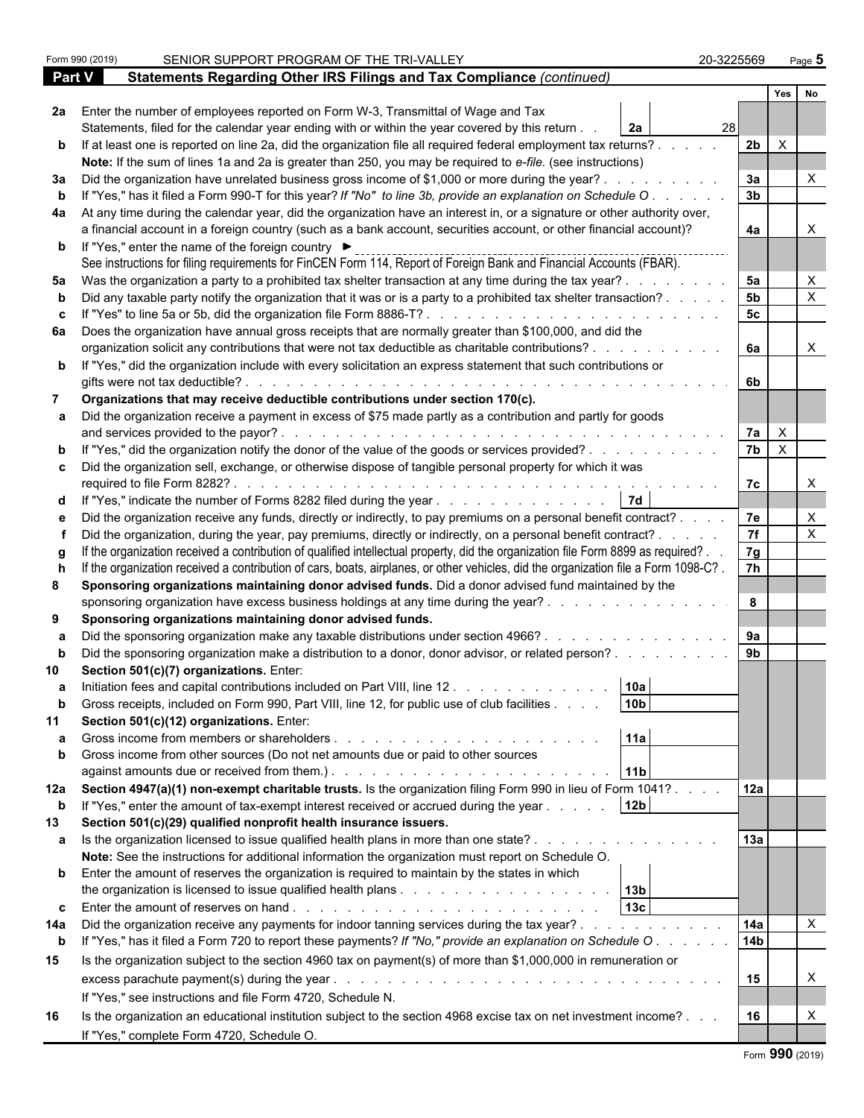|               | Form 990 (2019) | SENIOR SUPPORT PROGRAM OF THE TRI-VALLEY                                                                                                                                                                                                                                            | 20-3225569      |                | Page 5                    |  |
|---------------|-----------------|-------------------------------------------------------------------------------------------------------------------------------------------------------------------------------------------------------------------------------------------------------------------------------------|-----------------|----------------|---------------------------|--|
| <b>Part V</b> |                 | Statements Regarding Other IRS Filings and Tax Compliance (continued)                                                                                                                                                                                                               |                 |                |                           |  |
|               |                 |                                                                                                                                                                                                                                                                                     |                 | Yes            | No                        |  |
|               |                 | 2a Enter the number of employees reported on Form W-3, Transmittal of Wage and Tax                                                                                                                                                                                                  |                 |                |                           |  |
|               |                 | Statements, filed for the calendar year ending with or within the year covered by this return.<br>2a                                                                                                                                                                                | 28 <sub>l</sub> |                |                           |  |
|               |                 | b If at least one is reported on line 2a, did the organization file all required federal employment tax returns?.                                                                                                                                                                   | 2 <sub>b</sub>  | $\times$       |                           |  |
|               |                 | Note: If the sum of lines 1a and 2a is greater than 250, you may be required to e-file. (see instructions)                                                                                                                                                                          |                 |                |                           |  |
| За            |                 | Did the organization have unrelated business gross income of \$1,000 or more during the year?.                                                                                                                                                                                      | 3a              |                |                           |  |
|               |                 | If "Yes," has it filed a Form 990-T for this year? If "No" to line 3b, provide an explanation on Schedule O                                                                                                                                                                         | 3 <sub>b</sub>  |                |                           |  |
| 4a            |                 | At any time during the calendar year, did the organization have an interest in, or a signature or other authority over,                                                                                                                                                             |                 |                |                           |  |
|               |                 | a financial account in a foreign country (such as a bank account, securities account, or other financial account)?                                                                                                                                                                  | 4a              |                |                           |  |
|               |                 | <b>b</b> If "Yes," enter the name of the foreign country ▶                                                                                                                                                                                                                          |                 |                |                           |  |
|               |                 | See instructions for filing requirements for FinCEN Form 114, Report of Foreign Bank and Financial Accounts (FBAR).                                                                                                                                                                 |                 |                |                           |  |
| 5а            |                 | Was the organization a party to a prohibited tax shelter transaction at any time during the tax year?.                                                                                                                                                                              | 5a              |                | X                         |  |
|               |                 | Did any taxable party notify the organization that it was or is a party to a prohibited tax shelter transaction?.                                                                                                                                                                   | 5 <sub>b</sub>  |                | $\boldsymbol{\mathsf{X}}$ |  |
|               |                 |                                                                                                                                                                                                                                                                                     | 5 <sub>c</sub>  |                |                           |  |
|               |                 | 6a Does the organization have annual gross receipts that are normally greater than \$100,000, and did the                                                                                                                                                                           |                 |                |                           |  |
|               |                 | organization solicit any contributions that were not tax deductible as charitable contributions?.                                                                                                                                                                                   | 6a              |                | $\times$                  |  |
|               |                 | <b>b</b> If "Yes," did the organization include with every solicitation an express statement that such contributions or                                                                                                                                                             |                 |                |                           |  |
|               |                 | gifts were not tax deductible?<br>the contract of the contract of the contract of the contract of the contract of the contract of the contract of                                                                                                                                   | 6b              |                |                           |  |
|               |                 | Organizations that may receive deductible contributions under section 170(c).                                                                                                                                                                                                       |                 |                |                           |  |
|               |                 | Did the organization receive a payment in excess of \$75 made partly as a contribution and partly for goods                                                                                                                                                                         |                 |                |                           |  |
|               |                 | and services provided to the payor?.                                                                                                                                                                                                                                                | 7a              | $\mathsf{X}$   |                           |  |
|               |                 | If "Yes," did the organization notify the donor of the value of the goods or services provided?                                                                                                                                                                                     | 7 <sub>b</sub>  | $\overline{X}$ |                           |  |
|               |                 | c Did the organization sell, exchange, or otherwise dispose of tangible personal property for which it was                                                                                                                                                                          |                 |                |                           |  |
|               |                 |                                                                                                                                                                                                                                                                                     | 7c              |                | $\times$                  |  |
|               |                 | <b>7d</b>                                                                                                                                                                                                                                                                           |                 |                |                           |  |
| d             |                 | If "Yes," indicate the number of Forms 8282 filed during the year                                                                                                                                                                                                                   |                 |                |                           |  |
|               |                 | e Did the organization receive any funds, directly or indirectly, to pay premiums on a personal benefit contract? .                                                                                                                                                                 | 7e              |                | X                         |  |
|               |                 | Did the organization, during the year, pay premiums, directly or indirectly, on a personal benefit contract? .                                                                                                                                                                      | 7f              |                | $\boldsymbol{\mathsf{X}}$ |  |
|               |                 | If the organization received a contribution of qualified intellectual property, did the organization file Form 8899 as required?.                                                                                                                                                   | 7g              |                |                           |  |
|               |                 | If the organization received a contribution of cars, boats, airplanes, or other vehicles, did the organization file a Form 1098-C?.                                                                                                                                                 | 7 <sup>h</sup>  |                |                           |  |
| 8             |                 | Sponsoring organizations maintaining donor advised funds. Did a donor advised fund maintained by the                                                                                                                                                                                |                 |                |                           |  |
|               |                 | sponsoring organization have excess business holdings at any time during the year?.                                                                                                                                                                                                 | 8               |                |                           |  |
| 9             |                 | Sponsoring organizations maintaining donor advised funds.                                                                                                                                                                                                                           |                 |                |                           |  |
|               |                 | Did the sponsoring organization make any taxable distributions under section 4966?.                                                                                                                                                                                                 | 9a              |                |                           |  |
|               |                 | Did the sponsoring organization make a distribution to a donor, donor advisor, or related person?                                                                                                                                                                                   | 9 <sub>b</sub>  |                |                           |  |
|               |                 | Section 501(c)(7) organizations. Enter:                                                                                                                                                                                                                                             |                 |                |                           |  |
| а             |                 | 10a <br>Initiation fees and capital contributions included on Part VIII, line 12                                                                                                                                                                                                    |                 |                |                           |  |
|               |                 | 10 <sub>b</sub><br>Gross receipts, included on Form 990, Part VIII, line 12, for public use of club facilities.                                                                                                                                                                     |                 |                |                           |  |
| 11            |                 | Section 501(c)(12) organizations. Enter:                                                                                                                                                                                                                                            |                 |                |                           |  |
|               |                 | 11a<br>Gross income from members or shareholders.<br>and the contract of the contract of the contract of the contract of the contract of the contract of the contract of the contract of the contract of the contract of the contract of the contract of the contract of the contra |                 |                |                           |  |
| b             |                 | Gross income from other sources (Do not net amounts due or paid to other sources                                                                                                                                                                                                    |                 |                |                           |  |
|               |                 | 11 <sub>b</sub>                                                                                                                                                                                                                                                                     |                 |                |                           |  |
|               |                 | 12a Section 4947(a)(1) non-exempt charitable trusts. Is the organization filing Form 990 in lieu of Form 1041?.                                                                                                                                                                     | 12a             |                |                           |  |
| b             |                 | 12 <sub>b</sub><br>If "Yes," enter the amount of tax-exempt interest received or accrued during the year.                                                                                                                                                                           |                 |                |                           |  |
| 13            |                 | Section 501(c)(29) qualified nonprofit health insurance issuers.                                                                                                                                                                                                                    |                 |                |                           |  |
| a             |                 | Is the organization licensed to issue qualified health plans in more than one state?.                                                                                                                                                                                               | 13a             |                |                           |  |
|               |                 | Note: See the instructions for additional information the organization must report on Schedule O.                                                                                                                                                                                   |                 |                |                           |  |
|               |                 | <b>b</b> Enter the amount of reserves the organization is required to maintain by the states in which                                                                                                                                                                               |                 |                |                           |  |
|               |                 | 13 <sub>b</sub>                                                                                                                                                                                                                                                                     |                 |                |                           |  |
| c.            |                 | 13 <sub>c</sub>                                                                                                                                                                                                                                                                     |                 |                |                           |  |
| 14a           |                 | Did the organization receive any payments for indoor tanning services during the tax year?.<br>and a state of the state of the                                                                                                                                                      | 14a             |                | $\times$                  |  |
| b             |                 | If "Yes," has it filed a Form 720 to report these payments? If "No," provide an explanation on Schedule O.                                                                                                                                                                          | <b>14b</b>      |                |                           |  |
| 15            |                 | Is the organization subject to the section 4960 tax on payment(s) of more than \$1,000,000 in remuneration or                                                                                                                                                                       |                 |                |                           |  |
|               |                 |                                                                                                                                                                                                                                                                                     | 15              |                | X                         |  |
|               |                 |                                                                                                                                                                                                                                                                                     |                 |                |                           |  |
|               |                 | If "Yes," see instructions and file Form 4720, Schedule N.                                                                                                                                                                                                                          |                 |                |                           |  |
| 16            |                 | Is the organization an educational institution subject to the section 4968 excise tax on net investment income?                                                                                                                                                                     | 16              |                | X                         |  |
|               |                 | If "Yes," complete Form 4720, Schedule O.                                                                                                                                                                                                                                           |                 |                |                           |  |
|               |                 |                                                                                                                                                                                                                                                                                     |                 |                |                           |  |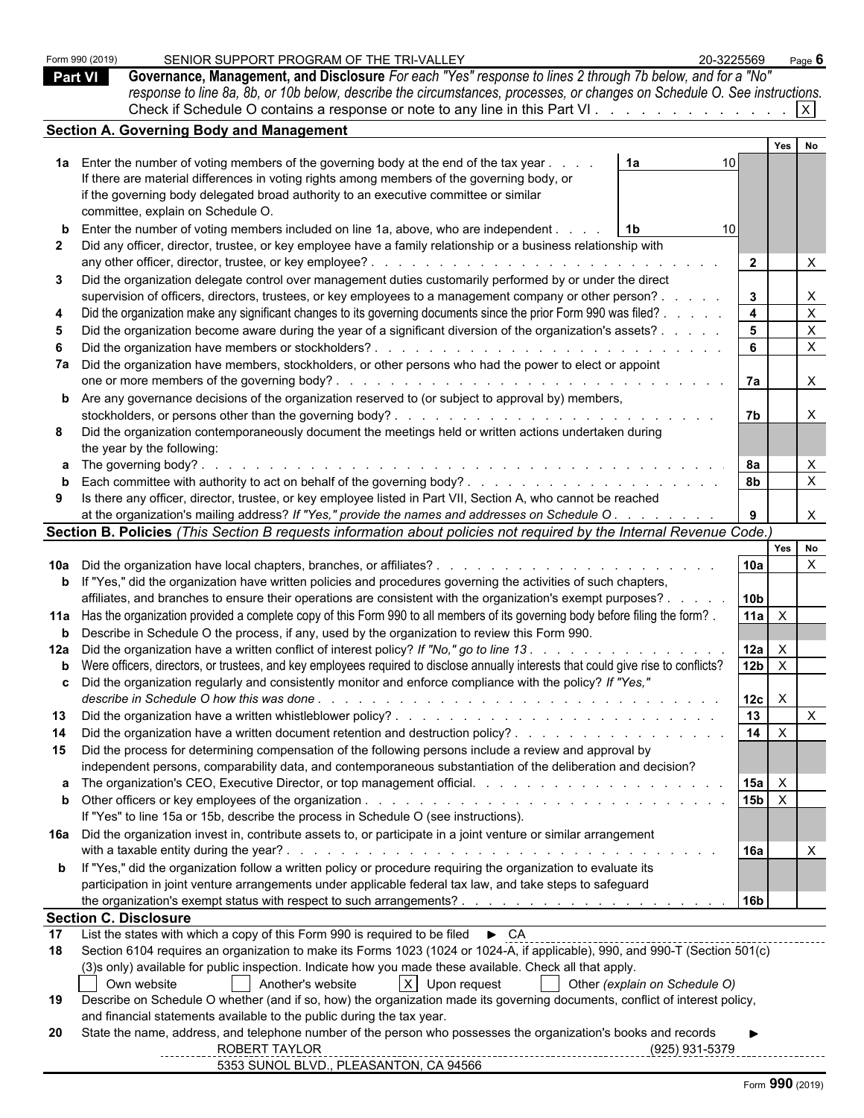|                | Form 990 (2019)              | SENIOR SUPPORT PROGRAM OF THE TRI-VALLEY                                                                                                                                                                                        | 20-3225569      |                                 | Page 6                    |
|----------------|------------------------------|---------------------------------------------------------------------------------------------------------------------------------------------------------------------------------------------------------------------------------|-----------------|---------------------------------|---------------------------|
| <b>Part VI</b> |                              | Governance, Management, and Disclosure For each "Yes" response to lines 2 through 7b below, and for a "No"                                                                                                                      |                 |                                 |                           |
|                |                              | response to line 8a, 8b, or 10b below, describe the circumstances, processes, or changes on Schedule O. See instructions.                                                                                                       |                 |                                 |                           |
|                |                              | Check if Schedule O contains a response or note to any line in this Part VI   X                                                                                                                                                 |                 |                                 |                           |
|                |                              | <b>Section A. Governing Body and Management</b>                                                                                                                                                                                 |                 |                                 |                           |
|                |                              |                                                                                                                                                                                                                                 |                 | Yes                             | No                        |
|                |                              | 1a Enter the number of voting members of the governing body at the end of the tax year<br>1a                                                                                                                                    |                 |                                 |                           |
|                |                              | If there are material differences in voting rights among members of the governing body, or                                                                                                                                      |                 |                                 |                           |
|                |                              | if the governing body delegated broad authority to an executive committee or similar                                                                                                                                            |                 |                                 |                           |
|                |                              | committee, explain on Schedule O.                                                                                                                                                                                               |                 |                                 |                           |
|                |                              | <b>b</b> Enter the number of voting members included on line 1a, above, who are independent.<br>- 1b                                                                                                                            | 10 <sup>1</sup> |                                 |                           |
| 2              |                              | Did any officer, director, trustee, or key employee have a family relationship or a business relationship with                                                                                                                  |                 |                                 |                           |
|                |                              |                                                                                                                                                                                                                                 |                 | $\overline{2}$                  | $\boldsymbol{\mathsf{X}}$ |
| 3              |                              | Did the organization delegate control over management duties customarily performed by or under the direct                                                                                                                       |                 |                                 |                           |
|                |                              | supervision of officers, directors, trustees, or key employees to a management company or other person?.                                                                                                                        |                 | 3 <sup>1</sup>                  | $\boldsymbol{\mathsf{X}}$ |
|                |                              | Did the organization make any significant changes to its governing documents since the prior Form 990 was filed? .                                                                                                              |                 | $\overline{\mathbf{4}}$         | $\mathsf X$               |
|                |                              | Did the organization become aware during the year of a significant diversion of the organization's assets?                                                                                                                      |                 | 5 <sub>5</sub>                  | $\mathsf{X}$              |
|                |                              |                                                                                                                                                                                                                                 |                 | $6\phantom{a}$                  | $\mathsf{X}$              |
|                |                              | 7a Did the organization have members, stockholders, or other persons who had the power to elect or appoint                                                                                                                      |                 |                                 |                           |
|                |                              |                                                                                                                                                                                                                                 |                 | 7a                              | $\mathsf{X}$              |
|                |                              | <b>b</b> Are any governance decisions of the organization reserved to (or subject to approval by) members,                                                                                                                      |                 |                                 |                           |
|                |                              | stockholders, or persons other than the governing body?.                                                                                                                                                                        |                 | 7b                              | $\mathsf{X}$              |
| 8              |                              | Did the organization contemporaneously document the meetings held or written actions undertaken during                                                                                                                          |                 |                                 |                           |
|                |                              | the year by the following:                                                                                                                                                                                                      |                 |                                 |                           |
|                |                              | <b>a</b> The governing body?.                                                                                                                                                                                                   |                 | 8а                              | $\mathsf{X}$              |
|                |                              |                                                                                                                                                                                                                                 |                 | <b>8b</b>                       | $\mathsf{X}$              |
| 9              |                              | Is there any officer, director, trustee, or key employee listed in Part VII, Section A, who cannot be reached                                                                                                                   |                 |                                 |                           |
|                |                              | at the organization's mailing address? If "Yes," provide the names and addresses on Schedule O.                                                                                                                                 |                 | 9                               | $\boldsymbol{\mathsf{X}}$ |
|                |                              | Section B. Policies (This Section B requests information about policies not required by the Internal Revenue Code.)                                                                                                             |                 |                                 |                           |
|                |                              |                                                                                                                                                                                                                                 |                 | Yes                             | No                        |
|                |                              |                                                                                                                                                                                                                                 |                 | 10a                             | $\boldsymbol{\mathsf{X}}$ |
|                |                              | <b>b</b> If "Yes," did the organization have written policies and procedures governing the activities of such chapters,                                                                                                         |                 |                                 |                           |
|                |                              | affiliates, and branches to ensure their operations are consistent with the organization's exempt purposes?.                                                                                                                    |                 | 10 <sub>b</sub>                 |                           |
|                |                              | 11a Has the organization provided a complete copy of this Form 990 to all members of its governing body before filing the form?.                                                                                                |                 | 11a<br>$\mathsf{X}$             |                           |
|                |                              | <b>b</b> Describe in Schedule O the process, if any, used by the organization to review this Form 990.                                                                                                                          |                 |                                 |                           |
|                |                              |                                                                                                                                                                                                                                 |                 | 12a                             |                           |
|                |                              | <b>b</b> Were officers, directors, or trustees, and key employees required to disclose annually interests that could give rise to conflicts?                                                                                    |                 | 12 <sub>b</sub><br>$\mathsf{X}$ |                           |
|                |                              | Did the organization regularly and consistently monitor and enforce compliance with the policy? If "Yes,"                                                                                                                       |                 |                                 |                           |
|                |                              |                                                                                                                                                                                                                                 |                 | 12c<br>$\mathsf{X}$             |                           |
| 13             |                              |                                                                                                                                                                                                                                 |                 | $\overline{13}$                 | $\mathsf{X}$              |
|                |                              |                                                                                                                                                                                                                                 |                 | 14<br>$\mathsf{X}$              |                           |
| 15             |                              | Did the process for determining compensation of the following persons include a review and approval by                                                                                                                          |                 |                                 |                           |
|                |                              | independent persons, comparability data, and contemporaneous substantiation of the deliberation and decision?                                                                                                                   |                 |                                 |                           |
|                |                              |                                                                                                                                                                                                                                 |                 | 15a<br>$\mathsf{X}$             |                           |
|                |                              |                                                                                                                                                                                                                                 |                 | 15 <sub>b</sub><br>$\mathsf{X}$ |                           |
|                |                              | If "Yes" to line 15a or 15b, describe the process in Schedule O (see instructions).                                                                                                                                             |                 |                                 |                           |
|                |                              | 16a Did the organization invest in, contribute assets to, or participate in a joint venture or similar arrangement                                                                                                              |                 |                                 |                           |
|                |                              |                                                                                                                                                                                                                                 |                 | 16a                             | $\times$                  |
|                |                              | <b>b</b> If "Yes," did the organization follow a written policy or procedure requiring the organization to evaluate its                                                                                                         |                 |                                 |                           |
|                |                              | participation in joint venture arrangements under applicable federal tax law, and take steps to safeguard                                                                                                                       |                 |                                 |                           |
|                |                              |                                                                                                                                                                                                                                 |                 | 16 <sub>b</sub>                 |                           |
|                | <b>Section C. Disclosure</b> |                                                                                                                                                                                                                                 |                 |                                 |                           |
| 17             |                              | List the states with which a copy of this Form 990 is required to be filed<br>D.C. Concurrences is a compared to the filed D.C. Concurrence is a contract of the state of the state of the state of the state of the state of t |                 |                                 |                           |
| 18             |                              | Section 6104 requires an organization to make its Forms 1023 (1024 or 1024-A, if applicable), 990, and 990-T (Section 501(c)                                                                                                    |                 |                                 |                           |
|                |                              | (3)s only) available for public inspection. Indicate how you made these available. Check all that apply.                                                                                                                        |                 |                                 |                           |
|                |                              | $X$ Upon request<br>Own website<br>Another's website<br>Other (explain on Schedule O)                                                                                                                                           |                 |                                 |                           |
| 19             |                              | Describe on Schedule O whether (and if so, how) the organization made its governing documents, conflict of interest policy,<br>and financial statements available to the public during the tax year.                            |                 |                                 |                           |
| 20             |                              | State the name, address, and telephone number of the person who possesses the organization's books and records                                                                                                                  |                 |                                 |                           |
|                |                              | ROBERT TAYLOR                                                                                                                                                                                                                   | (925) 931-5379  |                                 |                           |
|                |                              | 5353 SUNOL BLVD., PLEASANTON, CA 94566                                                                                                                                                                                          |                 |                                 |                           |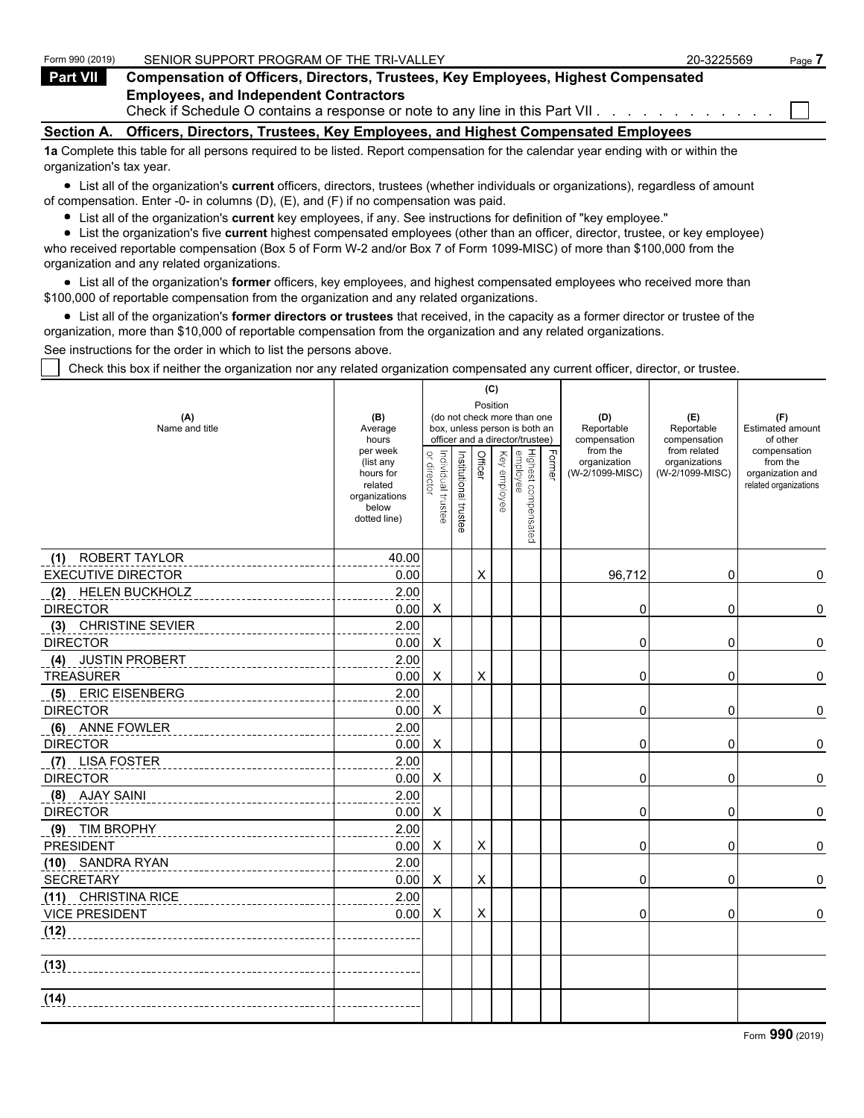| Form 990 (2019)          | SENIOR SUPPORT PROGRAM OF THE TRI-VALLEY                                                                                          | 20-3225569 | Page 7 |
|--------------------------|-----------------------------------------------------------------------------------------------------------------------------------|------------|--------|
| <b>Part VII</b>          | <b>Compensation of Officers, Directors, Trustees, Key Employees, Highest Compensated</b>                                          |            |        |
|                          | <b>Employees, and Independent Contractors</b>                                                                                     |            |        |
|                          | Check if Schedule O contains a response or note to any line in this Part VII. $\ldots$ , $\ldots$ , $\ldots$                      |            |        |
| <b>Section A.</b>        | Officers, Directors, Trustees, Key Employees, and Highest Compensated Employees                                                   |            |        |
|                          | 1a Complete this table for all persons required to be listed. Report compensation for the calendar year ending with or within the |            |        |
| organization's tax year. |                                                                                                                                   |            |        |

List all of the organization's **current** officers, directors, trustees (whether individuals or organizations), regardless of amount of compensation. Enter -0- in columns (D), (E), and (F) if no compensation was paid.

- List all of the organization's **current** key employees, if any. See instructions for definition of "key employee."
- List the organization's five **current** highest compensated employees (other than an officer, director, trustee, or key employee) who received reportable compensation (Box 5 of Form W-2 and/or Box 7 of Form 1099-MISC) of more than \$100,000 from the

organization and any related organizations.

List all of the organization's **former** officers, key employees, and highest compensated employees who received more than \$100,000 of reportable compensation from the organization and any related organizations.

List all of the organization's **former directors or trustees** that received, in the capacity as a former director or trustee of the organization, more than \$10,000 of reportable compensation from the organization and any related organizations.

See instructions for the order in which to list the persons above.

Check this box if neither the organization nor any related organization compensated any current officer, director, or trustee.

|                              |                                                                                         |                                   |                       |         | (C)             |                                                                                                 |        |                                             |                                                  |                                                                       |
|------------------------------|-----------------------------------------------------------------------------------------|-----------------------------------|-----------------------|---------|-----------------|-------------------------------------------------------------------------------------------------|--------|---------------------------------------------|--------------------------------------------------|-----------------------------------------------------------------------|
| (A)<br>Name and title        | (B)<br>Average<br>hours                                                                 |                                   |                       |         | Position        | (do not check more than one<br>box, unless person is both an<br>officer and a director/trustee) |        | (D)<br>Reportable<br>compensation           | (E)<br>Reportable<br>compensation                | (F)<br>Estimated amount<br>of other                                   |
|                              | per week<br>(list any<br>hours for<br>related<br>organizations<br>below<br>dotted line) | Individual trustee<br>or director | Institutional trustee | Officer | Key<br>employee | Highest compensated<br>employee                                                                 | Former | from the<br>organization<br>(W-2/1099-MISC) | from related<br>organizations<br>(W-2/1099-MISC) | compensation<br>from the<br>organization and<br>related organizations |
| ROBERT TAYLOR<br>(1)         | 40.00                                                                                   |                                   |                       |         |                 |                                                                                                 |        |                                             |                                                  |                                                                       |
| <b>EXECUTIVE DIRECTOR</b>    | 0.00                                                                                    |                                   |                       | X       |                 |                                                                                                 |        | 96,712                                      | 0                                                | 0                                                                     |
| <b>HELEN BUCKHOLZ</b><br>(2) | 2.00                                                                                    |                                   |                       |         |                 |                                                                                                 |        |                                             |                                                  |                                                                       |
| <b>DIRECTOR</b>              | 0.00                                                                                    | X                                 |                       |         |                 |                                                                                                 |        | 0                                           | 0                                                | 0                                                                     |
| (3) CHRISTINE SEVIER         | 2.00                                                                                    |                                   |                       |         |                 |                                                                                                 |        |                                             |                                                  |                                                                       |
| <b>DIRECTOR</b>              | 0.00                                                                                    | Χ                                 |                       |         |                 |                                                                                                 |        | 0                                           | 0                                                | 0                                                                     |
| <b>JUSTIN PROBERT</b><br>(4) | 2.00                                                                                    |                                   |                       |         |                 |                                                                                                 |        |                                             |                                                  |                                                                       |
| <b>TREASURER</b>             | 0.00                                                                                    | Χ                                 |                       | X       |                 |                                                                                                 |        | $\Omega$                                    | 0                                                | 0                                                                     |
| (5) ERIC EISENBERG           | 2.00                                                                                    |                                   |                       |         |                 |                                                                                                 |        |                                             |                                                  |                                                                       |
| <b>DIRECTOR</b>              | 0.00                                                                                    | X                                 |                       |         |                 |                                                                                                 |        | $\Omega$                                    | 0                                                | 0                                                                     |
| (6) ANNE FOWLER              | 2.00                                                                                    |                                   |                       |         |                 |                                                                                                 |        |                                             |                                                  |                                                                       |
| <b>DIRECTOR</b>              | 0.00                                                                                    | X                                 |                       |         |                 |                                                                                                 |        | 0                                           | 0                                                | 0                                                                     |
| (7) LISA FOSTER              | 2.00                                                                                    |                                   |                       |         |                 |                                                                                                 |        |                                             |                                                  |                                                                       |
| <b>DIRECTOR</b>              | 0.00                                                                                    | X                                 |                       |         |                 |                                                                                                 |        | 0                                           | 0                                                | 0                                                                     |
| (8) AJAY SAINI               | 2.00                                                                                    |                                   |                       |         |                 |                                                                                                 |        |                                             |                                                  |                                                                       |
| <b>DIRECTOR</b>              | 0.00                                                                                    | Χ                                 |                       |         |                 |                                                                                                 |        | 0                                           | 0                                                | 0                                                                     |
| (9) TIM BROPHY               | 2.00                                                                                    |                                   |                       |         |                 |                                                                                                 |        |                                             |                                                  |                                                                       |
| <b>PRESIDENT</b>             | 0.00                                                                                    | X                                 |                       | X       |                 |                                                                                                 |        | 0                                           | 0                                                | 0                                                                     |
| (10) SANDRA RYAN             | 2.00                                                                                    |                                   |                       |         |                 |                                                                                                 |        |                                             |                                                  |                                                                       |
| <b>SECRETARY</b>             | 0.00                                                                                    | Χ                                 |                       | X       |                 |                                                                                                 |        | 0                                           | 0                                                | 0                                                                     |
| (11) CHRISTINA RICE          | 2.00                                                                                    |                                   |                       |         |                 |                                                                                                 |        |                                             |                                                  |                                                                       |
| <b>VICE PRESIDENT</b>        | 0.00                                                                                    | X                                 |                       | X       |                 |                                                                                                 |        | 0                                           | 0                                                | 0                                                                     |
| (12)                         |                                                                                         |                                   |                       |         |                 |                                                                                                 |        |                                             |                                                  |                                                                       |
| (13)                         |                                                                                         |                                   |                       |         |                 |                                                                                                 |        |                                             |                                                  |                                                                       |
| (14)                         |                                                                                         |                                   |                       |         |                 |                                                                                                 |        |                                             |                                                  |                                                                       |
|                              |                                                                                         |                                   |                       |         |                 |                                                                                                 |        |                                             |                                                  |                                                                       |

Form **990** (2019)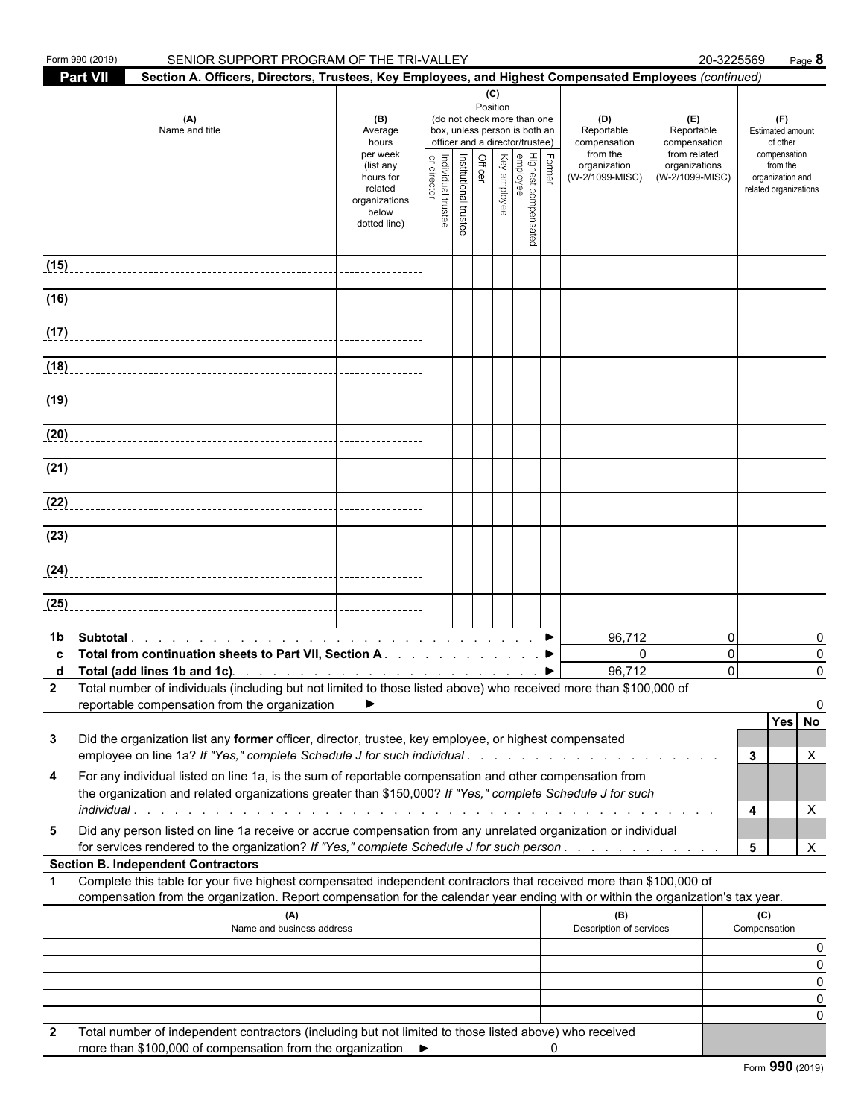| Form 990 (2019)<br>SENIOR SUPPORT PROGRAM OF THE TRI-VALLEY                                                                                                                                                                                                 |                                                                                                                    |                                   |                       |                 |                                                                                                                                                                      |                                                                                  | 20-3225569                                                                            | Page 8                                                                                                       |                    |
|-------------------------------------------------------------------------------------------------------------------------------------------------------------------------------------------------------------------------------------------------------------|--------------------------------------------------------------------------------------------------------------------|-----------------------------------|-----------------------|-----------------|----------------------------------------------------------------------------------------------------------------------------------------------------------------------|----------------------------------------------------------------------------------|---------------------------------------------------------------------------------------|--------------------------------------------------------------------------------------------------------------|--------------------|
| <b>Part VII</b><br>Section A. Officers, Directors, Trustees, Key Employees, and Highest Compensated Employees (continued)                                                                                                                                   |                                                                                                                    |                                   |                       |                 |                                                                                                                                                                      |                                                                                  |                                                                                       |                                                                                                              |                    |
| (A)<br>Name and title                                                                                                                                                                                                                                       | (B)<br>Average<br>hours<br>per week<br>(list any<br>hours for<br>related<br>organizations<br>below<br>dotted line) | Individual trustee<br>or director | Institutional trustee | (C)<br>Position | (do not check more than one<br>box, unless person is both an<br>officer and a director/trustee)<br>∖ Former<br>Highest compensated<br>employee<br>Cfflcer<br>Offlcer | (D)<br>Reportable<br>compensation<br>from the<br>organization<br>(W-2/1099-MISC) | (E)<br>Reportable<br>compensation<br>from related<br>organizations<br>(W-2/1099-MISC) | (F)<br>Estimated amount<br>of other<br>compensation<br>from the<br>organization and<br>related organizations |                    |
| (15)                                                                                                                                                                                                                                                        |                                                                                                                    |                                   |                       |                 |                                                                                                                                                                      |                                                                                  |                                                                                       |                                                                                                              |                    |
|                                                                                                                                                                                                                                                             |                                                                                                                    |                                   |                       |                 |                                                                                                                                                                      |                                                                                  |                                                                                       |                                                                                                              |                    |
|                                                                                                                                                                                                                                                             |                                                                                                                    |                                   |                       |                 |                                                                                                                                                                      |                                                                                  |                                                                                       |                                                                                                              |                    |
| $\frac{1}{117}$                                                                                                                                                                                                                                             |                                                                                                                    |                                   |                       |                 |                                                                                                                                                                      |                                                                                  |                                                                                       |                                                                                                              |                    |
|                                                                                                                                                                                                                                                             |                                                                                                                    |                                   |                       |                 |                                                                                                                                                                      |                                                                                  |                                                                                       |                                                                                                              |                    |
|                                                                                                                                                                                                                                                             |                                                                                                                    |                                   |                       |                 |                                                                                                                                                                      |                                                                                  |                                                                                       |                                                                                                              |                    |
| (20)                                                                                                                                                                                                                                                        |                                                                                                                    |                                   |                       |                 |                                                                                                                                                                      |                                                                                  |                                                                                       |                                                                                                              |                    |
|                                                                                                                                                                                                                                                             |                                                                                                                    |                                   |                       |                 |                                                                                                                                                                      |                                                                                  |                                                                                       |                                                                                                              |                    |
|                                                                                                                                                                                                                                                             |                                                                                                                    |                                   |                       |                 |                                                                                                                                                                      |                                                                                  |                                                                                       |                                                                                                              |                    |
|                                                                                                                                                                                                                                                             |                                                                                                                    |                                   |                       |                 |                                                                                                                                                                      |                                                                                  |                                                                                       |                                                                                                              |                    |
|                                                                                                                                                                                                                                                             |                                                                                                                    |                                   |                       |                 |                                                                                                                                                                      |                                                                                  |                                                                                       |                                                                                                              |                    |
|                                                                                                                                                                                                                                                             |                                                                                                                    |                                   |                       |                 |                                                                                                                                                                      |                                                                                  |                                                                                       |                                                                                                              |                    |
| (25)                                                                                                                                                                                                                                                        |                                                                                                                    |                                   |                       |                 |                                                                                                                                                                      |                                                                                  |                                                                                       |                                                                                                              |                    |
|                                                                                                                                                                                                                                                             |                                                                                                                    |                                   |                       |                 |                                                                                                                                                                      |                                                                                  |                                                                                       |                                                                                                              |                    |
| 1b<br>Total from continuation sheets to Part VII, Section A. ▶<br>2 Total number of individuals (including but not limited to those listed above) who received more than \$100,000 of                                                                       | ▶                                                                                                                  |                                   |                       |                 |                                                                                                                                                                      | 96,712<br>$\mathbf{0}$<br>96,712                                                 | $\mathbf{0}$<br>$\mathbf 0$<br>$\Omega$                                               |                                                                                                              | 0<br>0<br>$\Omega$ |
| reportable compensation from the organization                                                                                                                                                                                                               |                                                                                                                    |                                   |                       |                 |                                                                                                                                                                      |                                                                                  |                                                                                       | Yes No                                                                                                       |                    |
| Did the organization list any former officer, director, trustee, key employee, or highest compensated<br>3<br>employee on line 1a? If "Yes," complete Schedule J for such individual                                                                        |                                                                                                                    |                                   |                       |                 |                                                                                                                                                                      |                                                                                  |                                                                                       | 3                                                                                                            | X                  |
| For any individual listed on line 1a, is the sum of reportable compensation and other compensation from<br>4<br>the organization and related organizations greater than \$150,000? If "Yes," complete Schedule J for such                                   |                                                                                                                    |                                   |                       |                 |                                                                                                                                                                      |                                                                                  |                                                                                       | 4                                                                                                            | X                  |
| Did any person listed on line 1a receive or accrue compensation from any unrelated organization or individual<br>5<br>for services rendered to the organization? If "Yes," complete Schedule J for such person.                                             |                                                                                                                    |                                   |                       |                 |                                                                                                                                                                      |                                                                                  |                                                                                       | 5                                                                                                            | X                  |
| <b>Section B. Independent Contractors</b>                                                                                                                                                                                                                   |                                                                                                                    |                                   |                       |                 |                                                                                                                                                                      |                                                                                  |                                                                                       |                                                                                                              |                    |
| Complete this table for your five highest compensated independent contractors that received more than \$100,000 of<br>1<br>compensation from the organization. Report compensation for the calendar year ending with or within the organization's tax year. |                                                                                                                    |                                   |                       |                 |                                                                                                                                                                      |                                                                                  |                                                                                       |                                                                                                              |                    |
| (A)<br>Name and business address                                                                                                                                                                                                                            |                                                                                                                    |                                   |                       |                 |                                                                                                                                                                      | (B)<br>Description of services                                                   |                                                                                       | (C)<br>Compensation                                                                                          |                    |
|                                                                                                                                                                                                                                                             |                                                                                                                    |                                   |                       |                 |                                                                                                                                                                      |                                                                                  |                                                                                       |                                                                                                              | 0<br>0             |
|                                                                                                                                                                                                                                                             |                                                                                                                    |                                   |                       |                 |                                                                                                                                                                      |                                                                                  |                                                                                       |                                                                                                              | 0                  |
|                                                                                                                                                                                                                                                             |                                                                                                                    |                                   |                       |                 |                                                                                                                                                                      |                                                                                  |                                                                                       |                                                                                                              | 0                  |
|                                                                                                                                                                                                                                                             |                                                                                                                    |                                   |                       |                 |                                                                                                                                                                      |                                                                                  |                                                                                       |                                                                                                              | 0                  |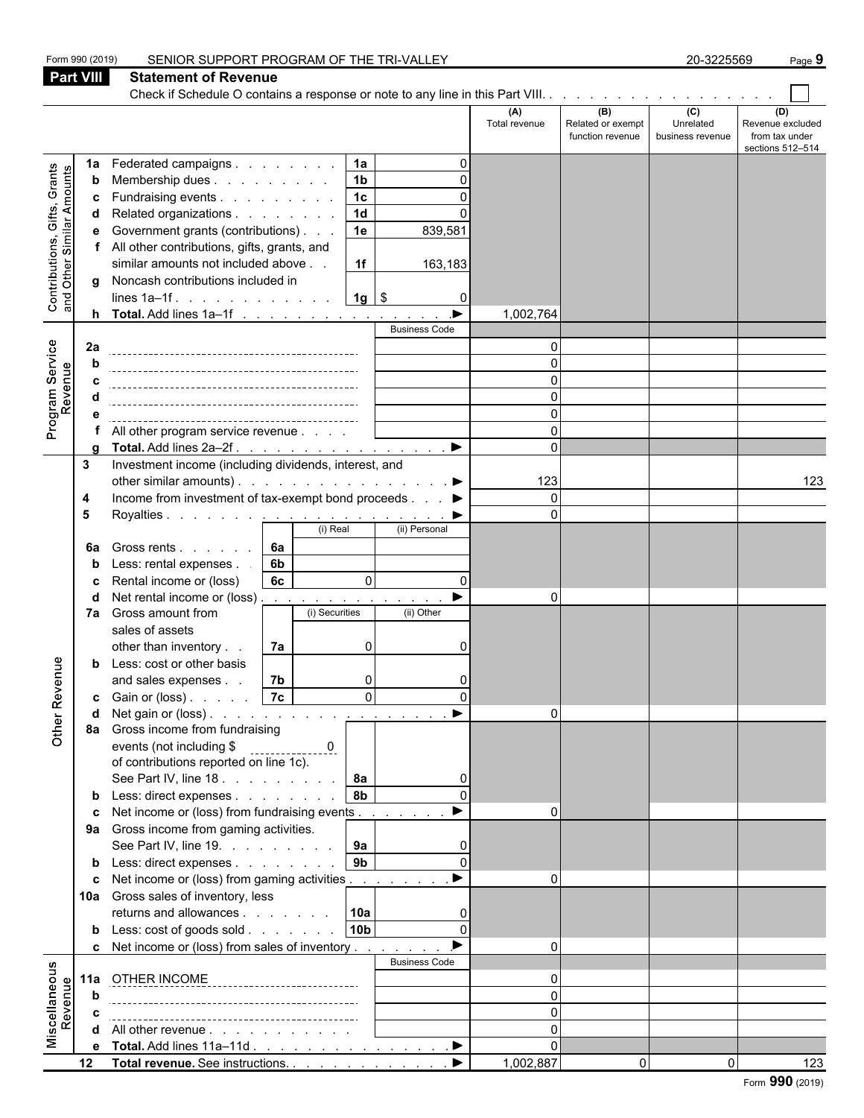|                                                                                                                                                   |                  | SENIOR SUPPORT PROGRAM OF THE TRI-VALLEY                                                   |                      |                                              | 20-3225569                           | Page 9                                                        |
|---------------------------------------------------------------------------------------------------------------------------------------------------|------------------|--------------------------------------------------------------------------------------------|----------------------|----------------------------------------------|--------------------------------------|---------------------------------------------------------------|
|                                                                                                                                                   | <b>Part VIII</b> | <b>Statement of Revenue</b>                                                                |                      |                                              |                                      |                                                               |
|                                                                                                                                                   |                  | Check if Schedule O contains a response or note to any line in this Part VIII.             |                      |                                              |                                      |                                                               |
|                                                                                                                                                   |                  |                                                                                            | (A)<br>Total revenue | (B)<br>Related or exempt<br>function revenue | (C)<br>Unrelated<br>business revenue | (D)<br>Revenue excluded<br>from tax under<br>sections 512-514 |
|                                                                                                                                                   | 1a               | Federated campaigns<br>1a                                                                  |                      |                                              |                                      |                                                               |
|                                                                                                                                                   | b                | 1 <sub>b</sub><br>Membership dues<br>U                                                     |                      |                                              |                                      |                                                               |
|                                                                                                                                                   | c                | 1 <sub>c</sub><br>Fundraising events                                                       |                      |                                              |                                      |                                                               |
| Form 990 (2019)<br>Grants<br>Contributions, Gifts, Grants<br>and Other Similar Amounts<br>Service<br>Revenue<br>Program <b>:</b><br>Other Revenue | d                | $\overline{1d}$<br>Related organizations                                                   |                      |                                              |                                      |                                                               |
|                                                                                                                                                   | е                | 1e<br>Government grants (contributions)<br>839,581                                         |                      |                                              |                                      |                                                               |
|                                                                                                                                                   |                  | f All other contributions, gifts, grants, and                                              |                      |                                              |                                      |                                                               |
|                                                                                                                                                   |                  | similar amounts not included above<br>1f<br>163,183                                        |                      |                                              |                                      |                                                               |
|                                                                                                                                                   |                  | g Noncash contributions included in                                                        |                      |                                              |                                      |                                                               |
|                                                                                                                                                   |                  | $1g$ \$<br>lines $1a-1f$ .<br>$\mathbf{0}$<br><b>h</b> Total. Add lines $1a-1f$            | 1,002,764            |                                              |                                      |                                                               |
|                                                                                                                                                   |                  | <b>Business Code</b>                                                                       |                      |                                              |                                      |                                                               |
|                                                                                                                                                   | 2a               |                                                                                            | $\Omega$             |                                              |                                      |                                                               |
|                                                                                                                                                   | b                |                                                                                            | O                    |                                              |                                      |                                                               |
|                                                                                                                                                   |                  |                                                                                            |                      |                                              |                                      |                                                               |
|                                                                                                                                                   |                  |                                                                                            |                      |                                              |                                      |                                                               |
|                                                                                                                                                   |                  |                                                                                            |                      |                                              |                                      |                                                               |
|                                                                                                                                                   |                  | All other program service revenue                                                          | 0                    |                                              |                                      |                                                               |
|                                                                                                                                                   | 3                | Total. Add lines 2a–2f. ▶<br>Investment income (including dividends, interest, and         |                      |                                              |                                      |                                                               |
|                                                                                                                                                   |                  | other similar amounts). $\ldots$ $\ldots$ $\ldots$ $\ldots$ $\ldots$ $\ldots$              | 123                  |                                              |                                      | 123                                                           |
|                                                                                                                                                   | 4                | Income from investment of tax-exempt bond proceeds ▶                                       | $\Omega$             |                                              |                                      |                                                               |
|                                                                                                                                                   | 5                |                                                                                            | O                    |                                              |                                      |                                                               |
|                                                                                                                                                   |                  | (i) Real<br>(ii) Personal                                                                  |                      |                                              |                                      |                                                               |
|                                                                                                                                                   | 6а               | 6а<br>Gross rents                                                                          |                      |                                              |                                      |                                                               |
|                                                                                                                                                   | b                | Less: rental expenses.<br>6b                                                               |                      |                                              |                                      |                                                               |
|                                                                                                                                                   | c                | Rental income or (loss)<br>6с<br>$\Omega$<br>$\Omega$<br>Net rental income or (loss)       |                      |                                              |                                      |                                                               |
|                                                                                                                                                   | d                | and a state<br>and the company<br>7a Gross amount from<br>(i) Securities<br>(ii) Other     | 0                    |                                              |                                      |                                                               |
|                                                                                                                                                   |                  | sales of assets                                                                            |                      |                                              |                                      |                                                               |
|                                                                                                                                                   |                  | other than inventory<br>7a<br>$\Omega$<br>O                                                |                      |                                              |                                      |                                                               |
|                                                                                                                                                   | b                | Less: cost or other basis                                                                  |                      |                                              |                                      |                                                               |
|                                                                                                                                                   |                  | 7b<br>and sales expenses                                                                   |                      |                                              |                                      |                                                               |
|                                                                                                                                                   |                  | $\Omega$                                                                                   |                      |                                              |                                      |                                                               |
|                                                                                                                                                   | d                | $\blacktriangleright$                                                                      | $\Omega$             |                                              |                                      |                                                               |
|                                                                                                                                                   |                  | 8a Gross income from fundraising<br>events (not including \$                               |                      |                                              |                                      |                                                               |
|                                                                                                                                                   |                  | . 0.<br>of contributions reported on line 1c).                                             |                      |                                              |                                      |                                                               |
|                                                                                                                                                   |                  |                                                                                            |                      |                                              |                                      |                                                               |
|                                                                                                                                                   |                  | 8 <sub>b</sub><br><b>b</b> Less: direct expenses                                           |                      |                                              |                                      |                                                               |
|                                                                                                                                                   | c                | Net income or (loss) from fundraising events                                               |                      |                                              |                                      |                                                               |
|                                                                                                                                                   |                  | 9a Gross income from gaming activities.                                                    |                      |                                              |                                      |                                                               |
|                                                                                                                                                   |                  | 9a<br>See Part IV, line 19.                                                                |                      |                                              |                                      |                                                               |
|                                                                                                                                                   |                  | 9 <sub>b</sub><br><b>b</b> Less: direct expenses<br>$\Omega$                               | $\Omega$             |                                              |                                      |                                                               |
|                                                                                                                                                   |                  | <b>c</b> Net income or (loss) from gaming activities<br>10a Gross sales of inventory, less |                      |                                              |                                      |                                                               |
|                                                                                                                                                   |                  | returns and allowances 10a                                                                 |                      |                                              |                                      |                                                               |
|                                                                                                                                                   |                  | 10 <sub>b</sub><br><b>b</b> Less: $\cosh$ of goods $\sinh$<br>$\Omega$                     |                      |                                              |                                      |                                                               |
|                                                                                                                                                   |                  | c Net income or (loss) from sales of inventory                                             | $\Omega$             |                                              |                                      |                                                               |
|                                                                                                                                                   |                  | <b>Business Code</b>                                                                       |                      |                                              |                                      |                                                               |
|                                                                                                                                                   |                  | 11a OTHER INCOME ____________________________                                              |                      |                                              |                                      |                                                               |
|                                                                                                                                                   | b                |                                                                                            | 0                    |                                              |                                      |                                                               |
| Miscellaneous<br>Revenue                                                                                                                          | c                |                                                                                            | $\Omega$             |                                              |                                      |                                                               |
|                                                                                                                                                   |                  | d All other revenue                                                                        | $\Omega$             |                                              |                                      |                                                               |
|                                                                                                                                                   |                  | e Total. Add lines 11a-11d ▶<br>$\blacktriangleright$                                      | 0<br>1,002,887       | 0                                            | 0                                    |                                                               |
|                                                                                                                                                   |                  | 12 Total revenue. See instructions.                                                        |                      |                                              |                                      | 123                                                           |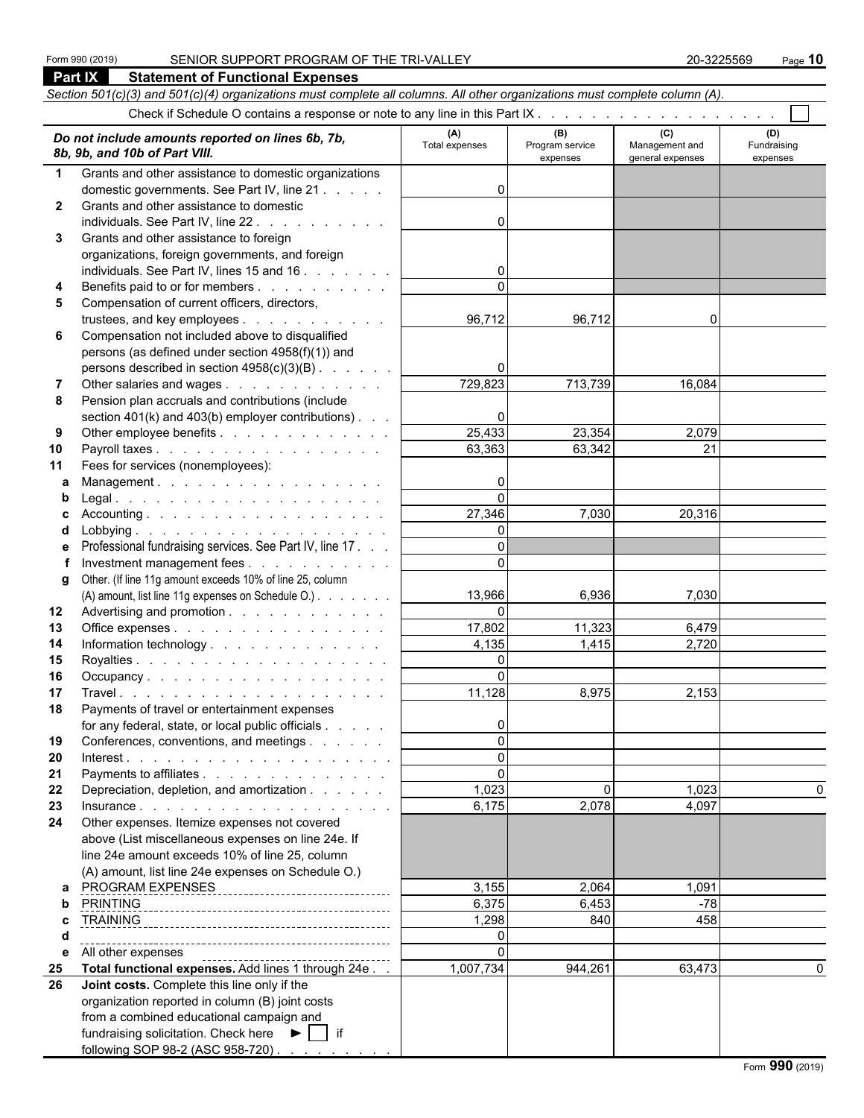|              | Part IX<br><b>Statement of Functional Expenses</b>                                                                         |                       |                                    |                                           |                                |
|--------------|----------------------------------------------------------------------------------------------------------------------------|-----------------------|------------------------------------|-------------------------------------------|--------------------------------|
|              | Section 501(c)(3) and 501(c)(4) organizations must complete all columns. All other organizations must complete column (A). |                       |                                    |                                           |                                |
|              |                                                                                                                            |                       |                                    |                                           |                                |
|              | Do not include amounts reported on lines 6b, 7b,<br>8b, 9b, and 10b of Part VIII.                                          | (A)<br>Total expenses | (B)<br>Program service<br>expenses | (C)<br>Management and<br>general expenses | (D)<br>Fundraising<br>expenses |
| $\mathbf 1$  | Grants and other assistance to domestic organizations                                                                      |                       |                                    |                                           |                                |
|              | domestic governments. See Part IV, line 21                                                                                 | 0                     |                                    |                                           |                                |
| $\mathbf{2}$ | Grants and other assistance to domestic                                                                                    |                       |                                    |                                           |                                |
|              | individuals. See Part IV, line 22.                                                                                         | 0                     |                                    |                                           |                                |
| 3            | Grants and other assistance to foreign                                                                                     |                       |                                    |                                           |                                |
|              | organizations, foreign governments, and foreign                                                                            |                       |                                    |                                           |                                |
|              | individuals. See Part IV, lines 15 and 16                                                                                  | 0                     |                                    |                                           |                                |
| 4            | Benefits paid to or for members                                                                                            |                       |                                    |                                           |                                |
| 5            | Compensation of current officers, directors,                                                                               |                       |                                    |                                           |                                |
|              | trustees, and key employees                                                                                                | 96,712                | 96,712                             | 0                                         |                                |
| 6            | Compensation not included above to disqualified                                                                            |                       |                                    |                                           |                                |
|              | persons (as defined under section 4958(f)(1)) and                                                                          |                       |                                    |                                           |                                |
|              | persons described in section $4958(c)(3)(B)$ .                                                                             | 0                     |                                    |                                           |                                |
|              | Other salaries and wages                                                                                                   | 729,823               | 713,739                            | 16,084                                    |                                |
| 8            | Pension plan accruals and contributions (include                                                                           |                       |                                    |                                           |                                |
|              | section $401(k)$ and $403(b)$ employer contributions).                                                                     | 0                     |                                    |                                           |                                |
| 9            | Other employee benefits                                                                                                    | 25,433                | 23,354                             | 2,079                                     |                                |
| 10           | Payroll taxes                                                                                                              | 63,363                | 63,342                             | 21                                        |                                |
| 11           | Fees for services (nonemployees):                                                                                          |                       |                                    |                                           |                                |
| a            | Management.                                                                                                                | 0                     |                                    |                                           |                                |
| b            |                                                                                                                            | $\Omega$              |                                    |                                           |                                |
| c            |                                                                                                                            | 27,346                | 7,030                              | 20,316                                    |                                |
| d            |                                                                                                                            | $\Omega$              |                                    |                                           |                                |
| е            | Professional fundraising services. See Part IV, line 17.                                                                   | $\Omega$              |                                    |                                           |                                |
|              | Investment management fees                                                                                                 | $\Omega$              |                                    |                                           |                                |
| g            | Other. (If line 11g amount exceeds 10% of line 25, column                                                                  |                       |                                    |                                           |                                |
|              | (A) amount, list line 11g expenses on Schedule O.)                                                                         | 13,966                | 6,936                              | 7,030                                     |                                |
| 12           | Advertising and promotion                                                                                                  | $\mathbf{0}$          |                                    |                                           |                                |
| 13           | Office expenses                                                                                                            | 17,802                | 11,323                             | 6,479                                     |                                |
| 14           | Information technology                                                                                                     | 4,135                 | 1,415                              | 2,720                                     |                                |
| 15           |                                                                                                                            | $\Omega$              |                                    |                                           |                                |
| 16           | Occupancy.                                                                                                                 | $\mathbf{0}$          |                                    |                                           |                                |
| 17           |                                                                                                                            | 11,128                | 8,975                              | 2,153                                     |                                |
| 18           | Payments of travel or entertainment expenses                                                                               |                       |                                    |                                           |                                |
|              | for any federal, state, or local public officials                                                                          | 0                     |                                    |                                           |                                |
| 19           | Conferences, conventions, and meetings                                                                                     | $\Omega$<br>$\Omega$  |                                    |                                           |                                |
| 20           | Payments to affiliates                                                                                                     | $\Omega$              |                                    |                                           |                                |
| 21<br>22     | Depreciation, depletion, and amortization                                                                                  | 1,023                 | $\Omega$                           | 1,023                                     |                                |
| 23           |                                                                                                                            | 6,175                 | 2,078                              | 4,097                                     |                                |
| 24           | Other expenses. Itemize expenses not covered                                                                               |                       |                                    |                                           |                                |
|              | above (List miscellaneous expenses on line 24e. If                                                                         |                       |                                    |                                           |                                |
|              | line 24e amount exceeds 10% of line 25, column                                                                             |                       |                                    |                                           |                                |
|              | (A) amount, list line 24e expenses on Schedule O.)                                                                         |                       |                                    |                                           |                                |
| a            | PROGRAM EXPENSES                                                                                                           | 3,155                 | 2,064                              | 1,091                                     |                                |
| b            | -------------------------------                                                                                            | 6,375                 | 6,453                              | $-78$                                     |                                |
| c            |                                                                                                                            | 1,298                 | 840                                | 458                                       |                                |
| d            |                                                                                                                            | $\mathbf{0}$          |                                    |                                           |                                |
| е            |                                                                                                                            | $\mathbf{0}$          |                                    |                                           |                                |
| 25           | Total functional expenses. Add lines 1 through 24e                                                                         | 1,007,734             | 944,261                            | 63,473                                    | $\Omega$                       |
| 26           | Joint costs. Complete this line only if the                                                                                |                       |                                    |                                           |                                |
|              | organization reported in column (B) joint costs                                                                            |                       |                                    |                                           |                                |
|              | from a combined educational campaign and                                                                                   |                       |                                    |                                           |                                |
|              | fundraising solicitation. Check here ▶   if                                                                                |                       |                                    |                                           |                                |
|              | following SOP 98-2 (ASC 958-720)                                                                                           |                       |                                    |                                           |                                |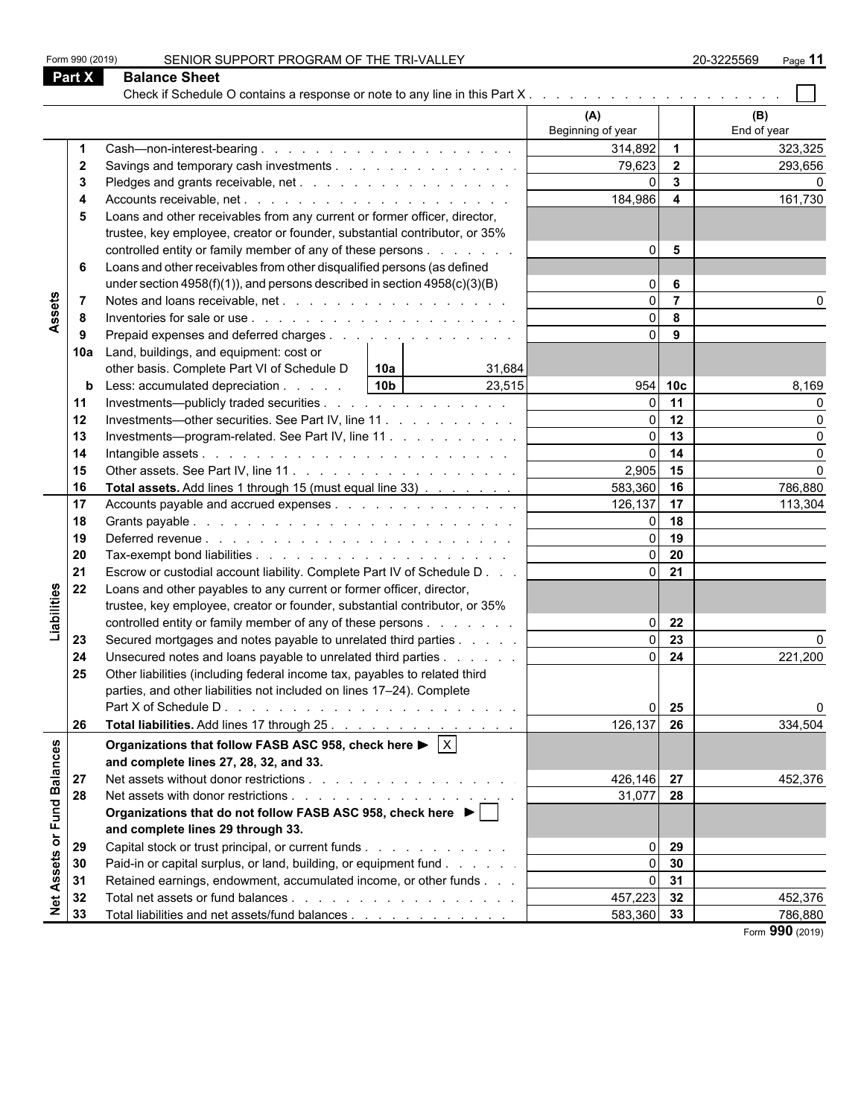|                              | <b>Part X</b> | <b>Balance Sheet</b>                                                                                |                          |                         |                    |
|------------------------------|---------------|-----------------------------------------------------------------------------------------------------|--------------------------|-------------------------|--------------------|
|                              |               |                                                                                                     | (A)<br>Beginning of year |                         | (B)<br>End of year |
|                              | -1            |                                                                                                     | 314,892                  | $\overline{1}$          | 323,325            |
|                              | $\mathbf{2}$  | Savings and temporary cash investments                                                              | 79,623                   | $\overline{2}$          | 293,656            |
|                              | -3            |                                                                                                     | $\Omega$                 | $\overline{\mathbf{3}}$ |                    |
|                              | 4             |                                                                                                     | 184,986                  | $\overline{\mathbf{4}}$ | 161,730            |
|                              | 5             | Loans and other receivables from any current or former officer, director,                           |                          |                         |                    |
|                              |               | trustee, key employee, creator or founder, substantial contributor, or 35%                          |                          |                         |                    |
|                              |               | controlled entity or family member of any of these persons                                          | $\Omega$                 | 5                       |                    |
|                              | 6             | Loans and other receivables from other disqualified persons (as defined                             |                          |                         |                    |
|                              |               | under section $4958(f)(1)$ , and persons described in section $4958(c)(3)(B)$                       | $\Omega$                 | 6                       |                    |
| Assets                       | -7            |                                                                                                     | $\Omega$                 | $\overline{7}$          |                    |
|                              | -8            |                                                                                                     | $\Omega$                 | 8                       |                    |
|                              | 9             | Prepaid expenses and deferred charges                                                               | $\Omega$                 | 9                       |                    |
|                              | 10a           | Land, buildings, and equipment: cost or                                                             |                          |                         |                    |
|                              |               | other basis. Complete Part VI of Schedule D<br>  10a                                                |                          |                         |                    |
|                              |               | 31,684<br>10 <sub>b</sub><br>Less: accumulated depreciation<br>23,515                               | 954                      | 10 <sub>c</sub>         |                    |
|                              | b             |                                                                                                     |                          | 11                      | 8,169              |
|                              | 11            | Investments—publicly traded securities                                                              | $\Omega$                 | 12                      |                    |
|                              | 12            | Investments—other securities. See Part IV, line 11.                                                 | $\Omega$                 | 13                      | U                  |
|                              | 13            | Investments-program-related. See Part IV, line 11                                                   |                          |                         | O                  |
|                              | 14            |                                                                                                     | $\Omega$                 | 14                      | U                  |
|                              | 15            |                                                                                                     | $2,905$ 15               |                         |                    |
|                              | 16            | Total assets. Add lines 1 through 15 (must equal line 33)                                           | 583,360                  | 16                      | 786,880            |
|                              | 17            | Accounts payable and accrued expenses                                                               | 126,137                  | 17                      | 113,304            |
|                              | 18            |                                                                                                     |                          | 18                      |                    |
|                              | 19            |                                                                                                     | $\Omega$                 | 19                      |                    |
|                              | 20            |                                                                                                     | $\Omega$                 | 20                      |                    |
|                              | 21            | Escrow or custodial account liability. Complete Part IV of Schedule D                               | $\Omega$                 | 21                      |                    |
| Liabilities                  | 22            | Loans and other payables to any current or former officer, director,                                |                          |                         |                    |
|                              |               | trustee, key employee, creator or founder, substantial contributor, or 35%                          |                          |                         |                    |
|                              |               | controlled entity or family member of any of these persons                                          | $\Omega$                 | 22                      |                    |
|                              | 23            | Secured mortgages and notes payable to unrelated third parties                                      |                          | $\overline{23}$         |                    |
|                              | 24            | Unsecured notes and loans payable to unrelated third parties                                        | $\Omega$                 | 24                      | 221,200            |
|                              | 25            | Other liabilities (including federal income tax, payables to related third                          |                          |                         |                    |
|                              |               | parties, and other liabilities not included on lines 17-24). Complete                               |                          |                         |                    |
|                              |               |                                                                                                     | 01                       | 25                      |                    |
|                              | 26            | Total liabilities. Add lines 17 through 25.                                                         | 126,137                  | 26                      | 334,504            |
|                              |               | Organizations that follow FASB ASC 958, check here $\blacktriangleright \lceil \overline{X} \rceil$ |                          |                         |                    |
|                              |               | and complete lines 27, 28, 32, and 33.                                                              |                          |                         |                    |
|                              | 27            |                                                                                                     | 426,146 27               |                         | 452,376            |
|                              | 28            |                                                                                                     | 31,077                   | 28                      |                    |
| <b>Fund Balances</b>         |               | Organizations that do not follow FASB ASC 958, check here ▶                                         |                          |                         |                    |
|                              |               |                                                                                                     |                          |                         |                    |
| $\overleftarrow{\mathbf{o}}$ |               | and complete lines 29 through 33.                                                                   |                          |                         |                    |
|                              | 29            | Capital stock or trust principal, or current funds                                                  | $\Omega$                 | 29                      |                    |
|                              | 30            | Paid-in or capital surplus, or land, building, or equipment fund                                    | $\Omega$                 | 30                      |                    |
|                              | 31            | Retained earnings, endowment, accumulated income, or other funds                                    | $\Omega$                 | 31                      |                    |
| <b>Net Assets</b>            | 32            |                                                                                                     | 457,223                  | 32                      | 452,376            |
|                              | 33            | Total liabilities and net assets/fund balances                                                      | 583,360 33               |                         | 786,880            |

Form 990 (2019) SENIOR SUPPORT PROGRAM OF THE TRI-VALLEY 20-3225569 Page 11

Form **990** (2019)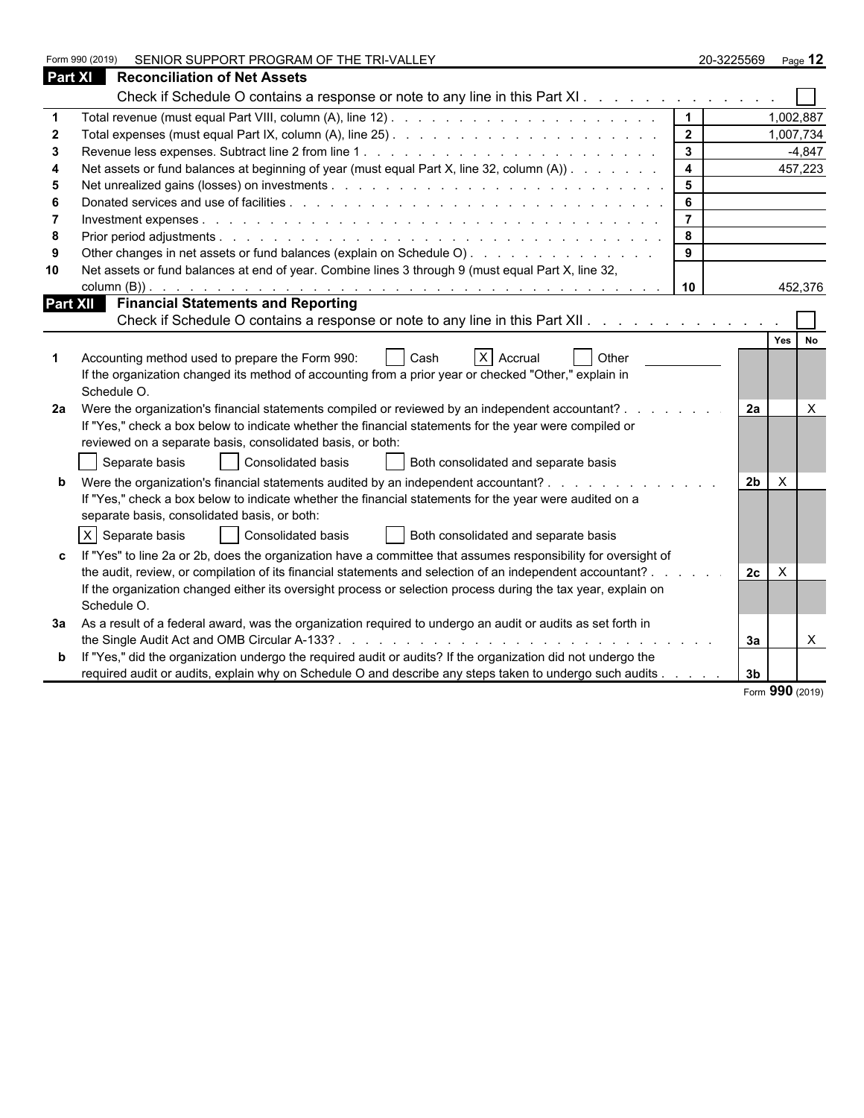|                | SENIOR SUPPORT PROGRAM OF THE TRI-VALLEY<br>Form 990 (2019)                                                    |                | 20-3225569     | Page 12            |  |
|----------------|----------------------------------------------------------------------------------------------------------------|----------------|----------------|--------------------|--|
| <b>Part XI</b> | <b>Reconciliation of Net Assets</b>                                                                            |                |                |                    |  |
|                | Check if Schedule O contains a response or note to any line in this Part XI.                                   |                |                |                    |  |
|                |                                                                                                                | $\mathbf 1$    |                | 1,002,887          |  |
|                |                                                                                                                | $\overline{2}$ |                | 1,007,734          |  |
| 3              |                                                                                                                | $\mathbf{3}$   |                | $-4.847$           |  |
|                | Net assets or fund balances at beginning of year (must equal Part X, line 32, column (A))                      | $\overline{4}$ |                | 457,223            |  |
| 5              |                                                                                                                | 5              |                |                    |  |
| -6             |                                                                                                                | 6              |                |                    |  |
|                |                                                                                                                | $\overline{7}$ |                |                    |  |
| 8              |                                                                                                                | 8              |                |                    |  |
| .9             | Other changes in net assets or fund balances (explain on Schedule O).                                          | 9              |                |                    |  |
| 10             | Net assets or fund balances at end of year. Combine lines 3 through 9 (must equal Part X, line 32,             |                |                |                    |  |
|                |                                                                                                                | 10             |                | 452,376            |  |
|                | Part XII Financial Statements and Reporting                                                                    |                |                |                    |  |
|                | Check if Schedule O contains a response or note to any line in this Part XII.                                  |                |                |                    |  |
|                |                                                                                                                |                |                | Yes  <br><b>No</b> |  |
|                | X Accrual<br>Accounting method used to prepare the Form 990:<br>Cash<br>Other                                  |                |                |                    |  |
|                | If the organization changed its method of accounting from a prior year or checked "Other," explain in          |                |                |                    |  |
|                | Schedule O.                                                                                                    |                |                |                    |  |
| 2a             | Were the organization's financial statements compiled or reviewed by an independent accountant?                |                | 2a             | $\times$           |  |
|                | If "Yes," check a box below to indicate whether the financial statements for the year were compiled or         |                |                |                    |  |
|                | reviewed on a separate basis, consolidated basis, or both:                                                     |                |                |                    |  |
|                | Separate basis<br>  Consolidated basis<br>Both consolidated and separate basis                                 |                |                |                    |  |
|                | Were the organization's financial statements audited by an independent accountant?                             |                | 2 <sub>b</sub> | $\times$           |  |
|                | If "Yes," check a box below to indicate whether the financial statements for the year were audited on a        |                |                |                    |  |
|                | separate basis, consolidated basis, or both:                                                                   |                |                |                    |  |
|                | $X$ Separate basis<br>Consolidated basis<br>Both consolidated and separate basis                               |                |                |                    |  |
|                | If "Yes" to line 2a or 2b, does the organization have a committee that assumes responsibility for oversight of |                |                |                    |  |
|                | the audit, review, or compilation of its financial statements and selection of an independent accountant? .    |                | 2c             | $\times$           |  |
|                | If the organization changed either its oversight process or selection process during the tax year, explain on  |                |                |                    |  |
|                | Schedule O.                                                                                                    |                |                |                    |  |
| За             | As a result of a federal award, was the organization required to undergo an audit or audits as set forth in    |                |                |                    |  |
|                |                                                                                                                |                | За             | X                  |  |
| b              | If "Yes," did the organization undergo the required audit or audits? If the organization did not undergo the   |                |                |                    |  |
|                | required audit or audits, explain why on Schedule O and describe any steps taken to undergo such audits        |                | 3 <sub>b</sub> |                    |  |

Form **990** (2019)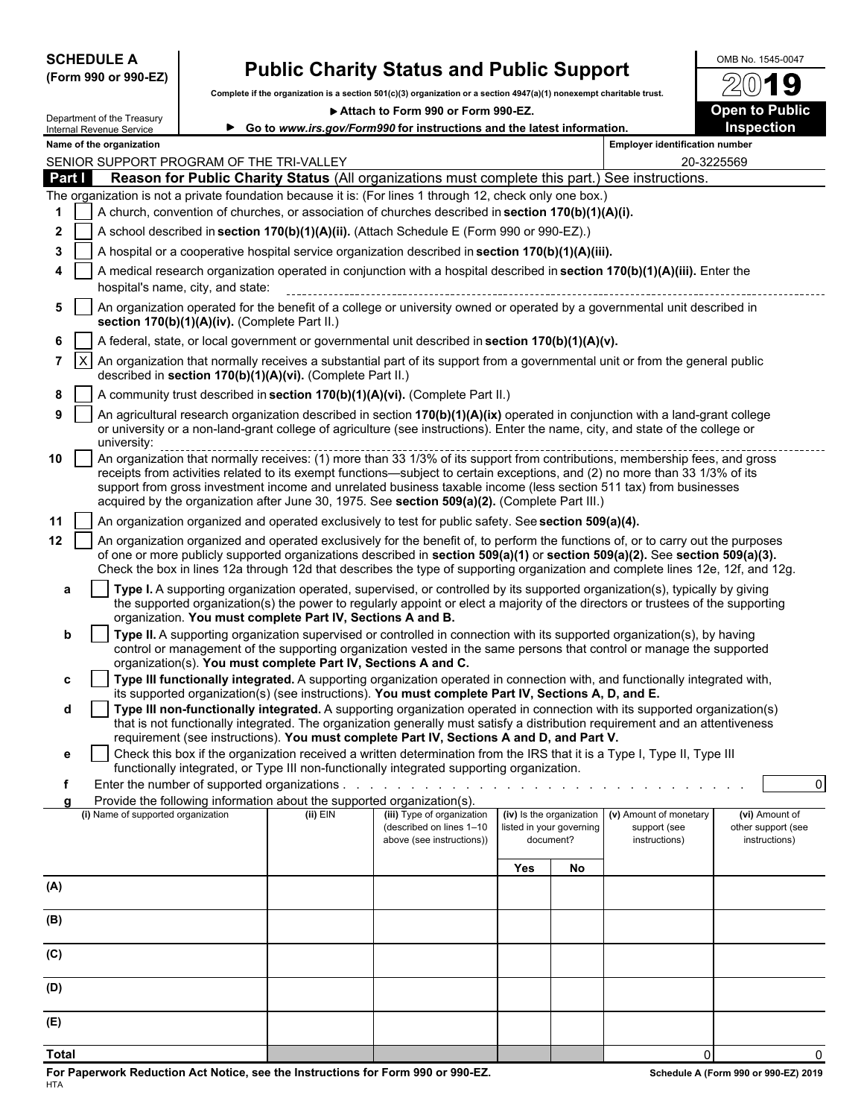| Complete if the organization is a section 501(c)(3) organization or a section 4947(a)(1) nonexempt charitable trust.<br><b>Open to Public</b><br>Attach to Form 990 or Form 990-EZ.<br>Department of the Treasury<br>Inspection<br>Go to www.irs.gov/Form990 for instructions and the latest information.<br>Internal Revenue Service<br><b>Employer identification number</b><br>Name of the organization<br>SENIOR SUPPORT PROGRAM OF THE TRI-VALLEY<br>20-3225569<br>Reason for Public Charity Status (All organizations must complete this part.) See instructions.<br>Part I<br>The organization is not a private foundation because it is: (For lines 1 through 12, check only one box.)<br>A church, convention of churches, or association of churches described in section 170(b)(1)(A)(i).<br>1<br>A school described in section 170(b)(1)(A)(ii). (Attach Schedule E (Form 990 or 990-EZ).)<br>2<br>A hospital or a cooperative hospital service organization described in section 170(b)(1)(A)(iii).<br>3<br>A medical research organization operated in conjunction with a hospital described in section 170(b)(1)(A)(iii). Enter the<br>4<br>hospital's name, city, and state:<br>An organization operated for the benefit of a college or university owned or operated by a governmental unit described in<br>5<br>section 170(b)(1)(A)(iv). (Complete Part II.)<br>A federal, state, or local government or governmental unit described in section 170(b)(1)(A)(v).<br>6<br>$\vert x \vert$<br>An organization that normally receives a substantial part of its support from a governmental unit or from the general public<br>7<br>described in section 170(b)(1)(A)(vi). (Complete Part II.)<br>A community trust described in section 170(b)(1)(A)(vi). (Complete Part II.)<br>8<br>An agricultural research organization described in section 170(b)(1)(A)(ix) operated in conjunction with a land-grant college<br>9<br>or university or a non-land-grant college of agriculture (see instructions). Enter the name, city, and state of the college or<br>university:<br>10<br>receipts from activities related to its exempt functions—subject to certain exceptions, and (2) no more than 33 1/3% of its<br>support from gross investment income and unrelated business taxable income (less section 511 tax) from businesses<br>acquired by the organization after June 30, 1975. See section 509(a)(2). (Complete Part III.)<br>11<br>An organization organized and operated exclusively to test for public safety. See section 509(a)(4).<br>12<br>An organization organized and operated exclusively for the benefit of, to perform the functions of, or to carry out the purposes<br>of one or more publicly supported organizations described in section 509(a)(1) or section 509(a)(2). See section 509(a)(3).<br>Check the box in lines 12a through 12d that describes the type of supporting organization and complete lines 12e, 12f, and 12g.<br>Type I. A supporting organization operated, supervised, or controlled by its supported organization(s), typically by giving<br>a<br>the supported organization(s) the power to regularly appoint or elect a majority of the directors or trustees of the supporting<br>organization. You must complete Part IV, Sections A and B.<br>Type II. A supporting organization supervised or controlled in connection with its supported organization(s), by having<br>b<br>control or management of the supporting organization vested in the same persons that control or manage the supported<br>organization(s). You must complete Part IV, Sections A and C.<br>Type III functionally integrated. A supporting organization operated in connection with, and functionally integrated with,<br>C<br>its supported organization(s) (see instructions). You must complete Part IV, Sections A, D, and E.<br>Type III non-functionally integrated. A supporting organization operated in connection with its supported organization(s)<br>d<br>that is not functionally integrated. The organization generally must satisfy a distribution requirement and an attentiveness<br>requirement (see instructions). You must complete Part IV, Sections A and D, and Part V.<br>Check this box if the organization received a written determination from the IRS that it is a Type I, Type II, Type III<br>е<br>functionally integrated, or Type III non-functionally integrated supporting organization.<br>Enter the number of supported organizations<br>Provide the following information about the supported organization(s).<br>(iv) Is the organization<br>(i) Name of supported organization<br>(ii) EIN<br>(v) Amount of monetary<br>(iii) Type of organization<br>(vi) Amount of<br>(described on lines 1-10<br>listed in your governing<br>support (see<br>other support (see<br>above (see instructions))<br>document?<br>instructions)<br>instructions)<br>Yes<br>No | (Form 990 or 990-EZ) |  | <b>Public Charity Status and Public Support</b> |  |                |
|-----------------------------------------------------------------------------------------------------------------------------------------------------------------------------------------------------------------------------------------------------------------------------------------------------------------------------------------------------------------------------------------------------------------------------------------------------------------------------------------------------------------------------------------------------------------------------------------------------------------------------------------------------------------------------------------------------------------------------------------------------------------------------------------------------------------------------------------------------------------------------------------------------------------------------------------------------------------------------------------------------------------------------------------------------------------------------------------------------------------------------------------------------------------------------------------------------------------------------------------------------------------------------------------------------------------------------------------------------------------------------------------------------------------------------------------------------------------------------------------------------------------------------------------------------------------------------------------------------------------------------------------------------------------------------------------------------------------------------------------------------------------------------------------------------------------------------------------------------------------------------------------------------------------------------------------------------------------------------------------------------------------------------------------------------------------------------------------------------------------------------------------------------------------------------------------------------------------------------------------------------------------------------------------------------------------------------------------------------------------------------------------------------------------------------------------------------------------------------------------------------------------------------------------------------------------------------------------------------------------------------------------------------------------------------------------------------------------------------------------------------------------------------------------------------------------------------------------------------------------------------------------------------------------------------------------------------------------------------------------------------------------------------------------------------------------------------------------------------------------------------------------------------------------------------------------------------------------------------------------------------------------------------------------------------------------------------------------------------------------------------------------------------------------------------------------------------------------------------------------------------------------------------------------------------------------------------------------------------------------------------------------------------------------------------------------------------------------------------------------------------------------------------------------------------------------------------------------------------------------------------------------------------------------------------------------------------------------------------------------------------------------------------------------------------------------------------------------------------------------------------------------------------------------------------------------------------------------------------------------------------------------------------------------------------------------------------------------------------------------------------------------------------------------------------------------------------------------------------------------------------------------------------------------------------------------------------------------------------------------------------------------------------------------------------------------------------------------------------------------------------------------------------------------------------------------------------------------------------------------------------------------------------------------------------------------------------------|----------------------|--|-------------------------------------------------|--|----------------|
|                                                                                                                                                                                                                                                                                                                                                                                                                                                                                                                                                                                                                                                                                                                                                                                                                                                                                                                                                                                                                                                                                                                                                                                                                                                                                                                                                                                                                                                                                                                                                                                                                                                                                                                                                                                                                                                                                                                                                                                                                                                                                                                                                                                                                                                                                                                                                                                                                                                                                                                                                                                                                                                                                                                                                                                                                                                                                                                                                                                                                                                                                                                                                                                                                                                                                                                                                                                                                                                                                                                                                                                                                                                                                                                                                                                                                                                                                                                                                                                                                                                                                                                                                                                                                                                                                                                                                                                                                                                                                                                                                                                                                                                                                                                                                                                                                                                                                                                                                           |                      |  |                                                 |  |                |
|                                                                                                                                                                                                                                                                                                                                                                                                                                                                                                                                                                                                                                                                                                                                                                                                                                                                                                                                                                                                                                                                                                                                                                                                                                                                                                                                                                                                                                                                                                                                                                                                                                                                                                                                                                                                                                                                                                                                                                                                                                                                                                                                                                                                                                                                                                                                                                                                                                                                                                                                                                                                                                                                                                                                                                                                                                                                                                                                                                                                                                                                                                                                                                                                                                                                                                                                                                                                                                                                                                                                                                                                                                                                                                                                                                                                                                                                                                                                                                                                                                                                                                                                                                                                                                                                                                                                                                                                                                                                                                                                                                                                                                                                                                                                                                                                                                                                                                                                                           |                      |  |                                                 |  |                |
|                                                                                                                                                                                                                                                                                                                                                                                                                                                                                                                                                                                                                                                                                                                                                                                                                                                                                                                                                                                                                                                                                                                                                                                                                                                                                                                                                                                                                                                                                                                                                                                                                                                                                                                                                                                                                                                                                                                                                                                                                                                                                                                                                                                                                                                                                                                                                                                                                                                                                                                                                                                                                                                                                                                                                                                                                                                                                                                                                                                                                                                                                                                                                                                                                                                                                                                                                                                                                                                                                                                                                                                                                                                                                                                                                                                                                                                                                                                                                                                                                                                                                                                                                                                                                                                                                                                                                                                                                                                                                                                                                                                                                                                                                                                                                                                                                                                                                                                                                           |                      |  |                                                 |  |                |
|                                                                                                                                                                                                                                                                                                                                                                                                                                                                                                                                                                                                                                                                                                                                                                                                                                                                                                                                                                                                                                                                                                                                                                                                                                                                                                                                                                                                                                                                                                                                                                                                                                                                                                                                                                                                                                                                                                                                                                                                                                                                                                                                                                                                                                                                                                                                                                                                                                                                                                                                                                                                                                                                                                                                                                                                                                                                                                                                                                                                                                                                                                                                                                                                                                                                                                                                                                                                                                                                                                                                                                                                                                                                                                                                                                                                                                                                                                                                                                                                                                                                                                                                                                                                                                                                                                                                                                                                                                                                                                                                                                                                                                                                                                                                                                                                                                                                                                                                                           |                      |  |                                                 |  |                |
|                                                                                                                                                                                                                                                                                                                                                                                                                                                                                                                                                                                                                                                                                                                                                                                                                                                                                                                                                                                                                                                                                                                                                                                                                                                                                                                                                                                                                                                                                                                                                                                                                                                                                                                                                                                                                                                                                                                                                                                                                                                                                                                                                                                                                                                                                                                                                                                                                                                                                                                                                                                                                                                                                                                                                                                                                                                                                                                                                                                                                                                                                                                                                                                                                                                                                                                                                                                                                                                                                                                                                                                                                                                                                                                                                                                                                                                                                                                                                                                                                                                                                                                                                                                                                                                                                                                                                                                                                                                                                                                                                                                                                                                                                                                                                                                                                                                                                                                                                           |                      |  |                                                 |  |                |
|                                                                                                                                                                                                                                                                                                                                                                                                                                                                                                                                                                                                                                                                                                                                                                                                                                                                                                                                                                                                                                                                                                                                                                                                                                                                                                                                                                                                                                                                                                                                                                                                                                                                                                                                                                                                                                                                                                                                                                                                                                                                                                                                                                                                                                                                                                                                                                                                                                                                                                                                                                                                                                                                                                                                                                                                                                                                                                                                                                                                                                                                                                                                                                                                                                                                                                                                                                                                                                                                                                                                                                                                                                                                                                                                                                                                                                                                                                                                                                                                                                                                                                                                                                                                                                                                                                                                                                                                                                                                                                                                                                                                                                                                                                                                                                                                                                                                                                                                                           |                      |  |                                                 |  |                |
|                                                                                                                                                                                                                                                                                                                                                                                                                                                                                                                                                                                                                                                                                                                                                                                                                                                                                                                                                                                                                                                                                                                                                                                                                                                                                                                                                                                                                                                                                                                                                                                                                                                                                                                                                                                                                                                                                                                                                                                                                                                                                                                                                                                                                                                                                                                                                                                                                                                                                                                                                                                                                                                                                                                                                                                                                                                                                                                                                                                                                                                                                                                                                                                                                                                                                                                                                                                                                                                                                                                                                                                                                                                                                                                                                                                                                                                                                                                                                                                                                                                                                                                                                                                                                                                                                                                                                                                                                                                                                                                                                                                                                                                                                                                                                                                                                                                                                                                                                           |                      |  |                                                 |  |                |
|                                                                                                                                                                                                                                                                                                                                                                                                                                                                                                                                                                                                                                                                                                                                                                                                                                                                                                                                                                                                                                                                                                                                                                                                                                                                                                                                                                                                                                                                                                                                                                                                                                                                                                                                                                                                                                                                                                                                                                                                                                                                                                                                                                                                                                                                                                                                                                                                                                                                                                                                                                                                                                                                                                                                                                                                                                                                                                                                                                                                                                                                                                                                                                                                                                                                                                                                                                                                                                                                                                                                                                                                                                                                                                                                                                                                                                                                                                                                                                                                                                                                                                                                                                                                                                                                                                                                                                                                                                                                                                                                                                                                                                                                                                                                                                                                                                                                                                                                                           |                      |  |                                                 |  |                |
|                                                                                                                                                                                                                                                                                                                                                                                                                                                                                                                                                                                                                                                                                                                                                                                                                                                                                                                                                                                                                                                                                                                                                                                                                                                                                                                                                                                                                                                                                                                                                                                                                                                                                                                                                                                                                                                                                                                                                                                                                                                                                                                                                                                                                                                                                                                                                                                                                                                                                                                                                                                                                                                                                                                                                                                                                                                                                                                                                                                                                                                                                                                                                                                                                                                                                                                                                                                                                                                                                                                                                                                                                                                                                                                                                                                                                                                                                                                                                                                                                                                                                                                                                                                                                                                                                                                                                                                                                                                                                                                                                                                                                                                                                                                                                                                                                                                                                                                                                           |                      |  |                                                 |  |                |
|                                                                                                                                                                                                                                                                                                                                                                                                                                                                                                                                                                                                                                                                                                                                                                                                                                                                                                                                                                                                                                                                                                                                                                                                                                                                                                                                                                                                                                                                                                                                                                                                                                                                                                                                                                                                                                                                                                                                                                                                                                                                                                                                                                                                                                                                                                                                                                                                                                                                                                                                                                                                                                                                                                                                                                                                                                                                                                                                                                                                                                                                                                                                                                                                                                                                                                                                                                                                                                                                                                                                                                                                                                                                                                                                                                                                                                                                                                                                                                                                                                                                                                                                                                                                                                                                                                                                                                                                                                                                                                                                                                                                                                                                                                                                                                                                                                                                                                                                                           |                      |  |                                                 |  |                |
|                                                                                                                                                                                                                                                                                                                                                                                                                                                                                                                                                                                                                                                                                                                                                                                                                                                                                                                                                                                                                                                                                                                                                                                                                                                                                                                                                                                                                                                                                                                                                                                                                                                                                                                                                                                                                                                                                                                                                                                                                                                                                                                                                                                                                                                                                                                                                                                                                                                                                                                                                                                                                                                                                                                                                                                                                                                                                                                                                                                                                                                                                                                                                                                                                                                                                                                                                                                                                                                                                                                                                                                                                                                                                                                                                                                                                                                                                                                                                                                                                                                                                                                                                                                                                                                                                                                                                                                                                                                                                                                                                                                                                                                                                                                                                                                                                                                                                                                                                           |                      |  |                                                 |  |                |
|                                                                                                                                                                                                                                                                                                                                                                                                                                                                                                                                                                                                                                                                                                                                                                                                                                                                                                                                                                                                                                                                                                                                                                                                                                                                                                                                                                                                                                                                                                                                                                                                                                                                                                                                                                                                                                                                                                                                                                                                                                                                                                                                                                                                                                                                                                                                                                                                                                                                                                                                                                                                                                                                                                                                                                                                                                                                                                                                                                                                                                                                                                                                                                                                                                                                                                                                                                                                                                                                                                                                                                                                                                                                                                                                                                                                                                                                                                                                                                                                                                                                                                                                                                                                                                                                                                                                                                                                                                                                                                                                                                                                                                                                                                                                                                                                                                                                                                                                                           |                      |  |                                                 |  |                |
|                                                                                                                                                                                                                                                                                                                                                                                                                                                                                                                                                                                                                                                                                                                                                                                                                                                                                                                                                                                                                                                                                                                                                                                                                                                                                                                                                                                                                                                                                                                                                                                                                                                                                                                                                                                                                                                                                                                                                                                                                                                                                                                                                                                                                                                                                                                                                                                                                                                                                                                                                                                                                                                                                                                                                                                                                                                                                                                                                                                                                                                                                                                                                                                                                                                                                                                                                                                                                                                                                                                                                                                                                                                                                                                                                                                                                                                                                                                                                                                                                                                                                                                                                                                                                                                                                                                                                                                                                                                                                                                                                                                                                                                                                                                                                                                                                                                                                                                                                           |                      |  |                                                 |  |                |
|                                                                                                                                                                                                                                                                                                                                                                                                                                                                                                                                                                                                                                                                                                                                                                                                                                                                                                                                                                                                                                                                                                                                                                                                                                                                                                                                                                                                                                                                                                                                                                                                                                                                                                                                                                                                                                                                                                                                                                                                                                                                                                                                                                                                                                                                                                                                                                                                                                                                                                                                                                                                                                                                                                                                                                                                                                                                                                                                                                                                                                                                                                                                                                                                                                                                                                                                                                                                                                                                                                                                                                                                                                                                                                                                                                                                                                                                                                                                                                                                                                                                                                                                                                                                                                                                                                                                                                                                                                                                                                                                                                                                                                                                                                                                                                                                                                                                                                                                                           |                      |  |                                                 |  |                |
|                                                                                                                                                                                                                                                                                                                                                                                                                                                                                                                                                                                                                                                                                                                                                                                                                                                                                                                                                                                                                                                                                                                                                                                                                                                                                                                                                                                                                                                                                                                                                                                                                                                                                                                                                                                                                                                                                                                                                                                                                                                                                                                                                                                                                                                                                                                                                                                                                                                                                                                                                                                                                                                                                                                                                                                                                                                                                                                                                                                                                                                                                                                                                                                                                                                                                                                                                                                                                                                                                                                                                                                                                                                                                                                                                                                                                                                                                                                                                                                                                                                                                                                                                                                                                                                                                                                                                                                                                                                                                                                                                                                                                                                                                                                                                                                                                                                                                                                                                           |                      |  |                                                 |  |                |
|                                                                                                                                                                                                                                                                                                                                                                                                                                                                                                                                                                                                                                                                                                                                                                                                                                                                                                                                                                                                                                                                                                                                                                                                                                                                                                                                                                                                                                                                                                                                                                                                                                                                                                                                                                                                                                                                                                                                                                                                                                                                                                                                                                                                                                                                                                                                                                                                                                                                                                                                                                                                                                                                                                                                                                                                                                                                                                                                                                                                                                                                                                                                                                                                                                                                                                                                                                                                                                                                                                                                                                                                                                                                                                                                                                                                                                                                                                                                                                                                                                                                                                                                                                                                                                                                                                                                                                                                                                                                                                                                                                                                                                                                                                                                                                                                                                                                                                                                                           |                      |  |                                                 |  |                |
|                                                                                                                                                                                                                                                                                                                                                                                                                                                                                                                                                                                                                                                                                                                                                                                                                                                                                                                                                                                                                                                                                                                                                                                                                                                                                                                                                                                                                                                                                                                                                                                                                                                                                                                                                                                                                                                                                                                                                                                                                                                                                                                                                                                                                                                                                                                                                                                                                                                                                                                                                                                                                                                                                                                                                                                                                                                                                                                                                                                                                                                                                                                                                                                                                                                                                                                                                                                                                                                                                                                                                                                                                                                                                                                                                                                                                                                                                                                                                                                                                                                                                                                                                                                                                                                                                                                                                                                                                                                                                                                                                                                                                                                                                                                                                                                                                                                                                                                                                           |                      |  |                                                 |  |                |
|                                                                                                                                                                                                                                                                                                                                                                                                                                                                                                                                                                                                                                                                                                                                                                                                                                                                                                                                                                                                                                                                                                                                                                                                                                                                                                                                                                                                                                                                                                                                                                                                                                                                                                                                                                                                                                                                                                                                                                                                                                                                                                                                                                                                                                                                                                                                                                                                                                                                                                                                                                                                                                                                                                                                                                                                                                                                                                                                                                                                                                                                                                                                                                                                                                                                                                                                                                                                                                                                                                                                                                                                                                                                                                                                                                                                                                                                                                                                                                                                                                                                                                                                                                                                                                                                                                                                                                                                                                                                                                                                                                                                                                                                                                                                                                                                                                                                                                                                                           |                      |  |                                                 |  |                |
|                                                                                                                                                                                                                                                                                                                                                                                                                                                                                                                                                                                                                                                                                                                                                                                                                                                                                                                                                                                                                                                                                                                                                                                                                                                                                                                                                                                                                                                                                                                                                                                                                                                                                                                                                                                                                                                                                                                                                                                                                                                                                                                                                                                                                                                                                                                                                                                                                                                                                                                                                                                                                                                                                                                                                                                                                                                                                                                                                                                                                                                                                                                                                                                                                                                                                                                                                                                                                                                                                                                                                                                                                                                                                                                                                                                                                                                                                                                                                                                                                                                                                                                                                                                                                                                                                                                                                                                                                                                                                                                                                                                                                                                                                                                                                                                                                                                                                                                                                           |                      |  |                                                 |  |                |
|                                                                                                                                                                                                                                                                                                                                                                                                                                                                                                                                                                                                                                                                                                                                                                                                                                                                                                                                                                                                                                                                                                                                                                                                                                                                                                                                                                                                                                                                                                                                                                                                                                                                                                                                                                                                                                                                                                                                                                                                                                                                                                                                                                                                                                                                                                                                                                                                                                                                                                                                                                                                                                                                                                                                                                                                                                                                                                                                                                                                                                                                                                                                                                                                                                                                                                                                                                                                                                                                                                                                                                                                                                                                                                                                                                                                                                                                                                                                                                                                                                                                                                                                                                                                                                                                                                                                                                                                                                                                                                                                                                                                                                                                                                                                                                                                                                                                                                                                                           |                      |  |                                                 |  |                |
|                                                                                                                                                                                                                                                                                                                                                                                                                                                                                                                                                                                                                                                                                                                                                                                                                                                                                                                                                                                                                                                                                                                                                                                                                                                                                                                                                                                                                                                                                                                                                                                                                                                                                                                                                                                                                                                                                                                                                                                                                                                                                                                                                                                                                                                                                                                                                                                                                                                                                                                                                                                                                                                                                                                                                                                                                                                                                                                                                                                                                                                                                                                                                                                                                                                                                                                                                                                                                                                                                                                                                                                                                                                                                                                                                                                                                                                                                                                                                                                                                                                                                                                                                                                                                                                                                                                                                                                                                                                                                                                                                                                                                                                                                                                                                                                                                                                                                                                                                           |                      |  |                                                 |  |                |
|                                                                                                                                                                                                                                                                                                                                                                                                                                                                                                                                                                                                                                                                                                                                                                                                                                                                                                                                                                                                                                                                                                                                                                                                                                                                                                                                                                                                                                                                                                                                                                                                                                                                                                                                                                                                                                                                                                                                                                                                                                                                                                                                                                                                                                                                                                                                                                                                                                                                                                                                                                                                                                                                                                                                                                                                                                                                                                                                                                                                                                                                                                                                                                                                                                                                                                                                                                                                                                                                                                                                                                                                                                                                                                                                                                                                                                                                                                                                                                                                                                                                                                                                                                                                                                                                                                                                                                                                                                                                                                                                                                                                                                                                                                                                                                                                                                                                                                                                                           |                      |  |                                                 |  |                |
|                                                                                                                                                                                                                                                                                                                                                                                                                                                                                                                                                                                                                                                                                                                                                                                                                                                                                                                                                                                                                                                                                                                                                                                                                                                                                                                                                                                                                                                                                                                                                                                                                                                                                                                                                                                                                                                                                                                                                                                                                                                                                                                                                                                                                                                                                                                                                                                                                                                                                                                                                                                                                                                                                                                                                                                                                                                                                                                                                                                                                                                                                                                                                                                                                                                                                                                                                                                                                                                                                                                                                                                                                                                                                                                                                                                                                                                                                                                                                                                                                                                                                                                                                                                                                                                                                                                                                                                                                                                                                                                                                                                                                                                                                                                                                                                                                                                                                                                                                           |                      |  |                                                 |  |                |
|                                                                                                                                                                                                                                                                                                                                                                                                                                                                                                                                                                                                                                                                                                                                                                                                                                                                                                                                                                                                                                                                                                                                                                                                                                                                                                                                                                                                                                                                                                                                                                                                                                                                                                                                                                                                                                                                                                                                                                                                                                                                                                                                                                                                                                                                                                                                                                                                                                                                                                                                                                                                                                                                                                                                                                                                                                                                                                                                                                                                                                                                                                                                                                                                                                                                                                                                                                                                                                                                                                                                                                                                                                                                                                                                                                                                                                                                                                                                                                                                                                                                                                                                                                                                                                                                                                                                                                                                                                                                                                                                                                                                                                                                                                                                                                                                                                                                                                                                                           |                      |  |                                                 |  | $\overline{0}$ |
|                                                                                                                                                                                                                                                                                                                                                                                                                                                                                                                                                                                                                                                                                                                                                                                                                                                                                                                                                                                                                                                                                                                                                                                                                                                                                                                                                                                                                                                                                                                                                                                                                                                                                                                                                                                                                                                                                                                                                                                                                                                                                                                                                                                                                                                                                                                                                                                                                                                                                                                                                                                                                                                                                                                                                                                                                                                                                                                                                                                                                                                                                                                                                                                                                                                                                                                                                                                                                                                                                                                                                                                                                                                                                                                                                                                                                                                                                                                                                                                                                                                                                                                                                                                                                                                                                                                                                                                                                                                                                                                                                                                                                                                                                                                                                                                                                                                                                                                                                           |                      |  |                                                 |  |                |
|                                                                                                                                                                                                                                                                                                                                                                                                                                                                                                                                                                                                                                                                                                                                                                                                                                                                                                                                                                                                                                                                                                                                                                                                                                                                                                                                                                                                                                                                                                                                                                                                                                                                                                                                                                                                                                                                                                                                                                                                                                                                                                                                                                                                                                                                                                                                                                                                                                                                                                                                                                                                                                                                                                                                                                                                                                                                                                                                                                                                                                                                                                                                                                                                                                                                                                                                                                                                                                                                                                                                                                                                                                                                                                                                                                                                                                                                                                                                                                                                                                                                                                                                                                                                                                                                                                                                                                                                                                                                                                                                                                                                                                                                                                                                                                                                                                                                                                                                                           |                      |  |                                                 |  |                |
|                                                                                                                                                                                                                                                                                                                                                                                                                                                                                                                                                                                                                                                                                                                                                                                                                                                                                                                                                                                                                                                                                                                                                                                                                                                                                                                                                                                                                                                                                                                                                                                                                                                                                                                                                                                                                                                                                                                                                                                                                                                                                                                                                                                                                                                                                                                                                                                                                                                                                                                                                                                                                                                                                                                                                                                                                                                                                                                                                                                                                                                                                                                                                                                                                                                                                                                                                                                                                                                                                                                                                                                                                                                                                                                                                                                                                                                                                                                                                                                                                                                                                                                                                                                                                                                                                                                                                                                                                                                                                                                                                                                                                                                                                                                                                                                                                                                                                                                                                           |                      |  |                                                 |  |                |

**Total** 0 0

**(A)**

**(B)**

**(C)**

**(D)**

**(E)**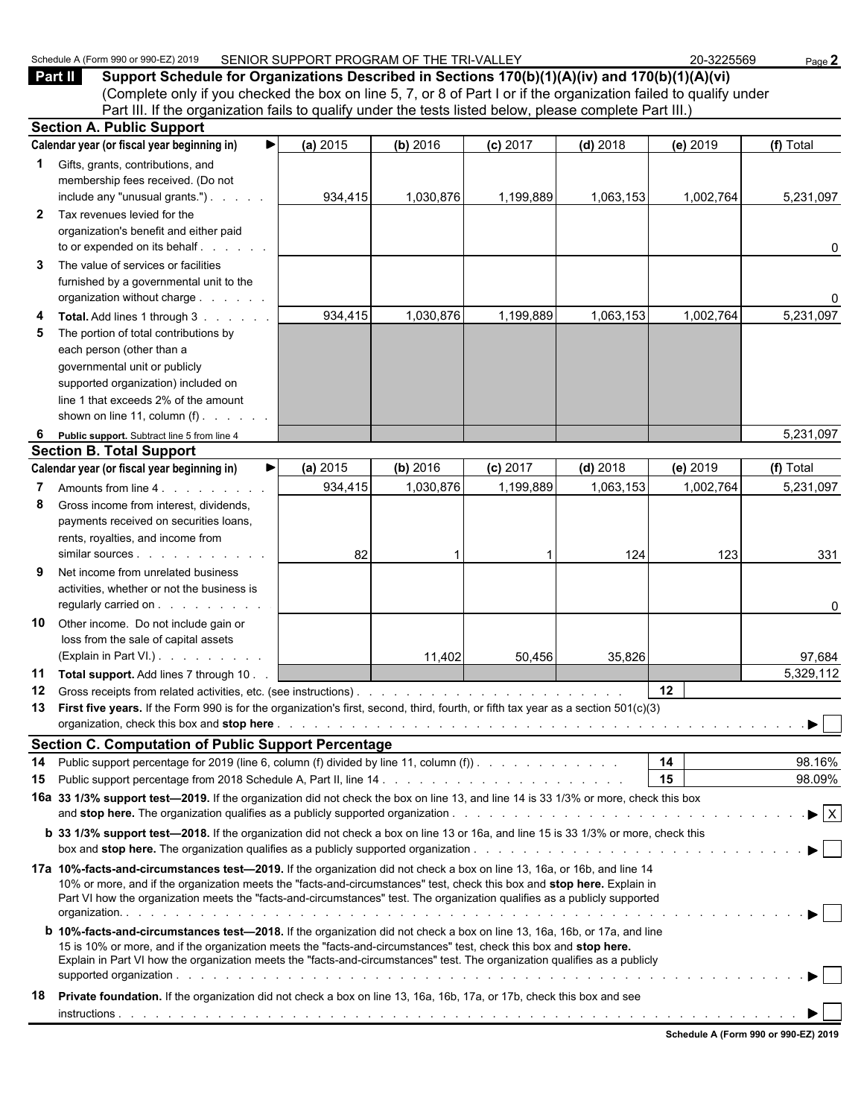| Z) 2019<br>Schedule,<br>$.380$ or 990 $-$<br>$\sqrt{\mathrm{Form}}$ 990 | SENIOR SUPPORT PROGRAM OF THE TRI-VALLEY | -3225569<br>ne. | Page . |
|-------------------------------------------------------------------------|------------------------------------------|-----------------|--------|
|-------------------------------------------------------------------------|------------------------------------------|-----------------|--------|

**Part II Support Schedule for Organizations Described in Sections 170(b)(1)(A)(iv) and 170(b)(1)(A)(vi)** (Complete only if you checked the box on line 5, 7, or 8 of Part I or if the organization failed to qualify under Part III. If the organization fails to qualify under the tests listed below, please complete Part III.)

|              | <b>Section A. Public Support</b>                                                                                                                                                                                                                     |          |           |            |            |           |                                |
|--------------|------------------------------------------------------------------------------------------------------------------------------------------------------------------------------------------------------------------------------------------------------|----------|-----------|------------|------------|-----------|--------------------------------|
|              | Calendar year (or fiscal year beginning in)<br>▶                                                                                                                                                                                                     | (a) 2015 | (b) 2016  | $(c)$ 2017 | $(d)$ 2018 | (e) 2019  | (f) Total                      |
| $\mathbf{1}$ | Gifts, grants, contributions, and<br>membership fees received. (Do not                                                                                                                                                                               |          |           |            |            |           |                                |
|              | include any "unusual grants.")                                                                                                                                                                                                                       | 934,415  | 1,030,876 | 1,199,889  | 1,063,153  | 1,002,764 | 5,231,097                      |
| $\mathbf{2}$ | Tax revenues levied for the                                                                                                                                                                                                                          |          |           |            |            |           |                                |
|              | organization's benefit and either paid                                                                                                                                                                                                               |          |           |            |            |           |                                |
|              | to or expended on its behalf.                                                                                                                                                                                                                        |          |           |            |            |           | 0                              |
| 3            | The value of services or facilities                                                                                                                                                                                                                  |          |           |            |            |           |                                |
|              | furnished by a governmental unit to the                                                                                                                                                                                                              |          |           |            |            |           |                                |
|              | organization without charge                                                                                                                                                                                                                          |          |           |            |            |           | 0                              |
| 4            | Total. Add lines 1 through 3                                                                                                                                                                                                                         | 934,415  | 1,030,876 | 1,199,889  | 1,063,153  | 1,002,764 | 5,231,097                      |
| 5            | The portion of total contributions by                                                                                                                                                                                                                |          |           |            |            |           |                                |
|              | each person (other than a                                                                                                                                                                                                                            |          |           |            |            |           |                                |
|              | governmental unit or publicly                                                                                                                                                                                                                        |          |           |            |            |           |                                |
|              | supported organization) included on                                                                                                                                                                                                                  |          |           |            |            |           |                                |
|              | line 1 that exceeds 2% of the amount<br>shown on line 11, column $(f)$ .                                                                                                                                                                             |          |           |            |            |           |                                |
|              |                                                                                                                                                                                                                                                      |          |           |            |            |           |                                |
| 6            | Public support. Subtract line 5 from line 4<br><b>Section B. Total Support</b>                                                                                                                                                                       |          |           |            |            |           | 5,231,097                      |
|              | Calendar year (or fiscal year beginning in)<br>▶                                                                                                                                                                                                     | (a) 2015 | (b) 2016  | $(c)$ 2017 | $(d)$ 2018 | (e) 2019  | (f) Total                      |
| 7            | Amounts from line 4.                                                                                                                                                                                                                                 | 934,415  | 1,030,876 | 1,199,889  | 1,063,153  | 1,002,764 | 5,231,097                      |
| 8            | Gross income from interest, dividends,                                                                                                                                                                                                               |          |           |            |            |           |                                |
|              | payments received on securities loans,                                                                                                                                                                                                               |          |           |            |            |           |                                |
|              | rents, royalties, and income from                                                                                                                                                                                                                    |          |           |            |            |           |                                |
|              |                                                                                                                                                                                                                                                      | 82       |           |            | 124        | 123       | 331                            |
| 9            | Net income from unrelated business                                                                                                                                                                                                                   |          |           |            |            |           |                                |
|              | activities, whether or not the business is                                                                                                                                                                                                           |          |           |            |            |           |                                |
|              | regularly carried on                                                                                                                                                                                                                                 |          |           |            |            |           | 0                              |
| 10           | Other income. Do not include gain or                                                                                                                                                                                                                 |          |           |            |            |           |                                |
|              | loss from the sale of capital assets                                                                                                                                                                                                                 |          |           |            |            |           |                                |
|              | (Explain in Part VI.).                                                                                                                                                                                                                               |          | 11,402    | 50,456     | 35,826     |           | 97,684                         |
| 11           | Total support. Add lines 7 through 10.                                                                                                                                                                                                               |          |           |            |            |           | 5,329,112                      |
| 12           | Gross receipts from related activities, etc. (see instructions).                                                                                                                                                                                     |          |           |            |            | 12        |                                |
| 13           | First five years. If the Form 990 is for the organization's first, second, third, fourth, or fifth tax year as a section 501(c)(3)                                                                                                                   |          |           |            |            |           |                                |
|              |                                                                                                                                                                                                                                                      |          |           |            |            |           |                                |
|              | <b>Section C. Computation of Public Support Percentage</b>                                                                                                                                                                                           |          |           |            |            |           |                                |
| 14           | Public support percentage for 2019 (line 6, column (f) divided by line 11, column (f)).                                                                                                                                                              |          |           |            |            | 14        | 98.16%                         |
| 15           |                                                                                                                                                                                                                                                      |          |           |            |            | 15        | 98.09%                         |
|              | 16a 33 1/3% support test-2019. If the organization did not check the box on line 13, and line 14 is 33 1/3% or more, check this box                                                                                                                  |          |           |            |            |           |                                |
|              |                                                                                                                                                                                                                                                      |          |           |            |            |           | $\blacktriangleright$ $\mid$ X |
|              | <b>b</b> 33 1/3% support test-2018. If the organization did not check a box on line 13 or 16a, and line 15 is 33 1/3% or more, check this                                                                                                            |          |           |            |            |           |                                |
|              |                                                                                                                                                                                                                                                      |          |           |            |            |           | $\blacktriangleright$ $\vdash$ |
|              | 17a 10%-facts-and-circumstances test-2019. If the organization did not check a box on line 13, 16a, or 16b, and line 14                                                                                                                              |          |           |            |            |           |                                |
|              | 10% or more, and if the organization meets the "facts-and-circumstances" test, check this box and stop here. Explain in<br>Part VI how the organization meets the "facts-and-circumstances" test. The organization qualifies as a publicly supported |          |           |            |            |           |                                |
|              |                                                                                                                                                                                                                                                      |          |           |            |            |           | ▶ │ │                          |
|              | <b>b 10%-facts-and-circumstances test-2018.</b> If the organization did not check a box on line 13, 16a, 16b, or 17a, and line                                                                                                                       |          |           |            |            |           |                                |
|              | 15 is 10% or more, and if the organization meets the "facts-and-circumstances" test, check this box and stop here.                                                                                                                                   |          |           |            |            |           |                                |
|              | Explain in Part VI how the organization meets the "facts-and-circumstances" test. The organization qualifies as a publicly                                                                                                                           |          |           |            |            |           |                                |
|              |                                                                                                                                                                                                                                                      |          |           |            |            |           | ▶│                             |
| 18           | Private foundation. If the organization did not check a box on line 13, 16a, 16b, 17a, or 17b, check this box and see                                                                                                                                |          |           |            |            |           |                                |
|              |                                                                                                                                                                                                                                                      |          |           |            |            |           |                                |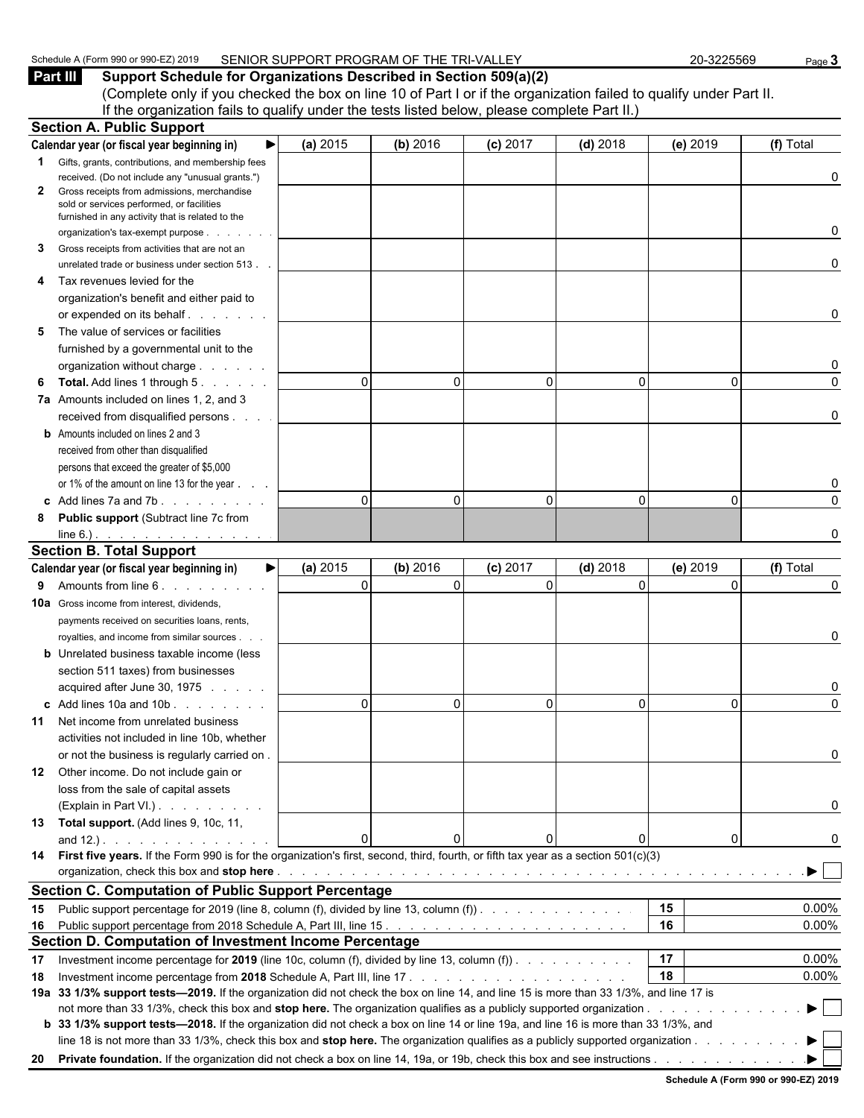| .) 2019<br>Schedule<br><b>PAU OF GOOD</b><br>…⊢orm QQ∩<br>$\cdots$<br>$\cdot$ , $\cdot$ . Other $\cdot$ | SENIOR SUPPORT PROGRAM OF THE TR<br>.<br>ורז<br>⊢∨<br>' RI-VAL<br>-- | -3225569<br>nr | Page |
|---------------------------------------------------------------------------------------------------------|----------------------------------------------------------------------|----------------|------|
|                                                                                                         |                                                                      |                |      |

**Part III Support Schedule for Organizations Described in Section 509(a)(2)** (Complete only if you checked the box on line 10 of Part I or if the organization failed to qualify under Part II. If the organization fails to qualify under the tests listed below, please complete Part II.) **Section A. Public Support**

|    | oedinni wa i mailo ombhail                                                                                                             |          |                         |            |              |                |           |
|----|----------------------------------------------------------------------------------------------------------------------------------------|----------|-------------------------|------------|--------------|----------------|-----------|
|    | ▶<br>Calendar year (or fiscal year beginning in)                                                                                       | (a) 2015 | (b) 2016                | (c) 2017   | $(d)$ 2018   | (e) 2019       | (f) Total |
|    | <b>1</b> Gifts, grants, contributions, and membership fees                                                                             |          |                         |            |              |                |           |
|    | received. (Do not include any "unusual grants.")                                                                                       |          |                         |            |              |                | 0         |
| 2  | Gross receipts from admissions, merchandise<br>sold or services performed, or facilities                                               |          |                         |            |              |                |           |
|    | furnished in any activity that is related to the                                                                                       |          |                         |            |              |                |           |
|    | organization's tax-exempt purpose<br>and a state of                                                                                    |          |                         |            |              |                | 0         |
| 3  | Gross receipts from activities that are not an                                                                                         |          |                         |            |              |                |           |
|    | unrelated trade or business under section 513.                                                                                         |          |                         |            |              |                | 0         |
| 4  | Tax revenues levied for the                                                                                                            |          |                         |            |              |                |           |
|    | organization's benefit and either paid to                                                                                              |          |                         |            |              |                |           |
|    | or expended on its behalf.                                                                                                             |          |                         |            |              |                | 0         |
| 5  | The value of services or facilities                                                                                                    |          |                         |            |              |                |           |
|    | furnished by a governmental unit to the                                                                                                |          |                         |            |              |                |           |
|    | organization without charge                                                                                                            |          |                         |            |              |                | 0         |
| 6  | <b>Total.</b> Add lines 1 through 5.                                                                                                   |          | $\Omega$<br>$\Omega$    | $\Omega$   | $\mathbf{0}$ | $\Omega$       | 0         |
|    | 7a Amounts included on lines 1, 2, and 3                                                                                               |          |                         |            |              |                |           |
|    | received from disqualified persons                                                                                                     |          |                         |            |              |                | 0         |
|    | <b>b</b> Amounts included on lines 2 and 3                                                                                             |          |                         |            |              |                |           |
|    | received from other than disqualified                                                                                                  |          |                         |            |              |                |           |
|    | persons that exceed the greater of \$5,000                                                                                             |          |                         |            |              |                |           |
|    | or 1% of the amount on line 13 for the year                                                                                            |          |                         |            |              |                | 0         |
|    | c Add lines 7a and 7b.                                                                                                                 |          | $\Omega$<br>$\Omega$    | $\Omega$   | $\mathbf{0}$ | 0              | 0         |
| 8  | Public support (Subtract line 7c from                                                                                                  |          |                         |            |              |                |           |
|    | $line 6.)$ . <u>.</u>                                                                                                                  |          |                         |            |              |                | 0         |
|    | <b>Section B. Total Support</b>                                                                                                        |          |                         |            |              |                |           |
|    | Calendar year (or fiscal year beginning in)<br>▶                                                                                       | (a) 2015 | (b) 2016                | $(c)$ 2017 | $(d)$ 2018   | (e) 2019       | (f) Total |
| 9  | Amounts from line 6.                                                                                                                   |          | $\mathbf 0$<br>$\Omega$ | $\Omega$   | $\Omega$     | $\Omega$       | 0         |
|    | <b>10a</b> Gross income from interest, dividends,                                                                                      |          |                         |            |              |                |           |
|    | payments received on securities loans, rents,                                                                                          |          |                         |            |              |                |           |
|    | royalties, and income from similar sources                                                                                             |          |                         |            |              |                | 0         |
|    | <b>b</b> Unrelated business taxable income (less                                                                                       |          |                         |            |              |                |           |
|    | section 511 taxes) from businesses                                                                                                     |          |                         |            |              |                |           |
|    | acquired after June 30, 1975                                                                                                           |          |                         |            |              |                | 0         |
|    | $\mathbf c$ Add lines 10a and 10b $\ldots$ $\ldots$                                                                                    |          | $\Omega$<br>$\Omega$    | $\Omega$   | $\Omega$     | $\overline{0}$ | 0         |
| 11 | Net income from unrelated business                                                                                                     |          |                         |            |              |                |           |
|    | activities not included in line 10b, whether                                                                                           |          |                         |            |              |                |           |
|    | or not the business is regularly carried on.                                                                                           |          |                         |            |              |                | 0         |
|    | 12 Other income. Do not include gain or                                                                                                |          |                         |            |              |                |           |
|    | loss from the sale of capital assets                                                                                                   |          |                         |            |              |                |           |
|    | (Explain in Part VI.)                                                                                                                  |          |                         |            |              |                | 0         |
|    |                                                                                                                                        |          |                         |            |              |                |           |
|    | 13 Total support. (Add lines 9, 10c, 11,                                                                                               |          | $\Omega$<br>0           |            | $\mathbf{0}$ | $\overline{0}$ |           |
|    | 14 First five years. If the Form 990 is for the organization's first, second, third, fourth, or fifth tax year as a section 501(c)(3)  |          |                         |            |              |                | 0         |
|    |                                                                                                                                        |          |                         |            |              |                |           |
|    |                                                                                                                                        |          |                         |            |              |                |           |
|    | <b>Section C. Computation of Public Support Percentage</b>                                                                             |          |                         |            |              |                |           |
|    | 15 Public support percentage for 2019 (line 8, column (f), divided by line 13, column (f)).                                            |          |                         |            |              | 15             | 0.00%     |
|    |                                                                                                                                        |          |                         |            |              | 16             | 0.00%     |
|    | Section D. Computation of Investment Income Percentage                                                                                 |          |                         |            |              |                |           |
| 17 | Investment income percentage for 2019 (line 10c, column (f), divided by line 13, column (f)).                                          |          |                         |            |              | 17             | 0.00%     |
| 18 |                                                                                                                                        |          |                         |            |              | 18             | 0.00%     |
|    | 19a 33 1/3% support tests—2019. If the organization did not check the box on line 14, and line 15 is more than 33 1/3%, and line 17 is |          |                         |            |              |                |           |
|    |                                                                                                                                        |          |                         |            |              |                | ▶         |
|    | b 33 1/3% support tests-2018. If the organization did not check a box on line 14 or line 19a, and line 16 is more than 33 1/3%, and    |          |                         |            |              |                |           |
|    | line 18 is not more than 33 1/3%, check this box and stop here. The organization qualifies as a publicly supported organization        |          |                         |            |              |                |           |
|    | 20 Private foundation. If the organization did not check a box on line 14, 19a, or 19b, check this box and see instructions.           |          |                         |            |              |                |           |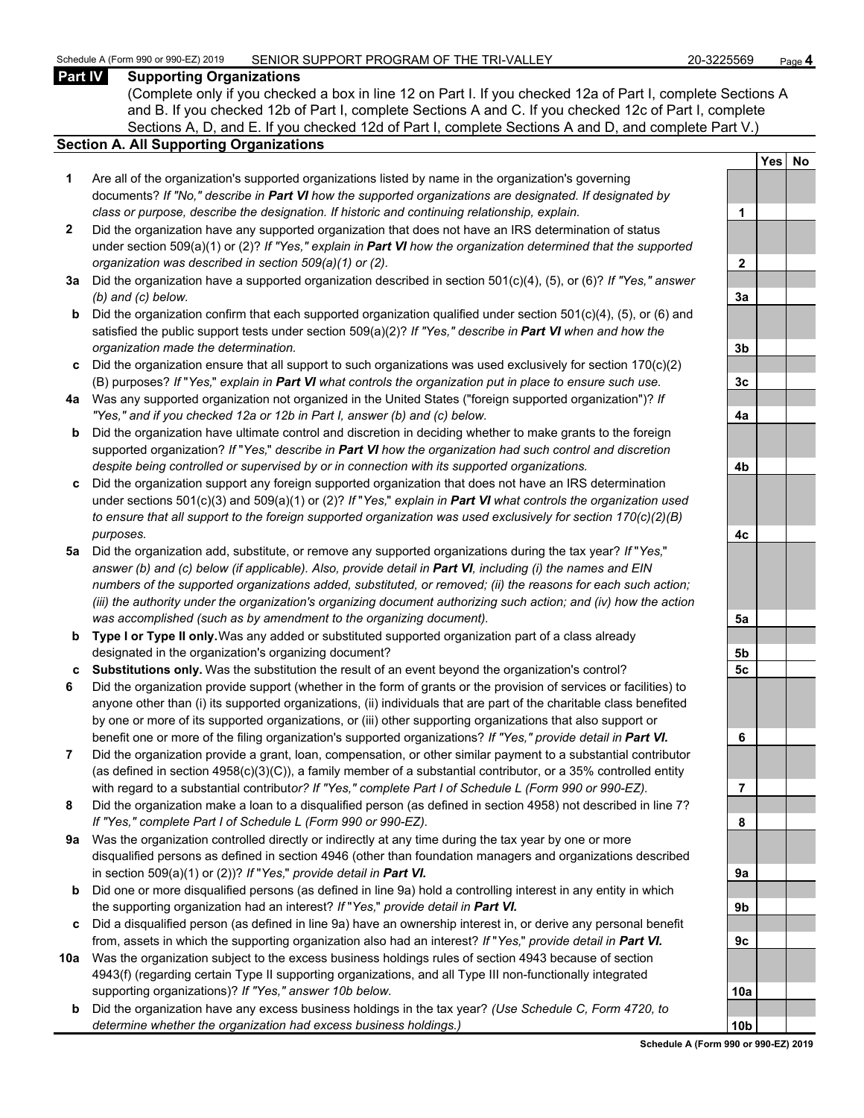#### **Part IV Supporting Organizations**

(Complete only if you checked a box in line 12 on Part I. If you checked 12a of Part I, complete Sections A and B. If you checked 12b of Part I, complete Sections A and C. If you checked 12c of Part I, complete Sections A, D, and E. If you checked 12d of Part I, complete Sections A and D, and complete Part V.)

#### **Section A. All Supporting Organizations**

- **1** Are all of the organization's supported organizations listed by name in the organization's governing documents? *If "No," describe in Part VI how the supported organizations are designated. If designated by class or purpose, describe the designation. If historic and continuing relationship, explain.* **1**
- **2** Did the organization have any supported organization that does not have an IRS determination of status under section 509(a)(1) or (2)? *If "Yes," explain in Part VI how the organization determined that the supported organization was described in section 509(a)(1) or (2).*
- **3a** Did the organization have a supported organization described in section 501(c)(4), (5), or (6)? *If "Yes," answer (b) and (c) below.* **3a**
- **b** Did the organization confirm that each supported organization qualified under section 501(c)(4), (5), or (6) and satisfied the public support tests under section 509(a)(2)? *If "Yes," describe in Part VI when and how the organization made the determination.* **3b**
- **c** Did the organization ensure that all support to such organizations was used exclusively for section 170(c)(2) (B) purposes? *If* "*Yes,*" *explain in Part VI what controls the organization put in place to ensure such use.* **3c**
- **4a** Was any supported organization not organized in the United States ("foreign supported organization")? *If "Yes," and if you checked 12a or 12b in Part I, answer (b) and (c) below.* **4a**
- **b** Did the organization have ultimate control and discretion in deciding whether to make grants to the foreign supported organization? *If* "*Yes,*" *describe in Part VI how the organization had such control and discretion despite being controlled or supervised by or in connection with its supported organizations.* **4b**
- **c** Did the organization support any foreign supported organization that does not have an IRS determination under sections 501(c)(3) and 509(a)(1) or (2)? *If* "*Yes,*" *explain in Part VI what controls the organization used to ensure that all support to the foreign supported organization was used exclusively for section 170(c)(2)(B) purposes.* **4c**
- **5a** Did the organization add, substitute, or remove any supported organizations during the tax year? *If* "*Yes,*" *answer (b) and (c) below (if applicable). Also, provide detail in Part VI, including (i) the names and EIN numbers of the supported organizations added, substituted, or removed; (ii) the reasons for each such action; (iii) the authority under the organization's organizing document authorizing such action; and (iv) how the action was accomplished (such as by amendment to the organizing document).* **5a**
- **b Type I or Type II only.** Was any added or substituted supported organization part of a class already designated in the organization's organizing document? **5b**
- **c Substitutions only.** Was the substitution the result of an event beyond the organization's control? **5c**
- **6** Did the organization provide support (whether in the form of grants or the provision of services or facilities) to anyone other than (i) its supported organizations, (ii) individuals that are part of the charitable class benefited by one or more of its supported organizations, or (iii) other supporting organizations that also support or benefit one or more of the filing organization's supported organizations? *If "Yes," provide detail in Part VI.* **6**
- **7** Did the organization provide a grant, loan, compensation, or other similar payment to a substantial contributor (as defined in section 4958(c)(3)(C)), a family member of a substantial contributor, or a 35% controlled entity with regard to a substantial contribut*or? If "Yes," complete Part I of Schedule L (Form 990 or 990-EZ).* **7**
- **8** Did the organization make a loan to a disqualified person (as defined in section 4958) not described in line 7? *If "Yes," complete Part I of Schedule L (Form 990 or 990-EZ).* **8**
- **9a** Was the organization controlled directly or indirectly at any time during the tax year by one or more disqualified persons as defined in section 4946 (other than foundation managers and organizations described in section 509(a)(1) or (2))? *If* "*Yes*," *provide detail in Part VI.*
- **b** Did one or more disqualified persons (as defined in line 9a) hold a controlling interest in any entity in which the supporting organization had an interest? *If* "*Yes,*" *provide detail in Part VI.* **9b**
- **c** Did a disqualified person (as defined in line 9a) have an ownership interest in, or derive any personal benefit from, assets in which the supporting organization also had an interest? *If* "*Yes,*" *provide detail in Part VI.* **9c**
- **10a** Was the organization subject to the excess business holdings rules of section 4943 because of section 4943(f) (regarding certain Type II supporting organizations, and all Type III non-functionally integrated supporting organizations)? If "Yes," answer 10b below.
	- **b** Did the organization have any excess business holdings in the tax year? *(Use Schedule C, Form 4720, to determine whether the organization had excess business holdings.)* **10b**

|                | $Yes$ | <u>No</u> |
|----------------|-------|-----------|
|                |       |           |
| 1              |       |           |
|                |       |           |
| $\overline{2}$ |       |           |
|                |       |           |
| <u>3a</u>      |       |           |
|                |       |           |
| <u>3b</u>      |       |           |
|                |       |           |
| <u>3c</u>      |       |           |
| <u>4a</u>      |       |           |
|                |       |           |
| <u>4b</u>      |       |           |
|                |       |           |
| 4c             |       |           |
|                |       |           |
| <u>5a</u>      |       |           |
|                |       |           |
| <u>5b</u>      |       |           |
| <u>5c</u>      |       |           |
| 6              |       |           |
|                |       |           |
| 7              |       |           |
|                |       |           |
| 8              |       |           |
|                |       |           |
| 9a             |       |           |
| 9b             |       |           |
|                |       |           |
| 9c             |       |           |
|                |       |           |
| 10 <u>a</u>    |       |           |
| 10b            |       |           |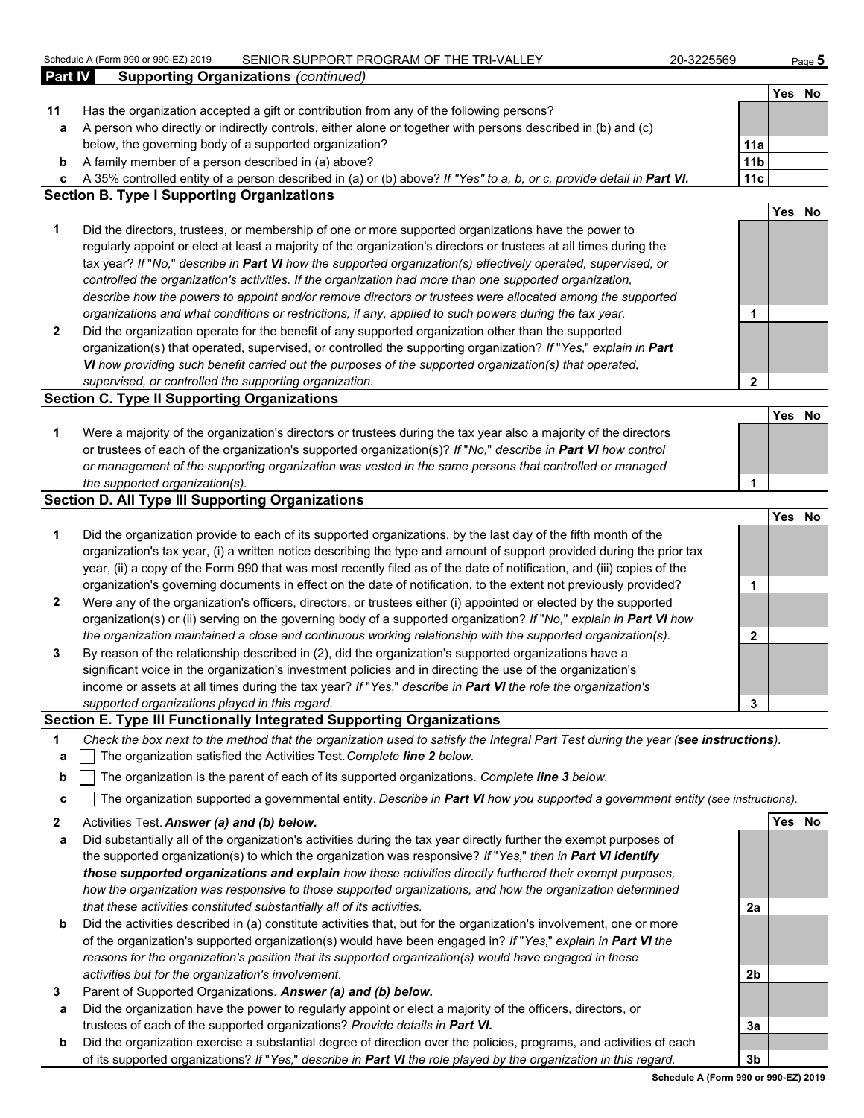|         | Schedule A (Form 990 or 990-EZ) 2019<br>SENIOR SUPPORT PROGRAM OF THE TRI-VALLEY                                                  | 20-3225569      |            | Page $5$ |
|---------|-----------------------------------------------------------------------------------------------------------------------------------|-----------------|------------|----------|
| Part IV | <b>Supporting Organizations (continued)</b>                                                                                       |                 |            |          |
|         |                                                                                                                                   |                 | Yes        | No       |
| 11      | Has the organization accepted a gift or contribution from any of the following persons?                                           |                 |            |          |
| a       | A person who directly or indirectly controls, either alone or together with persons described in (b) and (c)                      |                 |            |          |
|         | below, the governing body of a supported organization?                                                                            | 11a             |            |          |
| b       | A family member of a person described in (a) above?                                                                               | 11 <sub>b</sub> |            |          |
| c       | A 35% controlled entity of a person described in (a) or (b) above? If "Yes" to a, b, or c, provide detail in Part VI.             | 11c             |            |          |
|         | <b>Section B. Type I Supporting Organizations</b>                                                                                 |                 |            |          |
|         |                                                                                                                                   |                 | Yes        | No       |
| 1       | Did the directors, trustees, or membership of one or more supported organizations have the power to                               |                 |            |          |
|         | regularly appoint or elect at least a majority of the organization's directors or trustees at all times during the                |                 |            |          |
|         | tax year? If "No," describe in Part VI how the supported organization(s) effectively operated, supervised, or                     |                 |            |          |
|         | controlled the organization's activities. If the organization had more than one supported organization,                           |                 |            |          |
|         | describe how the powers to appoint and/or remove directors or trustees were allocated among the supported                         |                 |            |          |
|         | organizations and what conditions or restrictions, if any, applied to such powers during the tax year.                            | 1               |            |          |
| 2       | Did the organization operate for the benefit of any supported organization other than the supported                               |                 |            |          |
|         | organization(s) that operated, supervised, or controlled the supporting organization? If "Yes," explain in Part                   |                 |            |          |
|         | VI how providing such benefit carried out the purposes of the supported organization(s) that operated,                            |                 |            |          |
|         | supervised, or controlled the supporting organization.                                                                            | $\mathbf{2}$    |            |          |
|         | <b>Section C. Type II Supporting Organizations</b>                                                                                |                 |            |          |
|         |                                                                                                                                   |                 | <b>Yes</b> | No       |
| 1       | Were a majority of the organization's directors or trustees during the tax year also a majority of the directors                  |                 |            |          |
|         | or trustees of each of the organization's supported organization(s)? If "No," describe in Part VI how control                     |                 |            |          |
|         | or management of the supporting organization was vested in the same persons that controlled or managed                            |                 |            |          |
|         | the supported organization(s).                                                                                                    | 1               |            |          |
|         | <b>Section D. All Type III Supporting Organizations</b>                                                                           |                 |            |          |
|         |                                                                                                                                   |                 | <b>Yes</b> | No       |
| 1       | Did the organization provide to each of its supported organizations, by the last day of the fifth month of the                    |                 |            |          |
|         | organization's tax year, (i) a written notice describing the type and amount of support provided during the prior tax             |                 |            |          |
|         | year, (ii) a copy of the Form 990 that was most recently filed as of the date of notification, and (iii) copies of the            |                 |            |          |
|         | organization's governing documents in effect on the date of notification, to the extent not previously provided?                  | 1               |            |          |
| 2       | Were any of the organization's officers, directors, or trustees either (i) appointed or elected by the supported                  |                 |            |          |
|         | organization(s) or (ii) serving on the governing body of a supported organization? If "No," explain in Part VI how                |                 |            |          |
|         | the organization maintained a close and continuous working relationship with the supported organization(s).                       | $\mathbf{2}$    |            |          |
| 3       | By reason of the relationship described in (2), did the organization's supported organizations have a                             |                 |            |          |
|         | significant voice in the organization's investment policies and in directing the use of the organization's                        |                 |            |          |
|         | income or assets at all times during the tax year? If "Yes," describe in Part VI the role the organization's                      |                 |            |          |
|         | supported organizations played in this regard.                                                                                    | 3               |            |          |
|         | Section E. Type III Functionally Integrated Supporting Organizations                                                              |                 |            |          |
| 1       | Check the box next to the method that the organization used to satisfy the Integral Part Test during the year (see instructions). |                 |            |          |
| a       | The organization satisfied the Activities Test. Complete line 2 below.                                                            |                 |            |          |
| b       | The organization is the parent of each of its supported organizations. Complete line 3 below.                                     |                 |            |          |
| c       | The organization supported a governmental entity. Describe in Part VI how you supported a government entity (see instructions).   |                 |            |          |
| 2       | Activities Test. Answer (a) and (b) below.                                                                                        |                 | Yes No     |          |
|         |                                                                                                                                   |                 |            |          |

- **a** Did substantially all of the organization's activities during the tax year directly further the exempt purposes of the supported organization(s) to which the organization was responsive? *If* "*Yes,*" *then in Part VI identify those supported organizations and explain how these activities directly furthered their exempt purposes, how the organization was responsive to those supported organizations, and how the organization determined that these activities constituted substantially all of its activities.* **2a**
- **b** Did the activities described in (a) constitute activities that, but for the organization's involvement, one or more of the organization's supported organization(s) would have been engaged in? *If* "*Yes,*" *explain in Part VI the reasons for the organization's position that its supported organization(s) would have engaged in these activities but for the organization's involvement.* **2b**
- **3** Parent of Supported Organizations. *Answer (a) and (b) below.*
- **a** Did the organization have the power to regularly appoint or elect a majority of the officers, directors, or trustees of each of the supported organizations? *Provide details in Part VI.* **3a**
- **b** Did the organization exercise a substantial degree of direction over the policies, programs, and activities of each of its supported organizations? *If* "*Yes,*" *describe in Part VI the role played by the organization in this regard.* **3b**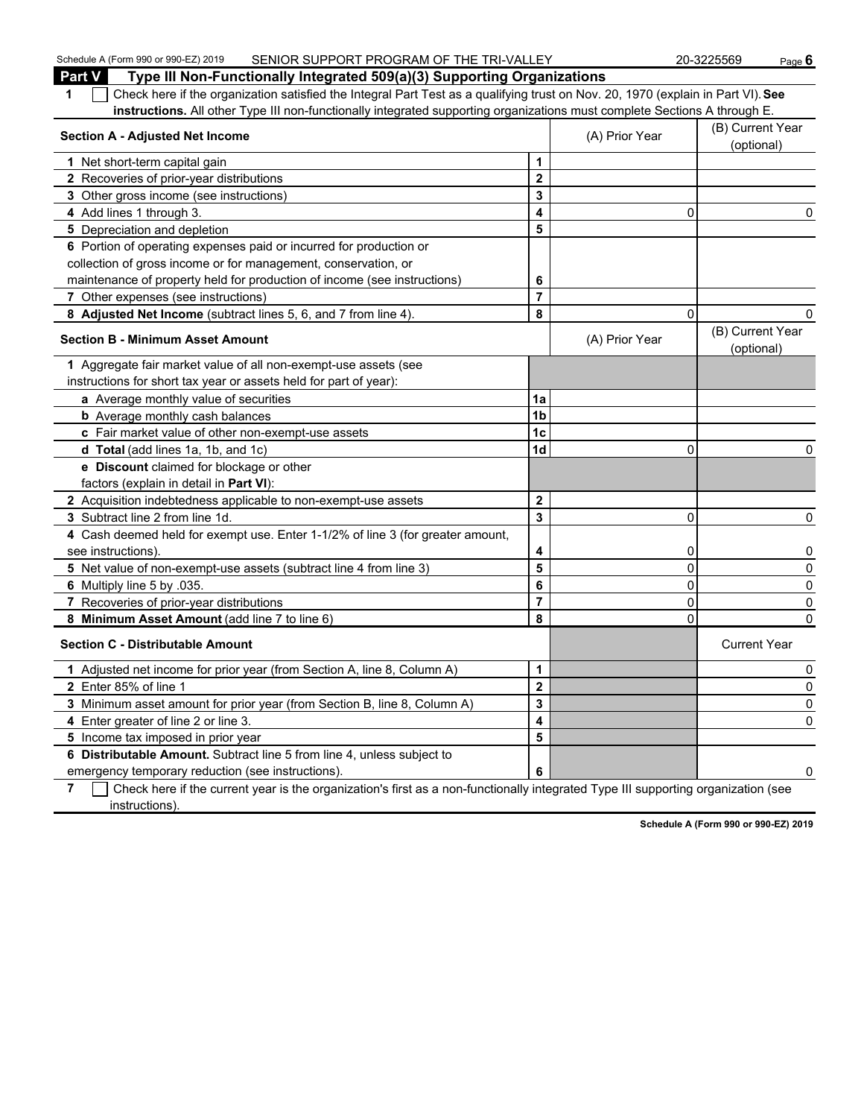| Schedule A (Form 990 or 990-EZ) 2019<br>SENIOR SUPPORT PROGRAM OF THE TRI-VALLEY                                                                                |                      |                | 20-3225569                     | <u>Page 6</u> |
|-----------------------------------------------------------------------------------------------------------------------------------------------------------------|----------------------|----------------|--------------------------------|---------------|
| <b>Part V</b><br>Type III Non-Functionally Integrated 509(a)(3) Supporting Organizations                                                                        |                      |                |                                |               |
| Check here if the organization satisfied the Integral Part Test as a qualifying trust on Nov. 20, 1970 (explain in Part VI). See<br>1                           |                      |                |                                |               |
| instructions. All other Type III non-functionally integrated supporting organizations must complete Sections A through E.                                       |                      |                |                                |               |
| <b>Section A - Adjusted Net Income</b>                                                                                                                          |                      | (A) Prior Year | (B) Current Year<br>(optional) |               |
| 1 Net short-term capital gain                                                                                                                                   | 1                    |                |                                |               |
| 2 Recoveries of prior-year distributions                                                                                                                        | $\overline{2}$       |                |                                |               |
| 3 Other gross income (see instructions)                                                                                                                         | 3                    |                |                                |               |
| 4 Add lines 1 through 3.                                                                                                                                        | 4                    | 0              |                                | 0             |
| 5 Depreciation and depletion                                                                                                                                    | 5                    |                |                                |               |
| 6 Portion of operating expenses paid or incurred for production or                                                                                              |                      |                |                                |               |
| collection of gross income or for management, conservation, or                                                                                                  |                      |                |                                |               |
| maintenance of property held for production of income (see instructions)                                                                                        | 6                    |                |                                |               |
| 7 Other expenses (see instructions)                                                                                                                             | $\overline{7}$       |                |                                |               |
| 8 Adjusted Net Income (subtract lines 5, 6, and 7 from line 4).                                                                                                 | 8                    | 0              |                                | 0             |
| <b>Section B - Minimum Asset Amount</b>                                                                                                                         |                      | (A) Prior Year | (B) Current Year<br>(optional) |               |
| 1 Aggregate fair market value of all non-exempt-use assets (see                                                                                                 |                      |                |                                |               |
| instructions for short tax year or assets held for part of year):                                                                                               |                      |                |                                |               |
| a Average monthly value of securities                                                                                                                           | 1a                   |                |                                |               |
| <b>b</b> Average monthly cash balances                                                                                                                          | 1 <sub>b</sub>       |                |                                |               |
| c Fair market value of other non-exempt-use assets                                                                                                              | 1 <sub>c</sub>       |                |                                |               |
| d Total (add lines 1a, 1b, and 1c)                                                                                                                              | 1d                   | $\mathbf{0}$   |                                | 0             |
| e Discount claimed for blockage or other                                                                                                                        |                      |                |                                |               |
| factors (explain in detail in <b>Part VI</b> ):                                                                                                                 |                      |                |                                |               |
| 2 Acquisition indebtedness applicable to non-exempt-use assets                                                                                                  | $\mathbf 2$          |                |                                |               |
| 3 Subtract line 2 from line 1d.                                                                                                                                 | 3                    | $\mathbf{0}$   |                                | 0             |
| 4 Cash deemed held for exempt use. Enter 1-1/2% of line 3 (for greater amount,                                                                                  |                      |                |                                |               |
| see instructions)                                                                                                                                               | 4                    | 0              |                                | 0             |
| 5 Net value of non-exempt-use assets (subtract line 4 from line 3)                                                                                              | 5                    | 0              |                                | 0             |
| 6 Multiply line 5 by .035.                                                                                                                                      | 6                    | 0              |                                | 0             |
| 7 Recoveries of prior-year distributions                                                                                                                        | $\overline{7}$       | 0              |                                | 0             |
| 8 Minimum Asset Amount (add line 7 to line 6)                                                                                                                   | 8                    | 0              |                                | 0             |
| <b>Section C - Distributable Amount</b>                                                                                                                         |                      |                | <b>Current Year</b>            |               |
| 1 Adjusted net income for prior year (from Section A, line 8, Column A)                                                                                         | $\blacktriangleleft$ |                |                                | 0             |
| 2 Enter 85% of line 1                                                                                                                                           | $\overline{2}$       |                |                                | 0             |
| 3 Minimum asset amount for prior year (from Section B, line 8, Column A)                                                                                        | 3                    |                |                                | 0             |
| 4 Enter greater of line 2 or line 3.                                                                                                                            | 4                    |                |                                | 0             |
| 5 Income tax imposed in prior year                                                                                                                              | 5                    |                |                                |               |
| 6 Distributable Amount. Subtract line 5 from line 4, unless subject to                                                                                          |                      |                |                                |               |
| emergency temporary reduction (see instructions).                                                                                                               |                      |                |                                | 0             |
| $\overline{7}$ $\overline{1}$ Check here if the current vear is the organization's first as a non-functionally integrated Type III supporting organization (see |                      |                |                                |               |

**7** Check here if the current year is the organization's first as a non-functionally integrated Type III supporting organization (see instructions).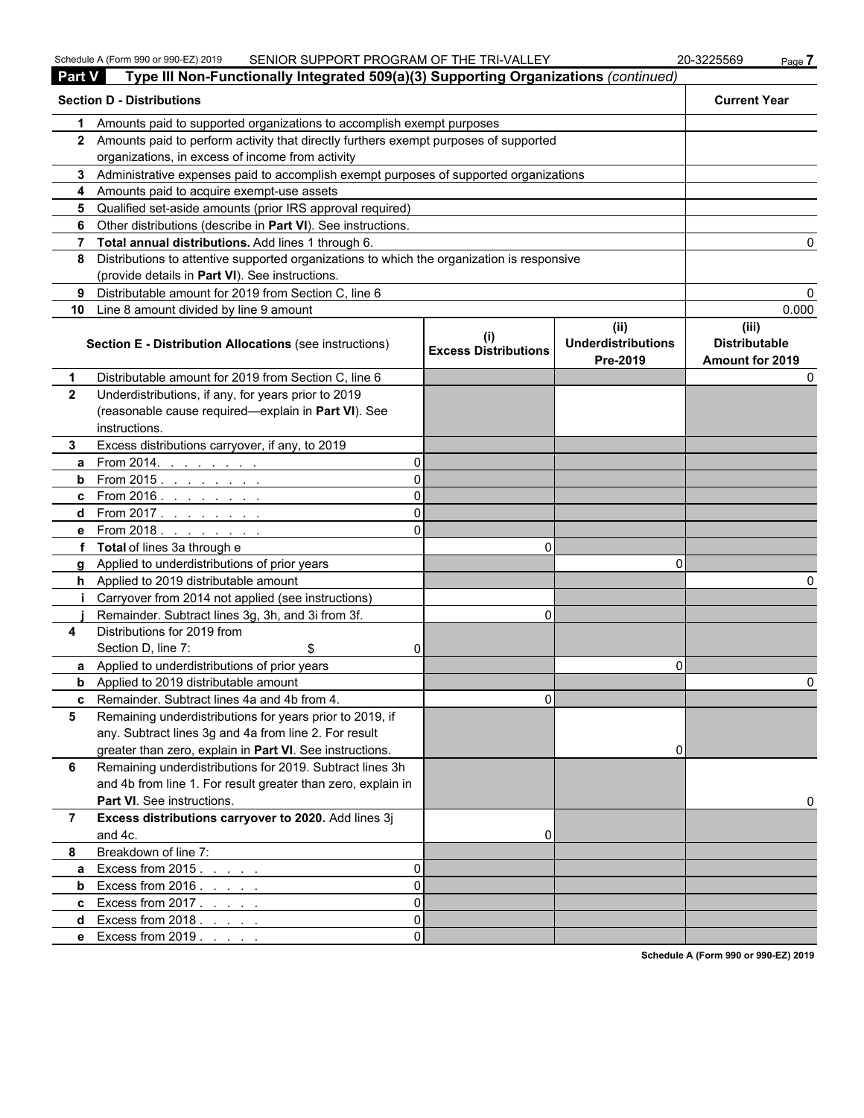| <b>Part V</b>  | Type III Non-Functionally Integrated 509(a)(3) Supporting Organizations (continued)        |                             |                                               |                                                  |
|----------------|--------------------------------------------------------------------------------------------|-----------------------------|-----------------------------------------------|--------------------------------------------------|
|                | <b>Section D - Distributions</b>                                                           |                             |                                               | <b>Current Year</b>                              |
| 1              | Amounts paid to supported organizations to accomplish exempt purposes                      |                             |                                               |                                                  |
|                | 2 Amounts paid to perform activity that directly furthers exempt purposes of supported     |                             |                                               |                                                  |
|                | organizations, in excess of income from activity                                           |                             |                                               |                                                  |
|                | 3 Administrative expenses paid to accomplish exempt purposes of supported organizations    |                             |                                               |                                                  |
|                | 4 Amounts paid to acquire exempt-use assets                                                |                             |                                               |                                                  |
|                | 5 Qualified set-aside amounts (prior IRS approval required)                                |                             |                                               |                                                  |
|                | 6 Other distributions (describe in Part VI). See instructions.                             |                             |                                               |                                                  |
|                | 7 Total annual distributions. Add lines 1 through 6.                                       |                             |                                               |                                                  |
| 8              | Distributions to attentive supported organizations to which the organization is responsive |                             |                                               |                                                  |
|                | (provide details in Part VI). See instructions.                                            |                             |                                               |                                                  |
| 9              | Distributable amount for 2019 from Section C, line 6                                       |                             |                                               |                                                  |
|                | 10 Line 8 amount divided by line 9 amount                                                  |                             |                                               | 0.000                                            |
|                | Section E - Distribution Allocations (see instructions)                                    | <b>Excess Distributions</b> | (ii)<br><b>Underdistributions</b><br>Pre-2019 | (iii)<br><b>Distributable</b><br>Amount for 2019 |
| 1              | Distributable amount for 2019 from Section C, line 6                                       |                             |                                               |                                                  |
| $\mathbf{2}$   | Underdistributions, if any, for years prior to 2019                                        |                             |                                               |                                                  |
|                | (reasonable cause required-explain in Part VI). See                                        |                             |                                               |                                                  |
|                | instructions.                                                                              |                             |                                               |                                                  |
| 3.             | Excess distributions carryover, if any, to 2019                                            |                             |                                               |                                                  |
| a              | From 2014. $\ldots$ $\ldots$ $\ldots$<br>$\Omega$                                          |                             |                                               |                                                  |
|                | <b>b</b> From 2015. <u>.</u><br>ΩI                                                         |                             |                                               |                                                  |
|                | <b>c</b> From 2016. <u>.</u><br>ΩI                                                         |                             |                                               |                                                  |
|                | <b>d</b> From 2017. <u>.</u><br>ΩI                                                         |                             |                                               |                                                  |
|                | <b>e</b> From 2018.<br>ΩI                                                                  |                             |                                               |                                                  |
|                | f Total of lines 3a through e                                                              | 0                           |                                               |                                                  |
|                | g Applied to underdistributions of prior years                                             |                             | n                                             |                                                  |
|                | h Applied to 2019 distributable amount                                                     |                             |                                               |                                                  |
|                | Carryover from 2014 not applied (see instructions)                                         |                             |                                               |                                                  |
|                | Remainder. Subtract lines 3g, 3h, and 3i from 3f.                                          | 0                           |                                               |                                                  |
| 4              | Distributions for 2019 from                                                                |                             |                                               |                                                  |
|                | Section D, line 7:<br>\$<br>01                                                             |                             |                                               |                                                  |
|                | a Applied to underdistributions of prior years                                             |                             | 0                                             |                                                  |
|                | <b>b</b> Applied to 2019 distributable amount                                              |                             |                                               |                                                  |
|                | <b>c</b> Remainder. Subtract lines 4a and 4b from 4                                        | U.                          |                                               |                                                  |
| 5              | Remaining underdistributions for years prior to 2019, if                                   |                             |                                               |                                                  |
|                | any. Subtract lines 3g and 4a from line 2. For result                                      |                             |                                               |                                                  |
|                | greater than zero, explain in Part VI. See instructions.                                   |                             | 0                                             |                                                  |
| 6              | Remaining underdistributions for 2019. Subtract lines 3h                                   |                             |                                               |                                                  |
|                | and 4b from line 1. For result greater than zero, explain in                               |                             |                                               |                                                  |
|                | Part VI. See instructions.                                                                 |                             |                                               |                                                  |
| $\overline{7}$ | Excess distributions carryover to 2020. Add lines 3j                                       |                             |                                               |                                                  |
|                | and 4c.                                                                                    | 0                           |                                               |                                                  |
| 8              | Breakdown of line 7:                                                                       |                             |                                               |                                                  |
| a              | Excess from $2015.$<br>$\Omega$                                                            |                             |                                               |                                                  |
| b              | Excess from $2016. \ldots$ .<br>$\Omega$                                                   |                             |                                               |                                                  |
|                | <b>c</b> Excess from $2017$<br>$\Omega$                                                    |                             |                                               |                                                  |
| d              | Excess from 2018.<br>$\Omega$                                                              |                             |                                               |                                                  |
|                | e Excess from 2019.<br>ΩI                                                                  |                             |                                               |                                                  |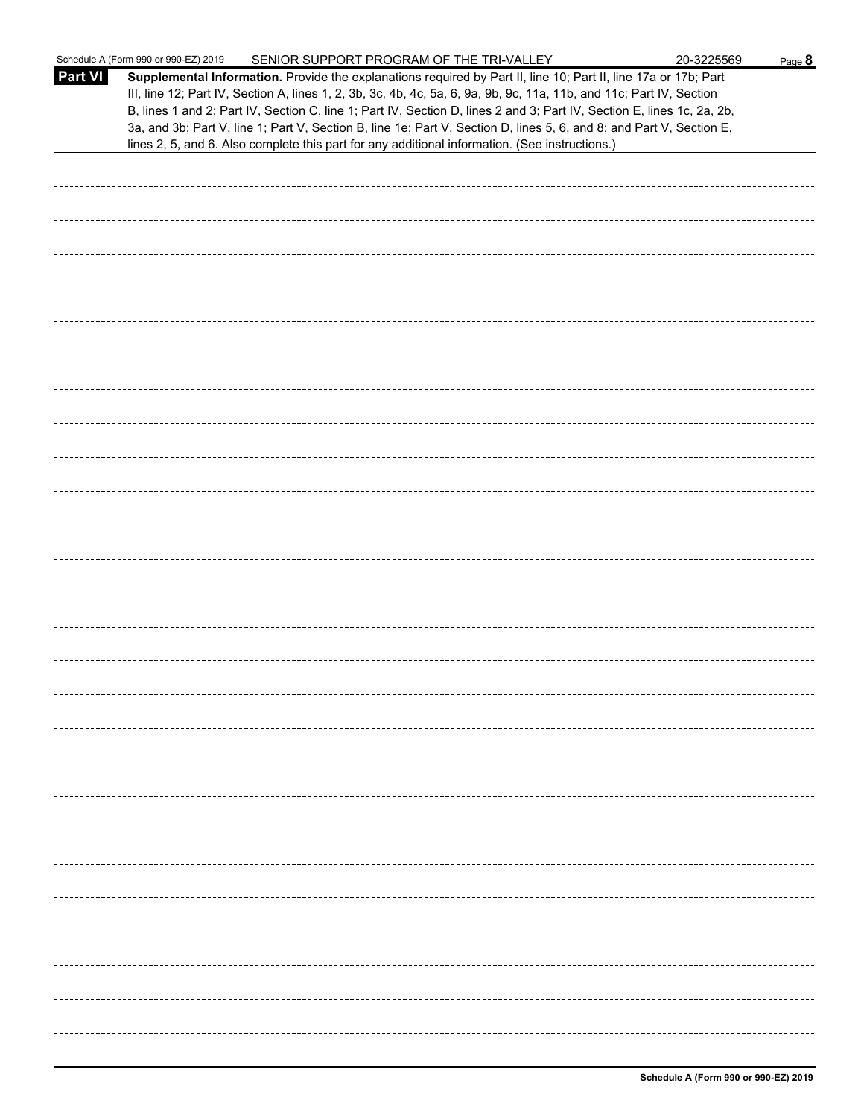|                | Schedule A (Form 990 or 990-EZ) 2019<br>SENIOR SUPPORT PROGRAM OF THE TRI-VALLEY                                                                                                                                                                                                                                                                                                                                                                                                          | 20-3225569 | Page 8 |
|----------------|-------------------------------------------------------------------------------------------------------------------------------------------------------------------------------------------------------------------------------------------------------------------------------------------------------------------------------------------------------------------------------------------------------------------------------------------------------------------------------------------|------------|--------|
| <b>Part VI</b> | Supplemental Information. Provide the explanations required by Part II, line 10; Part II, line 17a or 17b; Part<br>III, line 12; Part IV, Section A, lines 1, 2, 3b, 3c, 4b, 4c, 5a, 6, 9a, 9b, 9c, 11a, 11b, and 11c; Part IV, Section<br>B, lines 1 and 2; Part IV, Section C, line 1; Part IV, Section D, lines 2 and 3; Part IV, Section E, lines 1c, 2a, 2b,<br>3a, and 3b; Part V, line 1; Part V, Section B, line 1e; Part V, Section D, lines 5, 6, and 8; and Part V, Section E, |            |        |
|                | lines 2, 5, and 6. Also complete this part for any additional information. (See instructions.)                                                                                                                                                                                                                                                                                                                                                                                            |            |        |
|                |                                                                                                                                                                                                                                                                                                                                                                                                                                                                                           |            |        |
|                |                                                                                                                                                                                                                                                                                                                                                                                                                                                                                           |            |        |
|                |                                                                                                                                                                                                                                                                                                                                                                                                                                                                                           |            |        |
|                |                                                                                                                                                                                                                                                                                                                                                                                                                                                                                           |            |        |
|                |                                                                                                                                                                                                                                                                                                                                                                                                                                                                                           |            |        |
|                |                                                                                                                                                                                                                                                                                                                                                                                                                                                                                           |            |        |
|                |                                                                                                                                                                                                                                                                                                                                                                                                                                                                                           |            |        |
|                |                                                                                                                                                                                                                                                                                                                                                                                                                                                                                           |            |        |
|                |                                                                                                                                                                                                                                                                                                                                                                                                                                                                                           |            |        |
|                |                                                                                                                                                                                                                                                                                                                                                                                                                                                                                           |            |        |
|                |                                                                                                                                                                                                                                                                                                                                                                                                                                                                                           |            |        |
|                |                                                                                                                                                                                                                                                                                                                                                                                                                                                                                           |            |        |
|                |                                                                                                                                                                                                                                                                                                                                                                                                                                                                                           |            |        |
|                |                                                                                                                                                                                                                                                                                                                                                                                                                                                                                           |            |        |
|                |                                                                                                                                                                                                                                                                                                                                                                                                                                                                                           |            |        |
|                |                                                                                                                                                                                                                                                                                                                                                                                                                                                                                           |            |        |
|                |                                                                                                                                                                                                                                                                                                                                                                                                                                                                                           |            |        |
|                |                                                                                                                                                                                                                                                                                                                                                                                                                                                                                           |            |        |
|                |                                                                                                                                                                                                                                                                                                                                                                                                                                                                                           |            |        |
|                |                                                                                                                                                                                                                                                                                                                                                                                                                                                                                           |            |        |
|                |                                                                                                                                                                                                                                                                                                                                                                                                                                                                                           |            |        |
|                |                                                                                                                                                                                                                                                                                                                                                                                                                                                                                           |            |        |
|                |                                                                                                                                                                                                                                                                                                                                                                                                                                                                                           |            |        |
|                |                                                                                                                                                                                                                                                                                                                                                                                                                                                                                           |            |        |
|                |                                                                                                                                                                                                                                                                                                                                                                                                                                                                                           |            |        |
|                |                                                                                                                                                                                                                                                                                                                                                                                                                                                                                           |            |        |
|                |                                                                                                                                                                                                                                                                                                                                                                                                                                                                                           |            |        |
|                |                                                                                                                                                                                                                                                                                                                                                                                                                                                                                           |            |        |
|                |                                                                                                                                                                                                                                                                                                                                                                                                                                                                                           |            |        |
|                |                                                                                                                                                                                                                                                                                                                                                                                                                                                                                           |            |        |
|                |                                                                                                                                                                                                                                                                                                                                                                                                                                                                                           |            |        |
|                |                                                                                                                                                                                                                                                                                                                                                                                                                                                                                           |            |        |
|                |                                                                                                                                                                                                                                                                                                                                                                                                                                                                                           |            |        |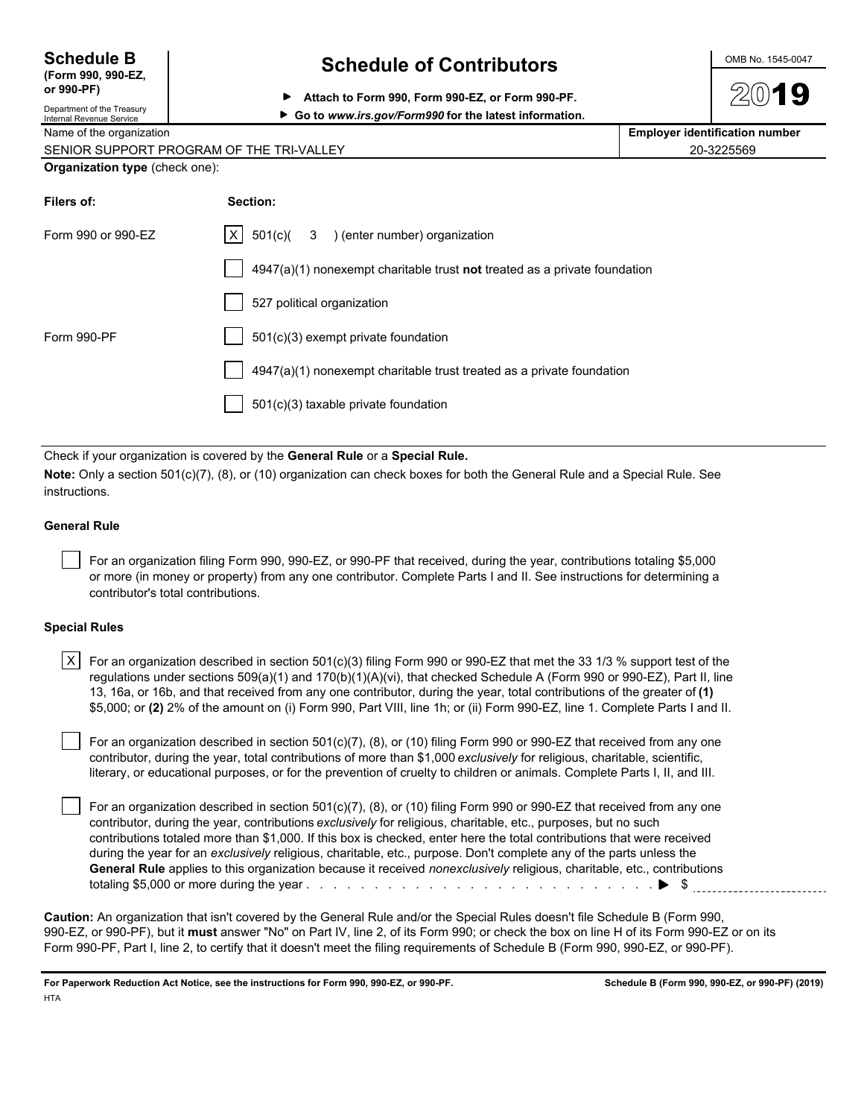| <b>Schedule B</b>  |
|--------------------|
| (Form 990, 990-EZ, |
| or 990-PF)         |

### **Schedule of Contributors**

▶ Go to www.irs.gov/Form990 for the latest information.

**Attach to Form 990, Form 990-EZ, or Form 990-PF.**

|  | OMB No. 1545-0047 |
|--|-------------------|
|  |                   |

| Department of the Treasury |
|----------------------------|
| Internal Revenue Service   |
|                            |

Name of the organization **Employer identification number Employer identification number** 

| SENIOR SUPPORT PROGRAM OF THE TRI-VALLEY<br>⊏∨ | 20-3225569 |
|------------------------------------------------|------------|
|------------------------------------------------|------------|

#### **Organization type** (check one):

| Filers of:         | Section:                                                                  |
|--------------------|---------------------------------------------------------------------------|
| Form 990 or 990-EZ | $ X $ 501(c)( 3 ) (enter number) organization                             |
|                    | 4947(a)(1) nonexempt charitable trust not treated as a private foundation |
|                    | 527 political organization                                                |
| Form 990-PF        | 501(c)(3) exempt private foundation                                       |
|                    | 4947(a)(1) nonexempt charitable trust treated as a private foundation     |
|                    | 501(c)(3) taxable private foundation                                      |
|                    |                                                                           |

Check if your organization is covered by the **General Rule** or a **Special Rule.**

**Note:** Only a section 501(c)(7), (8), or (10) organization can check boxes for both the General Rule and a Special Rule. See instructions.

#### **General Rule**

 For an organization filing Form 990, 990-EZ, or 990-PF that received, during the year, contributions totaling \$5,000 or more (in money or property) from any one contributor. Complete Parts I and II. See instructions for determining a contributor's total contributions.

#### **Special Rules**

| <code>X <math>\mid</math> For</code> an organization described in section 501(c)(3) filing Form 990 or 990-EZ that met the 33 1/3 % support test of the |
|---------------------------------------------------------------------------------------------------------------------------------------------------------|
| regulations under sections 509(a)(1) and 170(b)(1)(A)(vi), that checked Schedule A (Form 990 or 990-EZ), Part II, line                                  |
| 13, 16a, or 16b, and that received from any one contributor, during the year, total contributions of the greater of (1)                                 |
| \$5,000; or (2) 2% of the amount on (i) Form 990, Part VIII, line 1h; or (ii) Form 990-EZ, line 1. Complete Parts I and II.                             |

 For an organization described in section 501(c)(7), (8), or (10) filing Form 990 or 990-EZ that received from any one contributor, during the year, total contributions of more than \$1,000 *exclusively* for religious, charitable, scientific, literary, or educational purposes, or for the prevention of cruelty to children or animals. Complete Parts I, II, and III.

 For an organization described in section 501(c)(7), (8), or (10) filing Form 990 or 990-EZ that received from any one contributor, during the year, contributions *exclusively* for religious, charitable, etc., purposes, but no such contributions totaled more than \$1,000. If this box is checked, enter here the total contributions that were received during the year for an *exclusively* religious, charitable, etc., purpose. Don't complete any of the parts unless the **General Rule** applies to this organization because it received *nonexclusively* religious, charitable, etc., contributions totaling \$5,000 or more during the year . . . . . . . . . . . . . . . . . . . . . . . . . . . . . . . . . . . . . . . . . . . . . . . . . . . \$

**Caution:** An organization that isn't covered by the General Rule and/or the Special Rules doesn't file Schedule B (Form 990, 990-EZ, or 990-PF), but it **must** answer "No" on Part IV, line 2, of its Form 990; or check the box on line H of its Form 990-EZ or on its Form 990-PF, Part I, line 2, to certify that it doesn't meet the filing requirements of Schedule B (Form 990, 990-EZ, or 990-PF).

**For Paperwork Reduction Act Notice, see the instructions for Form 990, 990-EZ, or 990-PF. Schedule B (Form 990, 990-EZ, or 990-PF) (2019) HTA**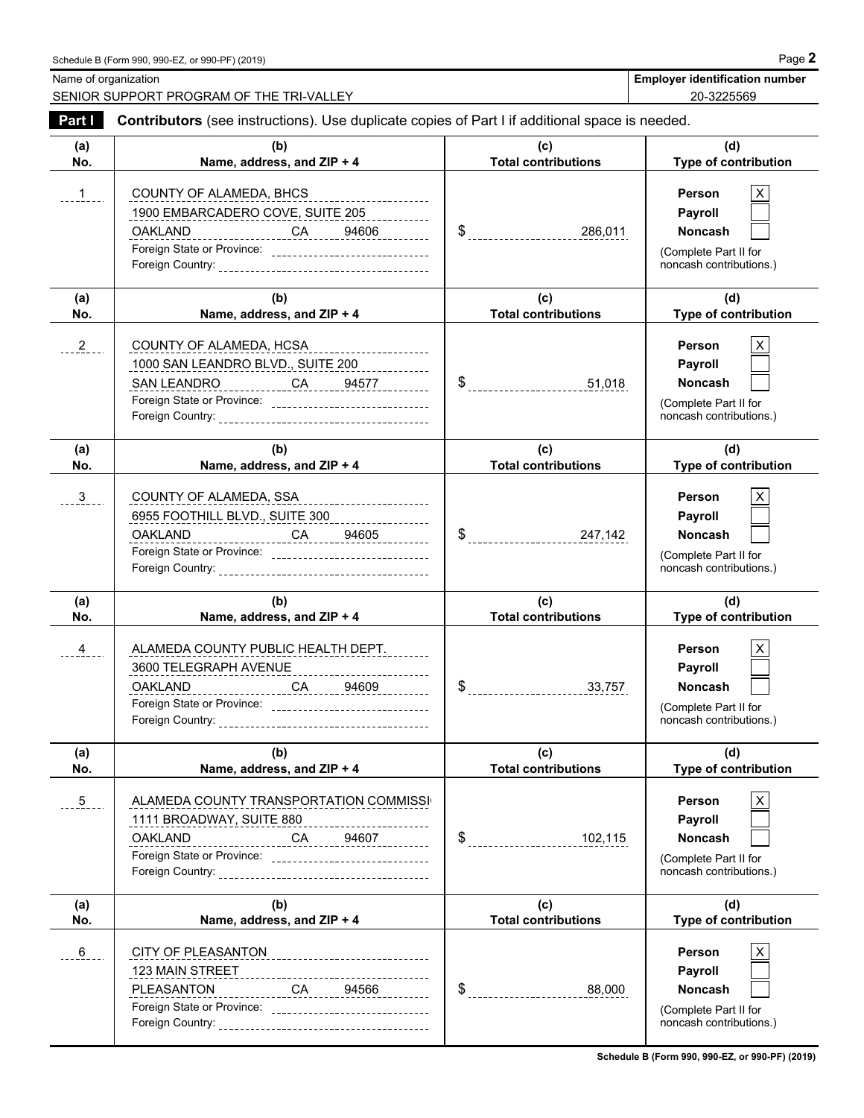Name of organization **Employer identification number Employer identification number** 

SENIOR SUPPORT PROGRAM OF THE TRI-VALLEY **20-3225569** 20-3225569

| Part I        | Contributors (see instructions). Use duplicate copies of Part I if additional space is needed.                                                                                                                  |                                   |                                                                                                |
|---------------|-----------------------------------------------------------------------------------------------------------------------------------------------------------------------------------------------------------------|-----------------------------------|------------------------------------------------------------------------------------------------|
| (a)<br>No.    | (b)<br>Name, address, and ZIP + 4                                                                                                                                                                               | (c)<br><b>Total contributions</b> | (d)<br>Type of contribution                                                                    |
| . 1           | COUNTY OF ALAMEDA, BHCS<br>1900 EMBARCADERO COVE, SUITE 205<br><u>OAKLAND CA 94606</u><br>Foreign State or Province: ________________________________                                                           |                                   | <b>Person</b><br>Payroll<br><b>Noncash</b><br>(Complete Part II for<br>noncash contributions.) |
| (a)<br>No.    | (b)<br>Name, address, and ZIP + 4                                                                                                                                                                               | (c)<br><b>Total contributions</b> | (d)<br>Type of contribution                                                                    |
| 2             | COUNTY OF ALAMEDA, HCSA<br>1000 SAN LEANDRO BLVD., SUITE 200<br>SAN LEANDRO ____________ CA _____ 94577 ________<br>Foreign State or Province: __________________________________                               |                                   | X<br><b>Person</b><br>Payroll<br>Noncash<br>(Complete Part II for<br>noncash contributions.)   |
| (a)<br>No.    | (b)<br>Name, address, and ZIP + 4                                                                                                                                                                               | (c)<br><b>Total contributions</b> | (d)<br>Type of contribution                                                                    |
| $\frac{3}{2}$ | COUNTY OF ALAMEDA, SSA<br>6955 FOOTHILL BLVD., SUITE 300<br><u>OAKLAND__________________CA______94605_________</u><br>Foreign State or Province: _________________________________                              |                                   | Person<br>Payroll<br><b>Noncash</b><br>(Complete Part II for<br>noncash contributions.)        |
| (a)<br>No.    | (b)<br>Name, address, and ZIP + 4                                                                                                                                                                               | (c)<br><b>Total contributions</b> | (d)<br>Type of contribution                                                                    |
| $\frac{4}{1}$ | ALAMEDA COUNTY PUBLIC HEALTH DEPT.<br>3600 TELEGRAPH AVENUE _________________________<br><u>OAKLAND __________________CA _____94609 _________</u><br>Foreign State or Province: _______________________________ |                                   | <b>Person</b><br>Payroll<br><b>Noncash</b><br>(Complete Part II for<br>noncash contributions.) |
| (a)<br>No.    | (b)<br>Name, address, and ZIP + 4                                                                                                                                                                               | (c)<br><b>Total contributions</b> | (d)<br>Type of contribution                                                                    |
| $\frac{5}{2}$ | ALAMEDA COUNTY TRANSPORTATION COMMISSI<br>1111 BROADWAY, SUITE 880<br><b>OAKLAND</b><br>________________CA______94607__________<br>Foreign State or Province: __________________________________                | \$<br>102, 115                    | <b>Person</b><br>Payroll<br><b>Noncash</b><br>(Complete Part II for<br>noncash contributions.) |
| (a)<br>No.    | (b)<br>Name, address, and ZIP + 4                                                                                                                                                                               | (c)<br><b>Total contributions</b> | (d)<br>Type of contribution                                                                    |
| $6 -$         | CITY OF PLEASANTON_______________________________<br>123 MAIN STREET<br>---------------------------------<br>PLEASANTON<br>CA 94566                                                                             | \$<br>88,000                      | Person<br>Payroll<br><b>Noncash</b>                                                            |

**Schedule B (Form 990, 990-EZ, or 990-PF) (2019)**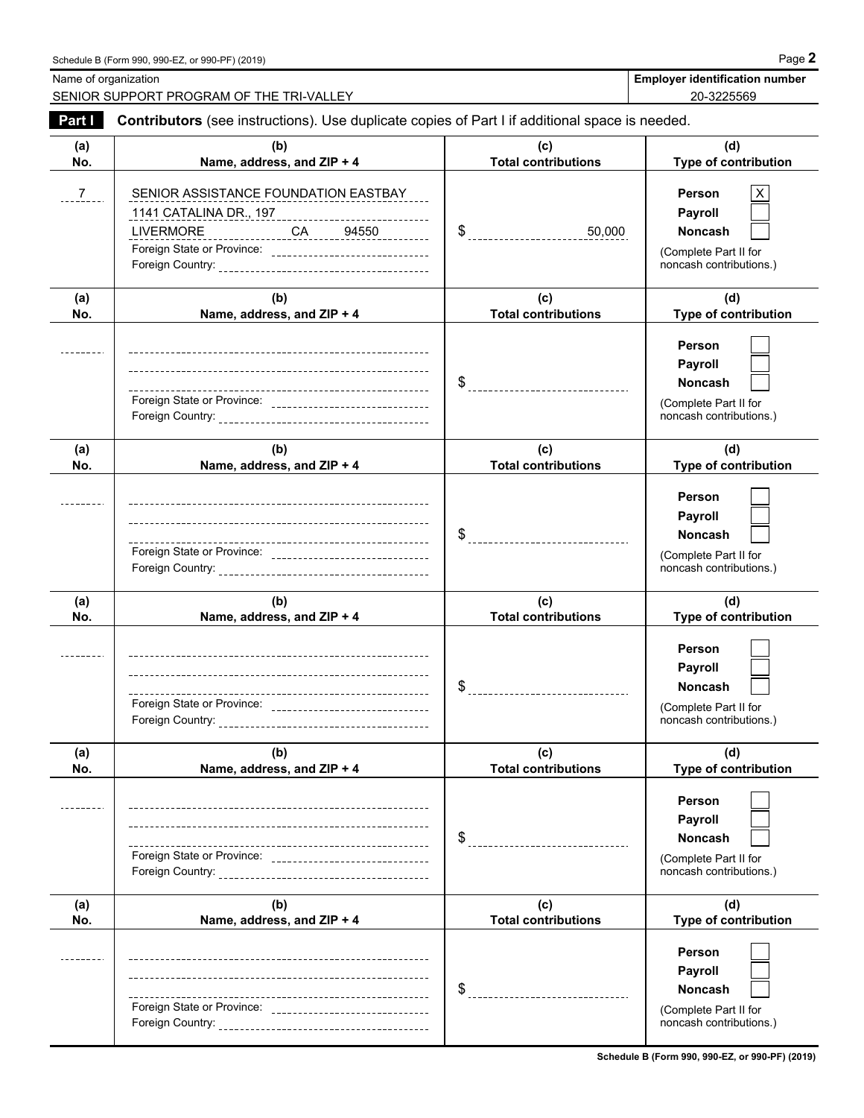|               | SENIOR SUPPORT PROGRAM OF THE TRI-VALLEY                                                                                                            |                                              | 20-3225569                                                                              |
|---------------|-----------------------------------------------------------------------------------------------------------------------------------------------------|----------------------------------------------|-----------------------------------------------------------------------------------------|
| Part I        | Contributors (see instructions). Use duplicate copies of Part I if additional space is needed.                                                      |                                              |                                                                                         |
| (a)<br>No.    | (b)<br>Name, address, and ZIP + 4                                                                                                                   | (c)<br><b>Total contributions</b>            | (d)<br>Type of contribution                                                             |
| $\frac{7}{2}$ | SENIOR ASSISTANCE FOUNDATION EASTBAY<br>1141 CATALINA DR., 197<br>LIVERMORE CA 94550<br>Foreign State or Province: ________________________________ | 50,000<br>$\frac{1}{2}$                      | Person<br>Payroll<br>Noncash<br>(Complete Part II for<br>noncash contributions.)        |
| (a)<br>No.    | (b)<br>Name, address, and ZIP + 4                                                                                                                   | (c)<br><b>Total contributions</b>            | (d)<br>Type of contribution                                                             |
|               | Foreign State or Province: __________________________________                                                                                       | $\frac{1}{2}$ ------------------------------ | Person<br>Payroll<br><b>Noncash</b><br>(Complete Part II for<br>noncash contributions.) |
| (a)<br>No.    | (b)<br>Name, address, and ZIP + 4                                                                                                                   | (c)<br><b>Total contributions</b>            | (d)<br>Type of contribution                                                             |
|               |                                                                                                                                                     |                                              | Person<br>Payroll<br><b>Noncash</b><br>(Complete Part II for<br>noncash contributions.) |
| (a)<br>No.    | (b)<br>Name, address, and ZIP + 4                                                                                                                   | (c)<br><b>Total contributions</b>            | (d)<br>Type of contribution                                                             |
|               | --------------------------------------<br>Foreign Country:                                                                                          |                                              | Person<br>Payroll<br>Noncash<br>(Complete Part II for<br>noncash contributions.)        |
| (a)<br>No.    | (b)<br>Name, address, and ZIP + 4                                                                                                                   | (c)<br><b>Total contributions</b>            | (d)<br>Type of contribution                                                             |
|               |                                                                                                                                                     | \$                                           | Person<br>Payroll<br>Noncash<br>(Complete Part II for<br>noncash contributions.)        |
| (a)<br>No.    | (b)<br>Name, address, and ZIP + 4                                                                                                                   | (c)<br><b>Total contributions</b>            | (d)<br>Type of contribution                                                             |
|               | Foreign Country:                                                                                                                                    | \$                                           | Person<br>Payroll<br>Noncash<br>(Complete Part II for<br>noncash contributions.)        |

Name of organization **Employer identification number Employer identification number**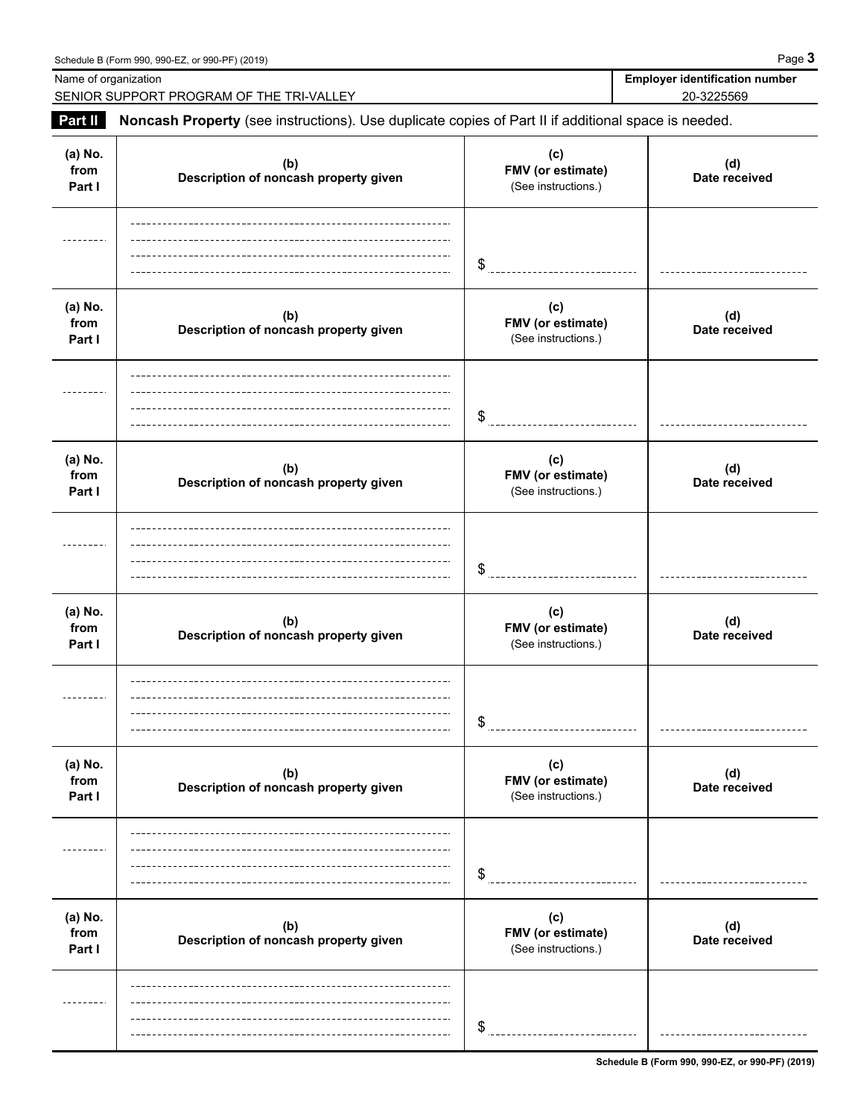|                           | Schedule B (Form 990, 990-EZ, or 990-PF) (2019)                                                     |                                                 | Page 3                                              |
|---------------------------|-----------------------------------------------------------------------------------------------------|-------------------------------------------------|-----------------------------------------------------|
| Name of organization      | SENIOR SUPPORT PROGRAM OF THE TRI-VALLEY                                                            |                                                 | <b>Employer identification number</b><br>20-3225569 |
| Part II                   | Noncash Property (see instructions). Use duplicate copies of Part II if additional space is needed. |                                                 |                                                     |
| (a) No.<br>from<br>Part I | (b)<br>Description of noncash property given                                                        | (c)<br>FMV (or estimate)<br>(See instructions.) | (d)<br>Date received                                |
|                           |                                                                                                     | \$                                              |                                                     |
| (a) No.<br>from<br>Part I | (b)<br>Description of noncash property given                                                        | (c)<br>FMV (or estimate)<br>(See instructions.) | (d)<br>Date received                                |
|                           |                                                                                                     | \$                                              |                                                     |
| (a) No.<br>from<br>Part I | (b)<br>Description of noncash property given                                                        | (c)<br>FMV (or estimate)<br>(See instructions.) | (d)<br>Date received                                |
|                           |                                                                                                     | \$                                              |                                                     |
| (a) No.<br>from<br>Part I | (b)<br>Description of noncash property given                                                        | (c)<br>FMV (or estimate)<br>(See instructions.) | (d)<br>Date received                                |
|                           |                                                                                                     | \$                                              |                                                     |
| (a) No.<br>from<br>Part I | (b)<br>Description of noncash property given                                                        | (c)<br>FMV (or estimate)<br>(See instructions.) | (d)<br>Date received                                |
|                           |                                                                                                     | \$                                              |                                                     |
| (a) No.<br>from<br>Part I | (b)<br>Description of noncash property given                                                        | (c)<br>FMV (or estimate)<br>(See instructions.) | (d)<br>Date received                                |
|                           |                                                                                                     | \$                                              |                                                     |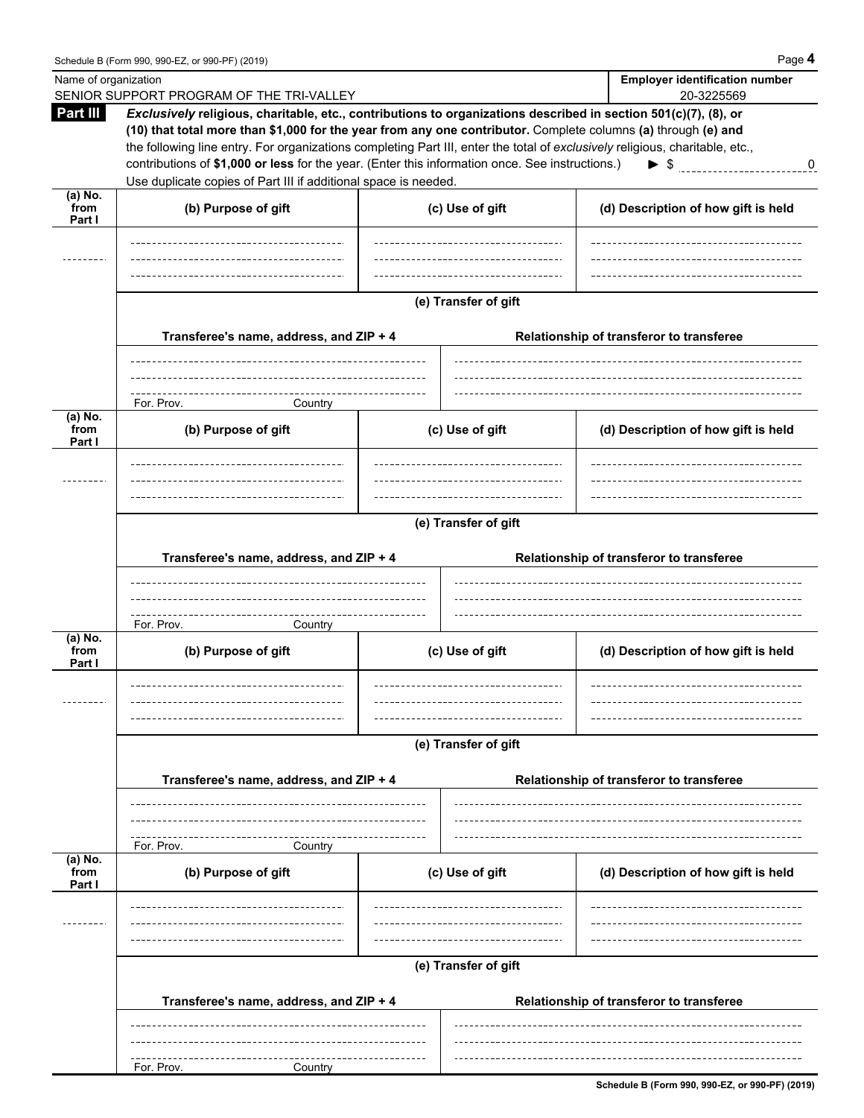|                           | Schedule B (Form 990, 990-EZ, or 990-PF) (2019)                                                                                                                                                                                                                                                                                                                                                              |  |                 | Page 4                                   |  |  |
|---------------------------|--------------------------------------------------------------------------------------------------------------------------------------------------------------------------------------------------------------------------------------------------------------------------------------------------------------------------------------------------------------------------------------------------------------|--|-----------------|------------------------------------------|--|--|
|                           | Name of organization                                                                                                                                                                                                                                                                                                                                                                                         |  |                 | <b>Employer identification number</b>    |  |  |
| Part III                  | SENIOR SUPPORT PROGRAM OF THE TRI-VALLEY<br>Exclusively religious, charitable, etc., contributions to organizations described in section 501(c)(7), (8), or<br>(10) that total more than \$1,000 for the year from any one contributor. Complete columns (a) through (e) and<br>the following line entry. For organizations completing Part III, enter the total of exclusively religious, charitable, etc., |  |                 | 20-3225569                               |  |  |
|                           | contributions of \$1,000 or less for the year. (Enter this information once. See instructions.)                                                                                                                                                                                                                                                                                                              |  |                 | $\blacktriangleright$ s<br>$\mathbf 0$   |  |  |
| $(a)$ No.                 | Use duplicate copies of Part III if additional space is needed.                                                                                                                                                                                                                                                                                                                                              |  |                 |                                          |  |  |
| from<br>Part I            | (b) Purpose of gift                                                                                                                                                                                                                                                                                                                                                                                          |  | (c) Use of gift | (d) Description of how gift is held      |  |  |
|                           |                                                                                                                                                                                                                                                                                                                                                                                                              |  |                 |                                          |  |  |
|                           | (e) Transfer of gift                                                                                                                                                                                                                                                                                                                                                                                         |  |                 |                                          |  |  |
|                           | Transferee's name, address, and ZIP + 4                                                                                                                                                                                                                                                                                                                                                                      |  |                 | Relationship of transferor to transferee |  |  |
|                           | For. Prov.<br>Country                                                                                                                                                                                                                                                                                                                                                                                        |  |                 |                                          |  |  |
| (a) No.<br>from<br>Part I | (b) Purpose of gift                                                                                                                                                                                                                                                                                                                                                                                          |  | (c) Use of gift | (d) Description of how gift is held      |  |  |
|                           |                                                                                                                                                                                                                                                                                                                                                                                                              |  |                 |                                          |  |  |
|                           | (e) Transfer of gift                                                                                                                                                                                                                                                                                                                                                                                         |  |                 |                                          |  |  |
|                           | Transferee's name, address, and ZIP + 4                                                                                                                                                                                                                                                                                                                                                                      |  |                 | Relationship of transferor to transferee |  |  |
|                           | For. Prov.<br>Country                                                                                                                                                                                                                                                                                                                                                                                        |  |                 |                                          |  |  |
| (a) No.<br>from<br>Part I | (b) Purpose of gift                                                                                                                                                                                                                                                                                                                                                                                          |  | (c) Use of gift | (d) Description of how gift is held      |  |  |
|                           |                                                                                                                                                                                                                                                                                                                                                                                                              |  |                 |                                          |  |  |
|                           | (e) Transfer of gift                                                                                                                                                                                                                                                                                                                                                                                         |  |                 |                                          |  |  |
|                           | Transferee's name, address, and ZIP + 4                                                                                                                                                                                                                                                                                                                                                                      |  |                 | Relationship of transferor to transferee |  |  |
|                           | For. Prov.<br>Country                                                                                                                                                                                                                                                                                                                                                                                        |  |                 |                                          |  |  |
| (a) No.<br>from<br>Part I | (b) Purpose of gift                                                                                                                                                                                                                                                                                                                                                                                          |  | (c) Use of gift | (d) Description of how gift is held      |  |  |
|                           |                                                                                                                                                                                                                                                                                                                                                                                                              |  |                 |                                          |  |  |

**(e) Transfer of gift**

-------------------

|          | Transferee's name, address, and ZIP + 4 | Relationship of transferor to transferee |
|----------|-----------------------------------------|------------------------------------------|
|          |                                         |                                          |
|          |                                         |                                          |
|          |                                         |                                          |
| For Prov | tountr:                                 |                                          |

**Schedule B (Form 990, 990-EZ, or 990-PF) (2019)**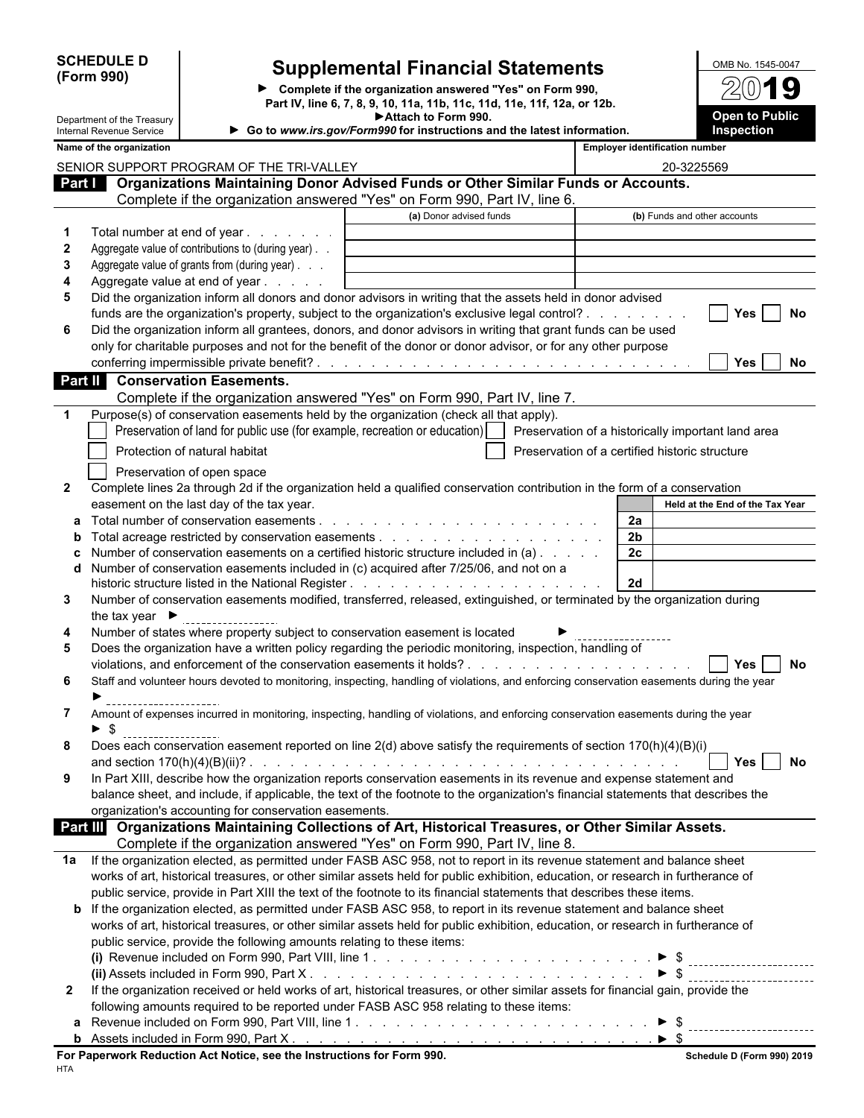| <b>SCHEDULE I</b> |  |
|-------------------|--|
| (Form 990)        |  |

Department of the Treasury

## **Supplemental Financial Statements** MB No. 1545-0047

**Complete if the organization answered "Yes" on Form 990, Part IV, line 6, 7, 8, 9, 10, 11a, 11b, 11c, 11d, 11e, 11f, 12a, or 12b. Attach to Form 990.**



|              | Internal Revenue Service           |                                                                                      | Go to www.irs.gov/Form990 for instructions and the latest information.                                                                    |                                                | Inspection                      |           |
|--------------|------------------------------------|--------------------------------------------------------------------------------------|-------------------------------------------------------------------------------------------------------------------------------------------|------------------------------------------------|---------------------------------|-----------|
|              | Name of the organization           |                                                                                      |                                                                                                                                           | <b>Employer identification number</b>          |                                 |           |
|              |                                    | SENIOR SUPPORT PROGRAM OF THE TRI-VALLEY                                             |                                                                                                                                           | 20-3225569                                     |                                 |           |
|              |                                    |                                                                                      | Part   Organizations Maintaining Donor Advised Funds or Other Similar Funds or Accounts.                                                  |                                                |                                 |           |
|              |                                    |                                                                                      | Complete if the organization answered "Yes" on Form 990, Part IV, line 6.                                                                 |                                                |                                 |           |
|              |                                    |                                                                                      | (a) Donor advised funds                                                                                                                   |                                                | (b) Funds and other accounts    |           |
| 1            |                                    | Total number at end of year                                                          |                                                                                                                                           |                                                |                                 |           |
| $\mathbf{2}$ |                                    | Aggregate value of contributions to (during year).                                   |                                                                                                                                           |                                                |                                 |           |
| 3            |                                    | Aggregate value of grants from (during year)                                         |                                                                                                                                           |                                                |                                 |           |
| 4            |                                    | Aggregate value at end of year                                                       |                                                                                                                                           |                                                |                                 |           |
| 5            |                                    |                                                                                      | Did the organization inform all donors and donor advisors in writing that the assets held in donor advised                                |                                                |                                 |           |
|              |                                    |                                                                                      | funds are the organization's property, subject to the organization's exclusive legal control?                                             |                                                | <b>Yes</b>                      | No        |
| 6            |                                    |                                                                                      | Did the organization inform all grantees, donors, and donor advisors in writing that grant funds can be used                              |                                                |                                 |           |
|              |                                    |                                                                                      | only for charitable purposes and not for the benefit of the donor or donor advisor, or for any other purpose                              |                                                |                                 |           |
|              |                                    |                                                                                      |                                                                                                                                           |                                                | <b>Yes</b>                      | No.       |
| Part II      |                                    | <b>Conservation Easements.</b>                                                       |                                                                                                                                           |                                                |                                 |           |
|              |                                    |                                                                                      | Complete if the organization answered "Yes" on Form 990, Part IV, line 7.                                                                 |                                                |                                 |           |
| -1           |                                    |                                                                                      | Purpose(s) of conservation easements held by the organization (check all that apply).                                                     |                                                |                                 |           |
|              |                                    |                                                                                      | Preservation of land for public use (for example, recreation or education)     Preservation of a historically important land area         |                                                |                                 |           |
|              |                                    | Protection of natural habitat                                                        |                                                                                                                                           | Preservation of a certified historic structure |                                 |           |
|              |                                    |                                                                                      |                                                                                                                                           |                                                |                                 |           |
|              |                                    | Preservation of open space                                                           |                                                                                                                                           |                                                |                                 |           |
| $\mathbf{2}$ |                                    |                                                                                      | Complete lines 2a through 2d if the organization held a qualified conservation contribution in the form of a conservation                 |                                                | Held at the End of the Tax Year |           |
|              |                                    | easement on the last day of the tax year.<br>Total number of conservation easements. |                                                                                                                                           | 2a                                             |                                 |           |
| a<br>b       |                                    |                                                                                      | Total acreage restricted by conservation easements $\ldots$ , $\ldots$ , $\ldots$ , $\ldots$ , $\ldots$ , $\ldots$ , $\ldots$             | 2 <sub>b</sub>                                 |                                 |           |
|              |                                    |                                                                                      | Number of conservation easements on a certified historic structure included in (a)                                                        | 2 <sub>c</sub>                                 |                                 |           |
| d            |                                    |                                                                                      | Number of conservation easements included in (c) acquired after 7/25/06, and not on a                                                     |                                                |                                 |           |
|              |                                    |                                                                                      |                                                                                                                                           | 2d                                             |                                 |           |
| 3            |                                    |                                                                                      | Number of conservation easements modified, transferred, released, extinguished, or terminated by the organization during                  |                                                |                                 |           |
|              | the tax year $\blacktriangleright$ |                                                                                      |                                                                                                                                           |                                                |                                 |           |
| 4            |                                    |                                                                                      | Number of states where property subject to conservation easement is located                                                               |                                                |                                 |           |
| 5            |                                    |                                                                                      | Does the organization have a written policy regarding the periodic monitoring, inspection, handling of                                    |                                                |                                 |           |
|              |                                    |                                                                                      |                                                                                                                                           |                                                | Yes                             | <b>No</b> |
| 6            |                                    |                                                                                      | Staff and volunteer hours devoted to monitoring, inspecting, handling of violations, and enforcing conservation easements during the year |                                                |                                 |           |
|              |                                    |                                                                                      |                                                                                                                                           |                                                |                                 |           |
| 7            |                                    |                                                                                      | Amount of expenses incurred in monitoring, inspecting, handling of violations, and enforcing conservation easements during the year       |                                                |                                 |           |
|              | -\$                                |                                                                                      |                                                                                                                                           |                                                |                                 |           |
| 8            |                                    |                                                                                      | Does each conservation easement reported on line 2(d) above satisfy the requirements of section 170(h)(4)(B)(i)                           |                                                |                                 |           |
|              |                                    |                                                                                      |                                                                                                                                           |                                                | $\sqrt{2}$ Yes $\Box$ No        |           |
| 9            |                                    |                                                                                      | In Part XIII, describe how the organization reports conservation easements in its revenue and expense statement and                       |                                                |                                 |           |
|              |                                    |                                                                                      | balance sheet, and include, if applicable, the text of the footnote to the organization's financial statements that describes the         |                                                |                                 |           |
|              |                                    | organization's accounting for conservation easements.                                |                                                                                                                                           |                                                |                                 |           |
|              |                                    |                                                                                      | Part III Organizations Maintaining Collections of Art, Historical Treasures, or Other Similar Assets.                                     |                                                |                                 |           |
|              |                                    |                                                                                      | Complete if the organization answered "Yes" on Form 990, Part IV, line 8.                                                                 |                                                |                                 |           |
| 1a           |                                    |                                                                                      | If the organization elected, as permitted under FASB ASC 958, not to report in its revenue statement and balance sheet                    |                                                |                                 |           |
|              |                                    |                                                                                      | works of art, historical treasures, or other similar assets held for public exhibition, education, or research in furtherance of          |                                                |                                 |           |
|              |                                    |                                                                                      | public service, provide in Part XIII the text of the footnote to its financial statements that describes these items.                     |                                                |                                 |           |
|              |                                    |                                                                                      | <b>b</b> If the organization elected, as permitted under FASB ASC 958, to report in its revenue statement and balance sheet               |                                                |                                 |           |
|              |                                    |                                                                                      | works of art, historical treasures, or other similar assets held for public exhibition, education, or research in furtherance of          |                                                |                                 |           |
|              |                                    | public service, provide the following amounts relating to these items:               |                                                                                                                                           |                                                |                                 |           |
|              |                                    |                                                                                      |                                                                                                                                           |                                                |                                 |           |
|              |                                    |                                                                                      |                                                                                                                                           | $\triangleright$ \$                            |                                 |           |
| $\mathbf{2}$ |                                    |                                                                                      | If the organization received or held works of art, historical treasures, or other similar assets for financial gain, provide the          |                                                |                                 |           |
|              |                                    |                                                                                      | following amounts required to be reported under FASB ASC 958 relating to these items:                                                     |                                                |                                 |           |
| a            |                                    |                                                                                      |                                                                                                                                           |                                                |                                 |           |
|              |                                    |                                                                                      |                                                                                                                                           |                                                |                                 |           |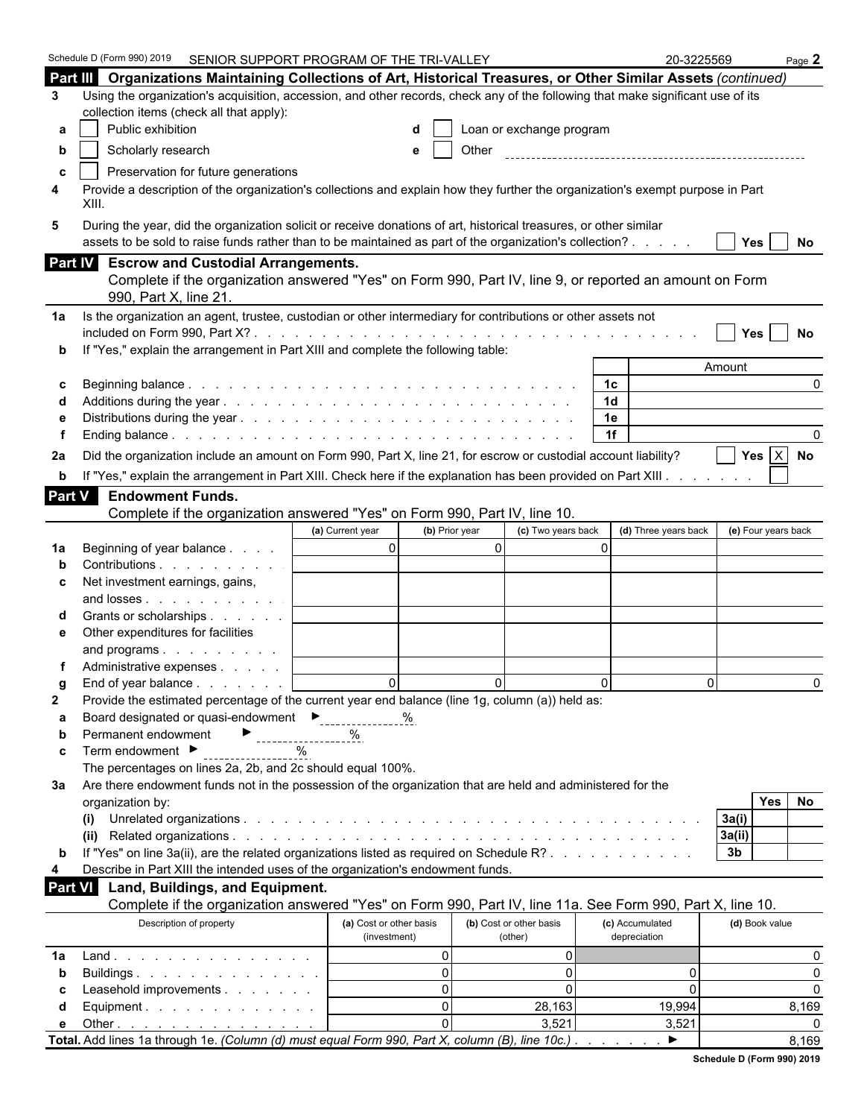|               | Schedule D (Form 990) 2019 SENIOR SUPPORT PROGRAM OF THE TRI-VALLEY                                                                                                                                                          |                                         |                                    | 20-3225569                      | Page $2$             |  |  |  |  |
|---------------|------------------------------------------------------------------------------------------------------------------------------------------------------------------------------------------------------------------------------|-----------------------------------------|------------------------------------|---------------------------------|----------------------|--|--|--|--|
|               | Part III Organizations Maintaining Collections of Art, Historical Treasures, or Other Similar Assets (continued)                                                                                                             |                                         |                                    |                                 |                      |  |  |  |  |
| 3             | Using the organization's acquisition, accession, and other records, check any of the following that make significant use of its                                                                                              |                                         |                                    |                                 |                      |  |  |  |  |
|               | collection items (check all that apply):                                                                                                                                                                                     |                                         |                                    |                                 |                      |  |  |  |  |
| а             | Public exhibition                                                                                                                                                                                                            |                                         | Loan or exchange program           |                                 |                      |  |  |  |  |
| b             | Scholarly research                                                                                                                                                                                                           | e                                       | Other                              |                                 |                      |  |  |  |  |
| c             | Preservation for future generations                                                                                                                                                                                          |                                         |                                    |                                 |                      |  |  |  |  |
| 4             | Provide a description of the organization's collections and explain how they further the organization's exempt purpose in Part<br>XIII.                                                                                      |                                         |                                    |                                 |                      |  |  |  |  |
| 5             | During the year, did the organization solicit or receive donations of art, historical treasures, or other similar<br>assets to be sold to raise funds rather than to be maintained as part of the organization's collection? |                                         |                                    |                                 | Yes  <br>No          |  |  |  |  |
|               | Part IV Escrow and Custodial Arrangements.                                                                                                                                                                                   |                                         |                                    |                                 |                      |  |  |  |  |
|               | Complete if the organization answered "Yes" on Form 990, Part IV, line 9, or reported an amount on Form<br>990, Part X, line 21.                                                                                             |                                         |                                    |                                 |                      |  |  |  |  |
| 1a            | Is the organization an agent, trustee, custodian or other intermediary for contributions or other assets not                                                                                                                 |                                         |                                    |                                 |                      |  |  |  |  |
|               |                                                                                                                                                                                                                              |                                         |                                    |                                 | Yes<br>No            |  |  |  |  |
|               | If "Yes," explain the arrangement in Part XIII and complete the following table:                                                                                                                                             |                                         |                                    |                                 |                      |  |  |  |  |
|               |                                                                                                                                                                                                                              |                                         |                                    |                                 | Amount               |  |  |  |  |
| С             |                                                                                                                                                                                                                              |                                         |                                    | 1 <sup>c</sup>                  | $\Omega$             |  |  |  |  |
|               |                                                                                                                                                                                                                              |                                         |                                    | 1 <sub>d</sub>                  |                      |  |  |  |  |
|               |                                                                                                                                                                                                                              |                                         |                                    | 1e<br>1f                        |                      |  |  |  |  |
|               |                                                                                                                                                                                                                              |                                         |                                    |                                 |                      |  |  |  |  |
| 2a            | Did the organization include an amount on Form 990, Part X, line 21, for escrow or custodial account liability?                                                                                                              |                                         |                                    |                                 | Yes $X$ No           |  |  |  |  |
| b             | If "Yes," explain the arrangement in Part XIII. Check here if the explanation has been provided on Part XIII.                                                                                                                |                                         |                                    |                                 |                      |  |  |  |  |
| <b>Part V</b> | <b>Endowment Funds.</b>                                                                                                                                                                                                      |                                         |                                    |                                 |                      |  |  |  |  |
|               | Complete if the organization answered "Yes" on Form 990, Part IV, line 10.                                                                                                                                                   |                                         |                                    |                                 |                      |  |  |  |  |
|               |                                                                                                                                                                                                                              | (b) Prior year<br>(a) Current year      | (c) Two years back                 | (d) Three years back            | (e) Four years back  |  |  |  |  |
| 1a            | Beginning of year balance                                                                                                                                                                                                    | $\overline{0}$                          | $\overline{0}$                     | $\Omega$                        |                      |  |  |  |  |
|               | Contributions                                                                                                                                                                                                                |                                         |                                    |                                 |                      |  |  |  |  |
| c             | Net investment earnings, gains,                                                                                                                                                                                              |                                         |                                    |                                 |                      |  |  |  |  |
|               | and losses                                                                                                                                                                                                                   |                                         |                                    |                                 |                      |  |  |  |  |
|               | Grants or scholarships<br>Other expenditures for facilities                                                                                                                                                                  |                                         |                                    |                                 |                      |  |  |  |  |
| е             | and programs                                                                                                                                                                                                                 |                                         |                                    |                                 |                      |  |  |  |  |
|               | Administrative expenses                                                                                                                                                                                                      |                                         |                                    |                                 |                      |  |  |  |  |
|               | End of year balance                                                                                                                                                                                                          | $\Omega$                                | $\Omega$                           | $\Omega$                        | $\Omega$<br>$\Omega$ |  |  |  |  |
| 2             | Provide the estimated percentage of the current year end balance (line 1g, column (a)) held as:                                                                                                                              |                                         |                                    |                                 |                      |  |  |  |  |
| а             | Board designated or quasi-endowment<br>Figures 2011                                                                                                                                                                          | %                                       |                                    |                                 |                      |  |  |  |  |
| b             | Permanent endowment<br>------------------                                                                                                                                                                                    | %                                       |                                    |                                 |                      |  |  |  |  |
| c             | Term endowment ▶<br>$\%$                                                                                                                                                                                                     |                                         |                                    |                                 |                      |  |  |  |  |
|               | The percentages on lines 2a, 2b, and 2c should equal 100%.                                                                                                                                                                   |                                         |                                    |                                 |                      |  |  |  |  |
| За            | Are there endowment funds not in the possession of the organization that are held and administered for the                                                                                                                   |                                         |                                    |                                 |                      |  |  |  |  |
|               | organization by:                                                                                                                                                                                                             |                                         |                                    |                                 | No<br><b>Yes</b>     |  |  |  |  |
|               | (i)                                                                                                                                                                                                                          |                                         |                                    |                                 | 3a(i)                |  |  |  |  |
|               |                                                                                                                                                                                                                              |                                         |                                    |                                 | 3a(ii)               |  |  |  |  |
| b             | If "Yes" on line 3a(ii), are the related organizations listed as required on Schedule R?                                                                                                                                     |                                         |                                    |                                 | 3 <sub>b</sub>       |  |  |  |  |
| 4             | Describe in Part XIII the intended uses of the organization's endowment funds.                                                                                                                                               |                                         |                                    |                                 |                      |  |  |  |  |
| Part VI       | Land, Buildings, and Equipment.<br>Complete if the organization answered "Yes" on Form 990, Part IV, line 11a. See Form 990, Part X, line 10.                                                                                |                                         |                                    |                                 |                      |  |  |  |  |
|               | Description of property                                                                                                                                                                                                      | (a) Cost or other basis<br>(investment) | (b) Cost or other basis<br>(other) | (c) Accumulated<br>depreciation | (d) Book value       |  |  |  |  |
| 1a            | Land.                                                                                                                                                                                                                        | $\Omega$                                | 0                                  |                                 | 0                    |  |  |  |  |
| b             | Buildings                                                                                                                                                                                                                    | $\Omega$                                | $\overline{0}$                     | 0                               | $\Omega$             |  |  |  |  |
| С             | Leasehold improvements                                                                                                                                                                                                       | $\Omega$                                | $\Omega$                           | 0                               | $\Omega$             |  |  |  |  |
| d             | Equipment.                                                                                                                                                                                                                   | $\Omega$                                | 28,163                             | 19,994                          | 8,169                |  |  |  |  |
| е             | Other $\ldots$ $\ldots$ $\ldots$ $\ldots$ $\ldots$ $\ldots$                                                                                                                                                                  | $\Omega$                                | 3,521                              | 3,521                           |                      |  |  |  |  |
|               | Total. Add lines 1a through 1e. (Column (d) must equal Form 990, Part X, column (B), line 10c.)                                                                                                                              |                                         |                                    | ▶                               | 8,169                |  |  |  |  |

| Schedule D (Form 990) 2019 |  |
|----------------------------|--|
|                            |  |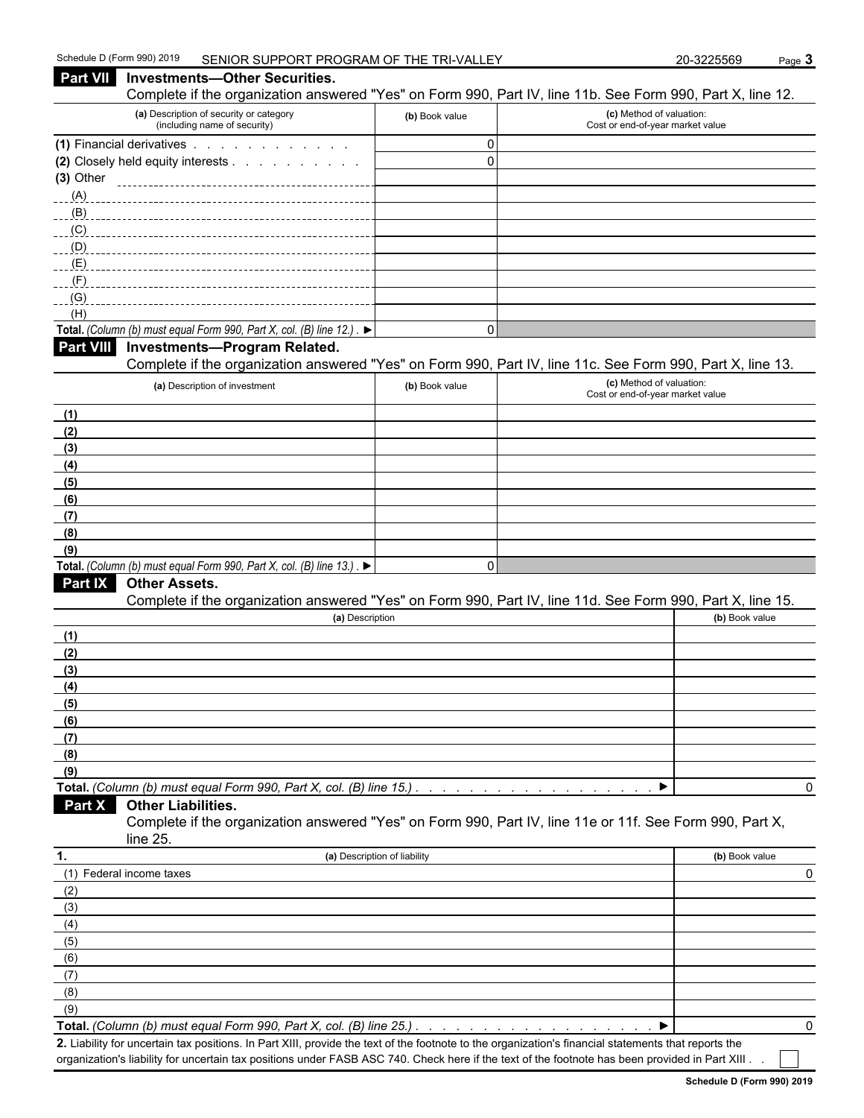| Complete if the organization answered "Yes" on Form 990, Part IV, line 11b. See Form 990, Part X, line 12.<br>(a) Description of security or category<br>(c) Method of valuation:<br>(b) Book value<br>(including name of security)<br>Cost or end-of-year market value<br>(1) Financial derivatives<br>$\mathbf 0$<br>$\mathbf 0$<br>(2) Closely held equity interests<br>(3) Other<br>(A)<br>(B)<br>(C)<br>(D)<br>(E)<br>(F)<br>(G)<br>(H)<br>Total. (Column (b) must equal Form 990, Part X, col. (B) line 12.). $\blacktriangleright$<br>$\Omega$<br><b>Investments-Program Related.</b><br>Complete if the organization answered "Yes" on Form 990, Part IV, line 11c. See Form 990, Part X, line 13.<br>(c) Method of valuation:<br>(a) Description of investment<br>(b) Book value<br>Cost or end-of-year market value<br>(1)<br>(2)<br>(3)<br>(4)<br>(5)<br>(6)<br>(7)<br>(8)<br>(9)<br>Total. (Column (b) must equal Form 990, Part X, col. (B) line 13.). $\blacktriangleright$<br>$\mathbf 0$<br>Part IX<br><b>Other Assets.</b><br>Complete if the organization answered "Yes" on Form 990, Part IV, line 11d. See Form 990, Part X, line 15.<br>(a) Description<br>(b) Book value<br>(1)<br>(2)<br>(3)<br>(4)<br>(5)<br>(6)<br>(7)<br>(8)<br>(9)<br>Total. (Column (b) must equal Form 990, Part X, col. (B) line 15.)<br>0<br><b>Other Liabilities.</b><br>Part X<br>Complete if the organization answered "Yes" on Form 990, Part IV, line 11e or 11f. See Form 990, Part X,<br>line 25.<br>(a) Description of liability<br>(b) Book value<br>(1) Federal income taxes<br>0<br>(2)<br>(3)<br>(4)<br>(5)<br>(6)<br>(7)<br>(8)<br>(9)<br>Total. (Column (b) must equal Form 990, Part X, col. (B) line 25.) | Part VII         | <b>Investments-Other Securities.</b> |  |   |
|--------------------------------------------------------------------------------------------------------------------------------------------------------------------------------------------------------------------------------------------------------------------------------------------------------------------------------------------------------------------------------------------------------------------------------------------------------------------------------------------------------------------------------------------------------------------------------------------------------------------------------------------------------------------------------------------------------------------------------------------------------------------------------------------------------------------------------------------------------------------------------------------------------------------------------------------------------------------------------------------------------------------------------------------------------------------------------------------------------------------------------------------------------------------------------------------------------------------------------------------------------------------------------------------------------------------------------------------------------------------------------------------------------------------------------------------------------------------------------------------------------------------------------------------------------------------------------------------------------------------------------------------------------------------------------------------------------------------------|------------------|--------------------------------------|--|---|
|                                                                                                                                                                                                                                                                                                                                                                                                                                                                                                                                                                                                                                                                                                                                                                                                                                                                                                                                                                                                                                                                                                                                                                                                                                                                                                                                                                                                                                                                                                                                                                                                                                                                                                                          |                  |                                      |  |   |
|                                                                                                                                                                                                                                                                                                                                                                                                                                                                                                                                                                                                                                                                                                                                                                                                                                                                                                                                                                                                                                                                                                                                                                                                                                                                                                                                                                                                                                                                                                                                                                                                                                                                                                                          |                  |                                      |  |   |
|                                                                                                                                                                                                                                                                                                                                                                                                                                                                                                                                                                                                                                                                                                                                                                                                                                                                                                                                                                                                                                                                                                                                                                                                                                                                                                                                                                                                                                                                                                                                                                                                                                                                                                                          |                  |                                      |  |   |
|                                                                                                                                                                                                                                                                                                                                                                                                                                                                                                                                                                                                                                                                                                                                                                                                                                                                                                                                                                                                                                                                                                                                                                                                                                                                                                                                                                                                                                                                                                                                                                                                                                                                                                                          |                  |                                      |  |   |
|                                                                                                                                                                                                                                                                                                                                                                                                                                                                                                                                                                                                                                                                                                                                                                                                                                                                                                                                                                                                                                                                                                                                                                                                                                                                                                                                                                                                                                                                                                                                                                                                                                                                                                                          |                  |                                      |  |   |
|                                                                                                                                                                                                                                                                                                                                                                                                                                                                                                                                                                                                                                                                                                                                                                                                                                                                                                                                                                                                                                                                                                                                                                                                                                                                                                                                                                                                                                                                                                                                                                                                                                                                                                                          |                  |                                      |  |   |
|                                                                                                                                                                                                                                                                                                                                                                                                                                                                                                                                                                                                                                                                                                                                                                                                                                                                                                                                                                                                                                                                                                                                                                                                                                                                                                                                                                                                                                                                                                                                                                                                                                                                                                                          |                  |                                      |  |   |
|                                                                                                                                                                                                                                                                                                                                                                                                                                                                                                                                                                                                                                                                                                                                                                                                                                                                                                                                                                                                                                                                                                                                                                                                                                                                                                                                                                                                                                                                                                                                                                                                                                                                                                                          |                  |                                      |  |   |
|                                                                                                                                                                                                                                                                                                                                                                                                                                                                                                                                                                                                                                                                                                                                                                                                                                                                                                                                                                                                                                                                                                                                                                                                                                                                                                                                                                                                                                                                                                                                                                                                                                                                                                                          |                  |                                      |  |   |
|                                                                                                                                                                                                                                                                                                                                                                                                                                                                                                                                                                                                                                                                                                                                                                                                                                                                                                                                                                                                                                                                                                                                                                                                                                                                                                                                                                                                                                                                                                                                                                                                                                                                                                                          |                  |                                      |  |   |
|                                                                                                                                                                                                                                                                                                                                                                                                                                                                                                                                                                                                                                                                                                                                                                                                                                                                                                                                                                                                                                                                                                                                                                                                                                                                                                                                                                                                                                                                                                                                                                                                                                                                                                                          |                  |                                      |  |   |
|                                                                                                                                                                                                                                                                                                                                                                                                                                                                                                                                                                                                                                                                                                                                                                                                                                                                                                                                                                                                                                                                                                                                                                                                                                                                                                                                                                                                                                                                                                                                                                                                                                                                                                                          |                  |                                      |  |   |
|                                                                                                                                                                                                                                                                                                                                                                                                                                                                                                                                                                                                                                                                                                                                                                                                                                                                                                                                                                                                                                                                                                                                                                                                                                                                                                                                                                                                                                                                                                                                                                                                                                                                                                                          |                  |                                      |  |   |
|                                                                                                                                                                                                                                                                                                                                                                                                                                                                                                                                                                                                                                                                                                                                                                                                                                                                                                                                                                                                                                                                                                                                                                                                                                                                                                                                                                                                                                                                                                                                                                                                                                                                                                                          | <b>Part VIII</b> |                                      |  |   |
|                                                                                                                                                                                                                                                                                                                                                                                                                                                                                                                                                                                                                                                                                                                                                                                                                                                                                                                                                                                                                                                                                                                                                                                                                                                                                                                                                                                                                                                                                                                                                                                                                                                                                                                          |                  |                                      |  |   |
|                                                                                                                                                                                                                                                                                                                                                                                                                                                                                                                                                                                                                                                                                                                                                                                                                                                                                                                                                                                                                                                                                                                                                                                                                                                                                                                                                                                                                                                                                                                                                                                                                                                                                                                          |                  |                                      |  |   |
|                                                                                                                                                                                                                                                                                                                                                                                                                                                                                                                                                                                                                                                                                                                                                                                                                                                                                                                                                                                                                                                                                                                                                                                                                                                                                                                                                                                                                                                                                                                                                                                                                                                                                                                          |                  |                                      |  |   |
|                                                                                                                                                                                                                                                                                                                                                                                                                                                                                                                                                                                                                                                                                                                                                                                                                                                                                                                                                                                                                                                                                                                                                                                                                                                                                                                                                                                                                                                                                                                                                                                                                                                                                                                          |                  |                                      |  |   |
|                                                                                                                                                                                                                                                                                                                                                                                                                                                                                                                                                                                                                                                                                                                                                                                                                                                                                                                                                                                                                                                                                                                                                                                                                                                                                                                                                                                                                                                                                                                                                                                                                                                                                                                          |                  |                                      |  |   |
|                                                                                                                                                                                                                                                                                                                                                                                                                                                                                                                                                                                                                                                                                                                                                                                                                                                                                                                                                                                                                                                                                                                                                                                                                                                                                                                                                                                                                                                                                                                                                                                                                                                                                                                          |                  |                                      |  |   |
|                                                                                                                                                                                                                                                                                                                                                                                                                                                                                                                                                                                                                                                                                                                                                                                                                                                                                                                                                                                                                                                                                                                                                                                                                                                                                                                                                                                                                                                                                                                                                                                                                                                                                                                          |                  |                                      |  |   |
|                                                                                                                                                                                                                                                                                                                                                                                                                                                                                                                                                                                                                                                                                                                                                                                                                                                                                                                                                                                                                                                                                                                                                                                                                                                                                                                                                                                                                                                                                                                                                                                                                                                                                                                          |                  |                                      |  |   |
|                                                                                                                                                                                                                                                                                                                                                                                                                                                                                                                                                                                                                                                                                                                                                                                                                                                                                                                                                                                                                                                                                                                                                                                                                                                                                                                                                                                                                                                                                                                                                                                                                                                                                                                          |                  |                                      |  |   |
|                                                                                                                                                                                                                                                                                                                                                                                                                                                                                                                                                                                                                                                                                                                                                                                                                                                                                                                                                                                                                                                                                                                                                                                                                                                                                                                                                                                                                                                                                                                                                                                                                                                                                                                          |                  |                                      |  |   |
|                                                                                                                                                                                                                                                                                                                                                                                                                                                                                                                                                                                                                                                                                                                                                                                                                                                                                                                                                                                                                                                                                                                                                                                                                                                                                                                                                                                                                                                                                                                                                                                                                                                                                                                          |                  |                                      |  |   |
|                                                                                                                                                                                                                                                                                                                                                                                                                                                                                                                                                                                                                                                                                                                                                                                                                                                                                                                                                                                                                                                                                                                                                                                                                                                                                                                                                                                                                                                                                                                                                                                                                                                                                                                          |                  |                                      |  |   |
|                                                                                                                                                                                                                                                                                                                                                                                                                                                                                                                                                                                                                                                                                                                                                                                                                                                                                                                                                                                                                                                                                                                                                                                                                                                                                                                                                                                                                                                                                                                                                                                                                                                                                                                          |                  |                                      |  |   |
|                                                                                                                                                                                                                                                                                                                                                                                                                                                                                                                                                                                                                                                                                                                                                                                                                                                                                                                                                                                                                                                                                                                                                                                                                                                                                                                                                                                                                                                                                                                                                                                                                                                                                                                          |                  |                                      |  |   |
|                                                                                                                                                                                                                                                                                                                                                                                                                                                                                                                                                                                                                                                                                                                                                                                                                                                                                                                                                                                                                                                                                                                                                                                                                                                                                                                                                                                                                                                                                                                                                                                                                                                                                                                          |                  |                                      |  |   |
|                                                                                                                                                                                                                                                                                                                                                                                                                                                                                                                                                                                                                                                                                                                                                                                                                                                                                                                                                                                                                                                                                                                                                                                                                                                                                                                                                                                                                                                                                                                                                                                                                                                                                                                          |                  |                                      |  |   |
|                                                                                                                                                                                                                                                                                                                                                                                                                                                                                                                                                                                                                                                                                                                                                                                                                                                                                                                                                                                                                                                                                                                                                                                                                                                                                                                                                                                                                                                                                                                                                                                                                                                                                                                          |                  |                                      |  |   |
|                                                                                                                                                                                                                                                                                                                                                                                                                                                                                                                                                                                                                                                                                                                                                                                                                                                                                                                                                                                                                                                                                                                                                                                                                                                                                                                                                                                                                                                                                                                                                                                                                                                                                                                          |                  |                                      |  |   |
|                                                                                                                                                                                                                                                                                                                                                                                                                                                                                                                                                                                                                                                                                                                                                                                                                                                                                                                                                                                                                                                                                                                                                                                                                                                                                                                                                                                                                                                                                                                                                                                                                                                                                                                          |                  |                                      |  |   |
|                                                                                                                                                                                                                                                                                                                                                                                                                                                                                                                                                                                                                                                                                                                                                                                                                                                                                                                                                                                                                                                                                                                                                                                                                                                                                                                                                                                                                                                                                                                                                                                                                                                                                                                          |                  |                                      |  |   |
|                                                                                                                                                                                                                                                                                                                                                                                                                                                                                                                                                                                                                                                                                                                                                                                                                                                                                                                                                                                                                                                                                                                                                                                                                                                                                                                                                                                                                                                                                                                                                                                                                                                                                                                          |                  |                                      |  |   |
|                                                                                                                                                                                                                                                                                                                                                                                                                                                                                                                                                                                                                                                                                                                                                                                                                                                                                                                                                                                                                                                                                                                                                                                                                                                                                                                                                                                                                                                                                                                                                                                                                                                                                                                          |                  |                                      |  |   |
|                                                                                                                                                                                                                                                                                                                                                                                                                                                                                                                                                                                                                                                                                                                                                                                                                                                                                                                                                                                                                                                                                                                                                                                                                                                                                                                                                                                                                                                                                                                                                                                                                                                                                                                          |                  |                                      |  |   |
|                                                                                                                                                                                                                                                                                                                                                                                                                                                                                                                                                                                                                                                                                                                                                                                                                                                                                                                                                                                                                                                                                                                                                                                                                                                                                                                                                                                                                                                                                                                                                                                                                                                                                                                          |                  |                                      |  |   |
|                                                                                                                                                                                                                                                                                                                                                                                                                                                                                                                                                                                                                                                                                                                                                                                                                                                                                                                                                                                                                                                                                                                                                                                                                                                                                                                                                                                                                                                                                                                                                                                                                                                                                                                          |                  |                                      |  |   |
|                                                                                                                                                                                                                                                                                                                                                                                                                                                                                                                                                                                                                                                                                                                                                                                                                                                                                                                                                                                                                                                                                                                                                                                                                                                                                                                                                                                                                                                                                                                                                                                                                                                                                                                          |                  |                                      |  |   |
|                                                                                                                                                                                                                                                                                                                                                                                                                                                                                                                                                                                                                                                                                                                                                                                                                                                                                                                                                                                                                                                                                                                                                                                                                                                                                                                                                                                                                                                                                                                                                                                                                                                                                                                          |                  |                                      |  |   |
|                                                                                                                                                                                                                                                                                                                                                                                                                                                                                                                                                                                                                                                                                                                                                                                                                                                                                                                                                                                                                                                                                                                                                                                                                                                                                                                                                                                                                                                                                                                                                                                                                                                                                                                          | 1.               |                                      |  |   |
|                                                                                                                                                                                                                                                                                                                                                                                                                                                                                                                                                                                                                                                                                                                                                                                                                                                                                                                                                                                                                                                                                                                                                                                                                                                                                                                                                                                                                                                                                                                                                                                                                                                                                                                          |                  |                                      |  |   |
|                                                                                                                                                                                                                                                                                                                                                                                                                                                                                                                                                                                                                                                                                                                                                                                                                                                                                                                                                                                                                                                                                                                                                                                                                                                                                                                                                                                                                                                                                                                                                                                                                                                                                                                          |                  |                                      |  |   |
|                                                                                                                                                                                                                                                                                                                                                                                                                                                                                                                                                                                                                                                                                                                                                                                                                                                                                                                                                                                                                                                                                                                                                                                                                                                                                                                                                                                                                                                                                                                                                                                                                                                                                                                          |                  |                                      |  |   |
|                                                                                                                                                                                                                                                                                                                                                                                                                                                                                                                                                                                                                                                                                                                                                                                                                                                                                                                                                                                                                                                                                                                                                                                                                                                                                                                                                                                                                                                                                                                                                                                                                                                                                                                          |                  |                                      |  |   |
|                                                                                                                                                                                                                                                                                                                                                                                                                                                                                                                                                                                                                                                                                                                                                                                                                                                                                                                                                                                                                                                                                                                                                                                                                                                                                                                                                                                                                                                                                                                                                                                                                                                                                                                          |                  |                                      |  |   |
|                                                                                                                                                                                                                                                                                                                                                                                                                                                                                                                                                                                                                                                                                                                                                                                                                                                                                                                                                                                                                                                                                                                                                                                                                                                                                                                                                                                                                                                                                                                                                                                                                                                                                                                          |                  |                                      |  |   |
|                                                                                                                                                                                                                                                                                                                                                                                                                                                                                                                                                                                                                                                                                                                                                                                                                                                                                                                                                                                                                                                                                                                                                                                                                                                                                                                                                                                                                                                                                                                                                                                                                                                                                                                          |                  |                                      |  |   |
|                                                                                                                                                                                                                                                                                                                                                                                                                                                                                                                                                                                                                                                                                                                                                                                                                                                                                                                                                                                                                                                                                                                                                                                                                                                                                                                                                                                                                                                                                                                                                                                                                                                                                                                          |                  |                                      |  |   |
|                                                                                                                                                                                                                                                                                                                                                                                                                                                                                                                                                                                                                                                                                                                                                                                                                                                                                                                                                                                                                                                                                                                                                                                                                                                                                                                                                                                                                                                                                                                                                                                                                                                                                                                          |                  |                                      |  | 0 |

**2.** Liability for uncertain tax positions. In Part XIII, provide the text of the footnote to the organization's financial statements that reports the organization's liability for uncertain tax positions under FASB ASC 740. Check here if the text of the footnote has been provided in Part XIII . .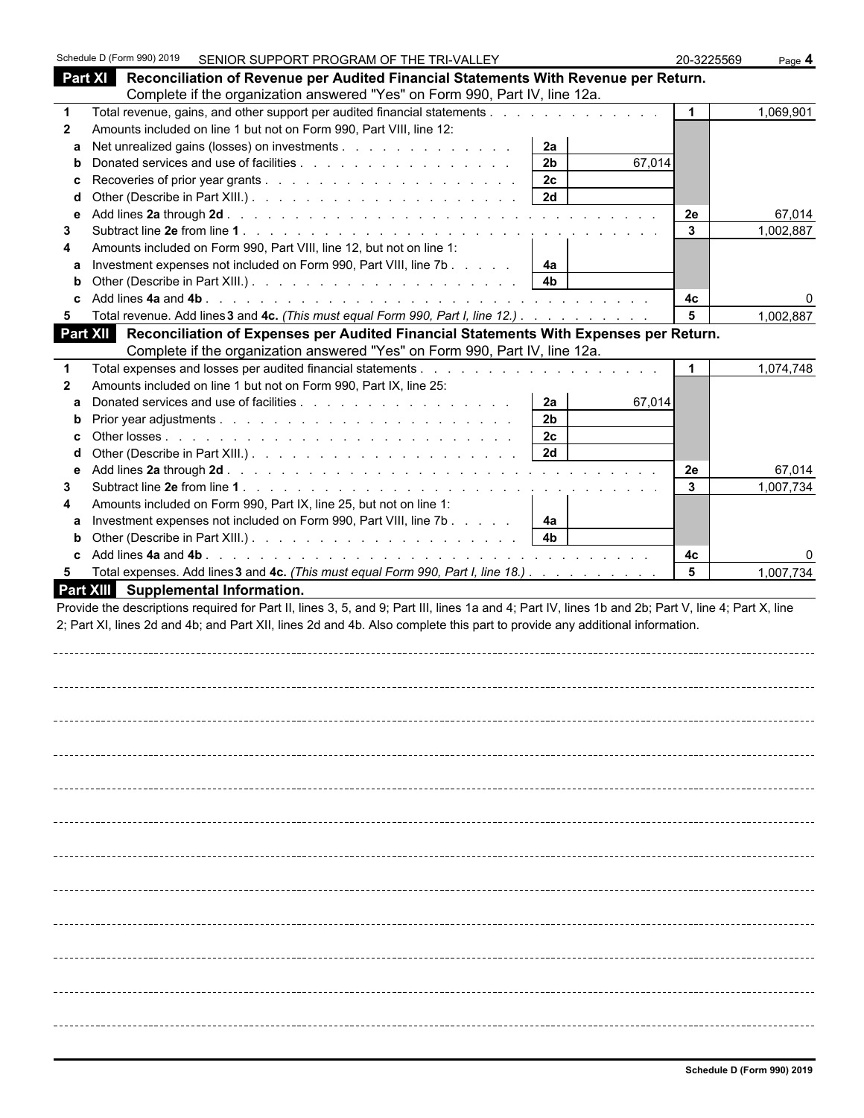|              | Schedule D (Form 990) 2019 |                                     | SENIOR SUPPORT PROGRAM OF THE TRI-VALLEY                                    |                                                                                                                                                                                                                                                                                  | 20-3225569   | Page 4    |
|--------------|----------------------------|-------------------------------------|-----------------------------------------------------------------------------|----------------------------------------------------------------------------------------------------------------------------------------------------------------------------------------------------------------------------------------------------------------------------------|--------------|-----------|
|              |                            |                                     |                                                                             | Part XI Reconciliation of Revenue per Audited Financial Statements With Revenue per Return.                                                                                                                                                                                      |              |           |
|              |                            |                                     | Complete if the organization answered "Yes" on Form 990, Part IV, line 12a. |                                                                                                                                                                                                                                                                                  |              |           |
| $\mathbf 1$  |                            |                                     |                                                                             | Total revenue, gains, and other support per audited financial statements                                                                                                                                                                                                         | $\mathbf{1}$ | 1,069,901 |
| $\mathbf{2}$ |                            |                                     | Amounts included on line 1 but not on Form 990, Part VIII, line 12:         |                                                                                                                                                                                                                                                                                  |              |           |
| a            |                            |                                     | Net unrealized gains (losses) on investments                                | 2a                                                                                                                                                                                                                                                                               |              |           |
| b            |                            |                                     |                                                                             | 2 <sub>b</sub><br>67,014                                                                                                                                                                                                                                                         |              |           |
| c            |                            |                                     |                                                                             | 2c                                                                                                                                                                                                                                                                               |              |           |
| d            |                            |                                     |                                                                             | 2d                                                                                                                                                                                                                                                                               | 2e           | 67,014    |
| е<br>3       |                            |                                     |                                                                             |                                                                                                                                                                                                                                                                                  | $\mathbf{3}$ | 1,002,887 |
| 4            |                            |                                     | Amounts included on Form 990, Part VIII, line 12, but not on line 1:        |                                                                                                                                                                                                                                                                                  |              |           |
| a            |                            |                                     | Investment expenses not included on Form 990, Part VIII, line 7b            | 4a                                                                                                                                                                                                                                                                               |              |           |
| b            |                            |                                     |                                                                             | 4 <sub>b</sub>                                                                                                                                                                                                                                                                   |              |           |
|              |                            |                                     |                                                                             |                                                                                                                                                                                                                                                                                  | 4c           |           |
| 5            |                            |                                     |                                                                             | Total revenue. Add lines 3 and 4c. (This must equal Form 990, Part I, line 12.)                                                                                                                                                                                                  | 5            | 1,002,887 |
|              |                            |                                     |                                                                             | Part XII Reconciliation of Expenses per Audited Financial Statements With Expenses per Return.                                                                                                                                                                                   |              |           |
|              |                            |                                     | Complete if the organization answered "Yes" on Form 990, Part IV, line 12a. |                                                                                                                                                                                                                                                                                  |              |           |
| 1            |                            |                                     |                                                                             |                                                                                                                                                                                                                                                                                  |              | 1,074,748 |
| $\mathbf{2}$ |                            |                                     | Amounts included on line 1 but not on Form 990, Part IX, line 25:           |                                                                                                                                                                                                                                                                                  |              |           |
| a<br>b       |                            |                                     |                                                                             | 2a<br>2 <sub>b</sub>                                                                                                                                                                                                                                                             | 67,014       |           |
|              |                            |                                     |                                                                             | 2 <sub>c</sub>                                                                                                                                                                                                                                                                   |              |           |
| d            |                            |                                     |                                                                             | 2d                                                                                                                                                                                                                                                                               |              |           |
| е            |                            |                                     |                                                                             |                                                                                                                                                                                                                                                                                  | 2e           | 67,014    |
| 3            |                            |                                     |                                                                             |                                                                                                                                                                                                                                                                                  | 3            | 1,007,734 |
| 4            |                            |                                     | Amounts included on Form 990, Part IX, line 25, but not on line 1:          |                                                                                                                                                                                                                                                                                  |              |           |
| a            |                            |                                     | Investment expenses not included on Form 990, Part VIII, line 7b            | 4a                                                                                                                                                                                                                                                                               |              |           |
| b            |                            |                                     |                                                                             | 4 <sub>b</sub>                                                                                                                                                                                                                                                                   |              |           |
| c.           |                            |                                     |                                                                             |                                                                                                                                                                                                                                                                                  | 4с           |           |
| 5            |                            | Part XIII Supplemental Information. |                                                                             | Total expenses. Add lines 3 and 4c. (This must equal Form 990, Part I, line 18.)                                                                                                                                                                                                 | 5            | 1,007,734 |
|              |                            |                                     |                                                                             | Provide the descriptions required for Part II, lines 3, 5, and 9; Part III, lines 1a and 4; Part IV, lines 1b and 2b; Part V, line 4; Part X, line<br>2; Part XI, lines 2d and 4b; and Part XII, lines 2d and 4b. Also complete this part to provide any additional information. |              |           |
|              |                            |                                     |                                                                             |                                                                                                                                                                                                                                                                                  |              |           |
|              |                            |                                     |                                                                             |                                                                                                                                                                                                                                                                                  |              |           |
|              |                            |                                     |                                                                             |                                                                                                                                                                                                                                                                                  |              |           |
|              |                            |                                     |                                                                             |                                                                                                                                                                                                                                                                                  |              |           |
|              |                            |                                     |                                                                             |                                                                                                                                                                                                                                                                                  |              |           |
|              |                            |                                     |                                                                             |                                                                                                                                                                                                                                                                                  |              |           |
|              |                            |                                     |                                                                             |                                                                                                                                                                                                                                                                                  |              |           |
|              |                            |                                     |                                                                             |                                                                                                                                                                                                                                                                                  |              |           |
|              |                            |                                     |                                                                             |                                                                                                                                                                                                                                                                                  |              |           |
|              |                            |                                     |                                                                             |                                                                                                                                                                                                                                                                                  |              |           |
|              |                            |                                     |                                                                             |                                                                                                                                                                                                                                                                                  |              |           |
|              |                            |                                     |                                                                             |                                                                                                                                                                                                                                                                                  |              |           |
|              |                            |                                     |                                                                             |                                                                                                                                                                                                                                                                                  |              |           |
|              |                            |                                     |                                                                             |                                                                                                                                                                                                                                                                                  |              |           |
|              |                            |                                     |                                                                             |                                                                                                                                                                                                                                                                                  |              |           |
|              |                            |                                     |                                                                             |                                                                                                                                                                                                                                                                                  |              |           |
|              |                            |                                     |                                                                             |                                                                                                                                                                                                                                                                                  |              |           |
|              |                            |                                     |                                                                             |                                                                                                                                                                                                                                                                                  |              |           |
|              |                            |                                     |                                                                             |                                                                                                                                                                                                                                                                                  |              |           |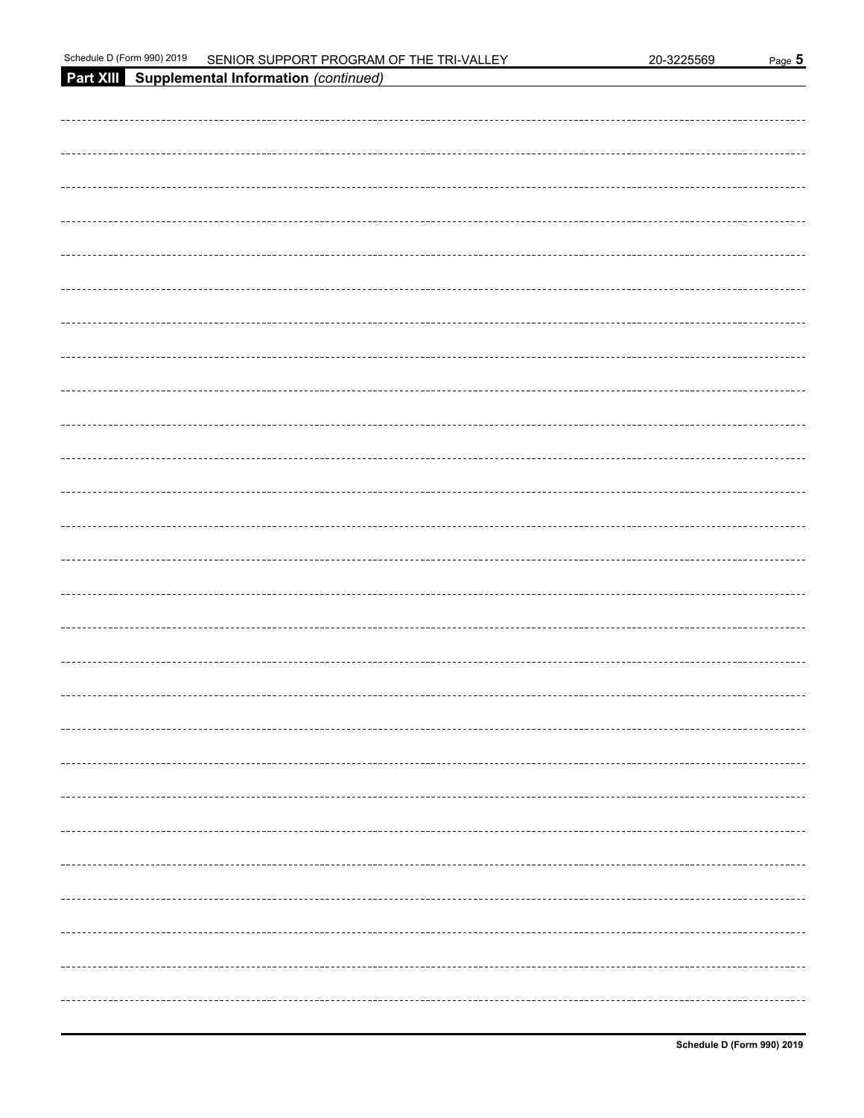| Schedule<br>$\frac{12019}{2019}$<br><sup>⊏</sup> orm 990)<br>SENIOR SUPPORT PROGRAM OF THE TRI-VALL<br>ი 225569<br>-20-3∠. | ്ade |
|----------------------------------------------------------------------------------------------------------------------------|------|
|----------------------------------------------------------------------------------------------------------------------------|------|

| Part XIII Supplemental Information (continued) |
|------------------------------------------------|
|                                                |
|                                                |
|                                                |
|                                                |
|                                                |
|                                                |
|                                                |
|                                                |
|                                                |
|                                                |
|                                                |
|                                                |
|                                                |
|                                                |
|                                                |
|                                                |
|                                                |
|                                                |
|                                                |
|                                                |
|                                                |
|                                                |
|                                                |
|                                                |
|                                                |
|                                                |
|                                                |
|                                                |
|                                                |
|                                                |
|                                                |
|                                                |
|                                                |
|                                                |
|                                                |
|                                                |
|                                                |
| ---------------------------------              |
|                                                |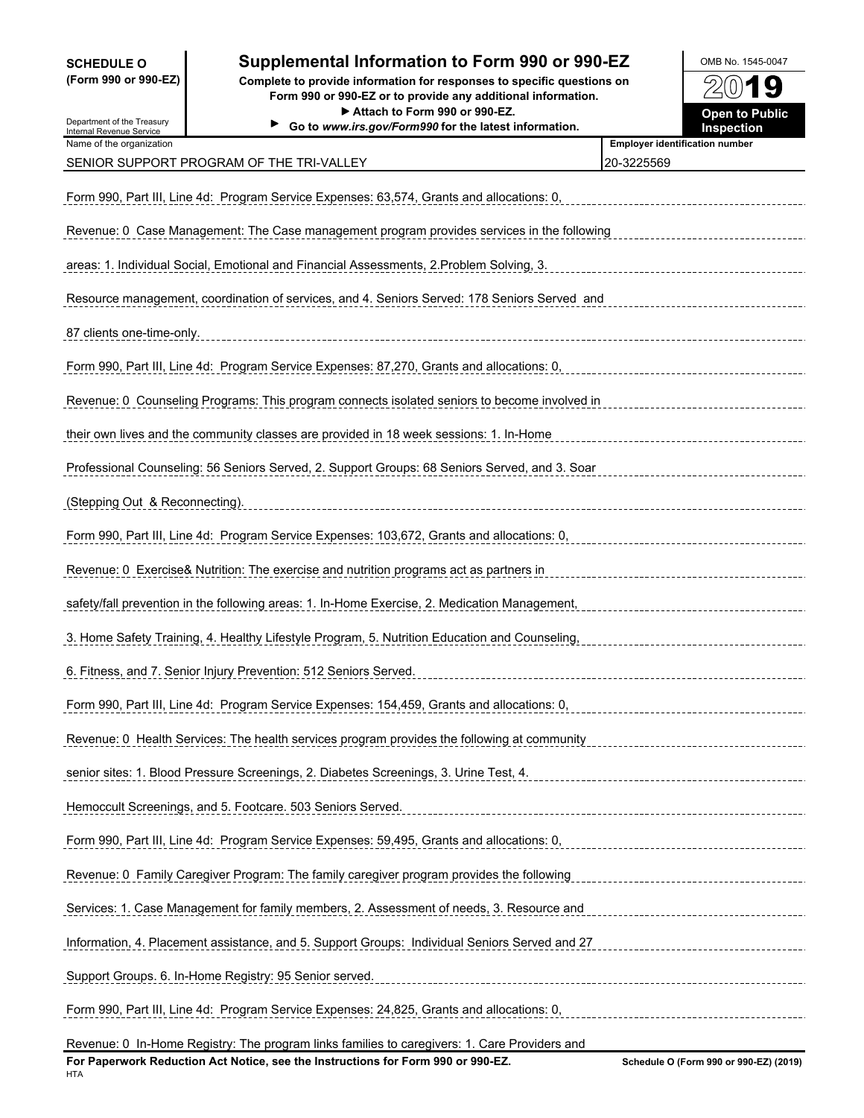**SCHEDULE O Supplemental Information to Form 990 or 990-EZ OMB No. 1545-0047 (Form 990 or 990-EZ) Complete to provide information for responses to specific questions on**  $\left( 0\right)$ 1 g **Form 990 or 990-EZ or to provide any additional information.** ▶ Attach to Form 990 or 990-EZ. **Department of Public** Open to Public Department of the Treasury **Go to** *www.irs.gov/Form990* **for the latest information. Inspection** Internal Revenue Service Name of the organization **Employer identification number Employer identification number** SENIOR SUPPORT PROGRAM OF THE TRI-VALLEY 20-3225569 20-3225569 Form 990, Part III, Line 4d: Program Service Expenses: 63,574, Grants and allocations: 0, Revenue: 0 Case Management: The Case management program provides services in the following areas: 1. Individual Social, Emotional and Financial Assessments, 2.Problem Solving, 3. Resource management, coordination of services, and 4. Seniors Served: 178 Seniors Served and 87 clients one-time-only. Form 990, Part III, Line 4d: Program Service Expenses: 87,270, Grants and allocations: 0,

Revenue: 0 Counseling Programs: This program connects isolated seniors to become involved in their own lives and the community classes are provided in 18 week sessions: 1. In-Home

Professional Counseling: 56 Seniors Served, 2. Support Groups: 68 Seniors Served, and 3. Soar (Stepping Out & Reconnecting).

Form 990, Part III, Line 4d: Program Service Expenses: 103,672, Grants and allocations: 0,

Revenue: 0 Exercise& Nutrition: The exercise and nutrition programs act as partners in

3. Home Safety Training, 4. Healthy Lifestyle Program, 5. Nutrition Education and Counseling,

safety/fall prevention in the following areas: 1. In-Home Exercise, 2. Medication Management,

6. Fitness, and 7. Senior Injury Prevention: 512 Seniors Served.

Support Groups. 6. In-Home Registry: 95 Senior served.

Form 990, Part III, Line 4d: Program Service Expenses: 154,459, Grants and allocations: 0,

Revenue: 0 Health Services: The health services program provides the following at community senior sites: 1. Blood Pressure Screenings, 2. Diabetes Screenings, 3. Urine Test, 4. Hemoccult Screenings, and 5. Footcare. 503 Seniors Served.

Form 990, Part III, Line 4d: Program Service Expenses: 59,495, Grants and allocations: 0, Revenue: 0 Family Caregiver Program: The family caregiver program provides the following

Services: 1. Case Management for family members, 2. Assessment of needs, 3. Resource and

Information, 4. Placement assistance, and 5. Support Groups: Individual Seniors Served and 27

Form 990, Part III, Line 4d: Program Service Expenses: 24,825, Grants and allocations: 0,

Revenue: 0 In-Home Registry: The program links families to caregivers: 1. Care Providers and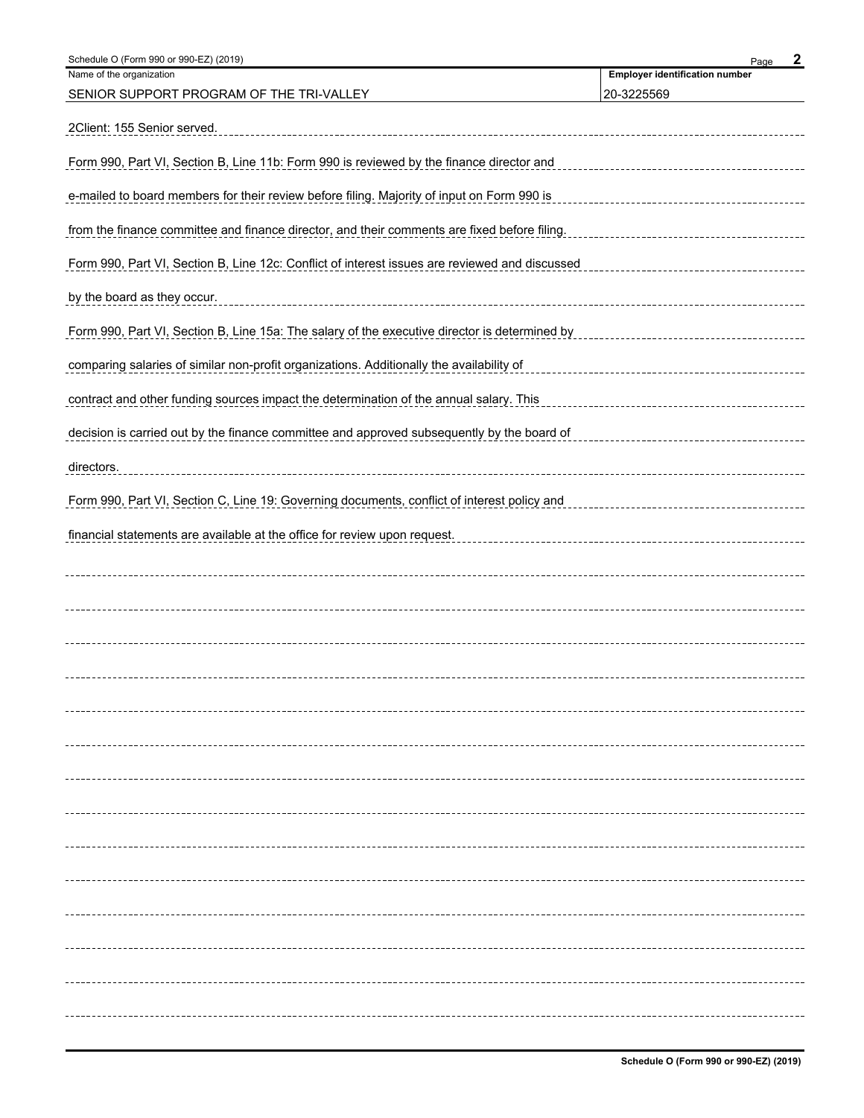| Schedule O (Form 990 or 990-EZ) (2019)                                                         | 2<br>Page                             |
|------------------------------------------------------------------------------------------------|---------------------------------------|
| Name of the organization                                                                       | <b>Employer identification number</b> |
| SENIOR SUPPORT PROGRAM OF THE TRI-VALLEY                                                       | 20-3225569                            |
| 2Client: 155 Senior served.                                                                    |                                       |
| Form 990, Part VI, Section B, Line 11b: Form 990 is reviewed by the finance director and       |                                       |
| e-mailed to board members for their review before filing. Majority of input on Form 990 is     |                                       |
| from the finance committee and finance director, and their comments are fixed before filing.   |                                       |
| Form 990, Part VI, Section B, Line 12c: Conflict of interest issues are reviewed and discussed |                                       |
| by the board as they occur.<br>_____________________________________                           |                                       |
| Form 990, Part VI, Section B, Line 15a: The salary of the executive director is determined by  |                                       |
| comparing salaries of similar non-profit organizations. Additionally the availability of       |                                       |
| contract and other funding sources impact the determination of the annual salary. This         |                                       |
| decision is carried out by the finance committee and approved subsequently by the board of     |                                       |
| directors.                                                                                     |                                       |
| Form 990, Part VI, Section C, Line 19: Governing documents, conflict of interest policy and    |                                       |
| financial statements are available at the office for review upon request.                      |                                       |
|                                                                                                |                                       |
|                                                                                                |                                       |
|                                                                                                |                                       |
|                                                                                                |                                       |
|                                                                                                |                                       |
|                                                                                                |                                       |
|                                                                                                |                                       |
|                                                                                                |                                       |
|                                                                                                |                                       |
|                                                                                                |                                       |
|                                                                                                |                                       |
|                                                                                                |                                       |
|                                                                                                |                                       |
|                                                                                                |                                       |
|                                                                                                |                                       |
|                                                                                                |                                       |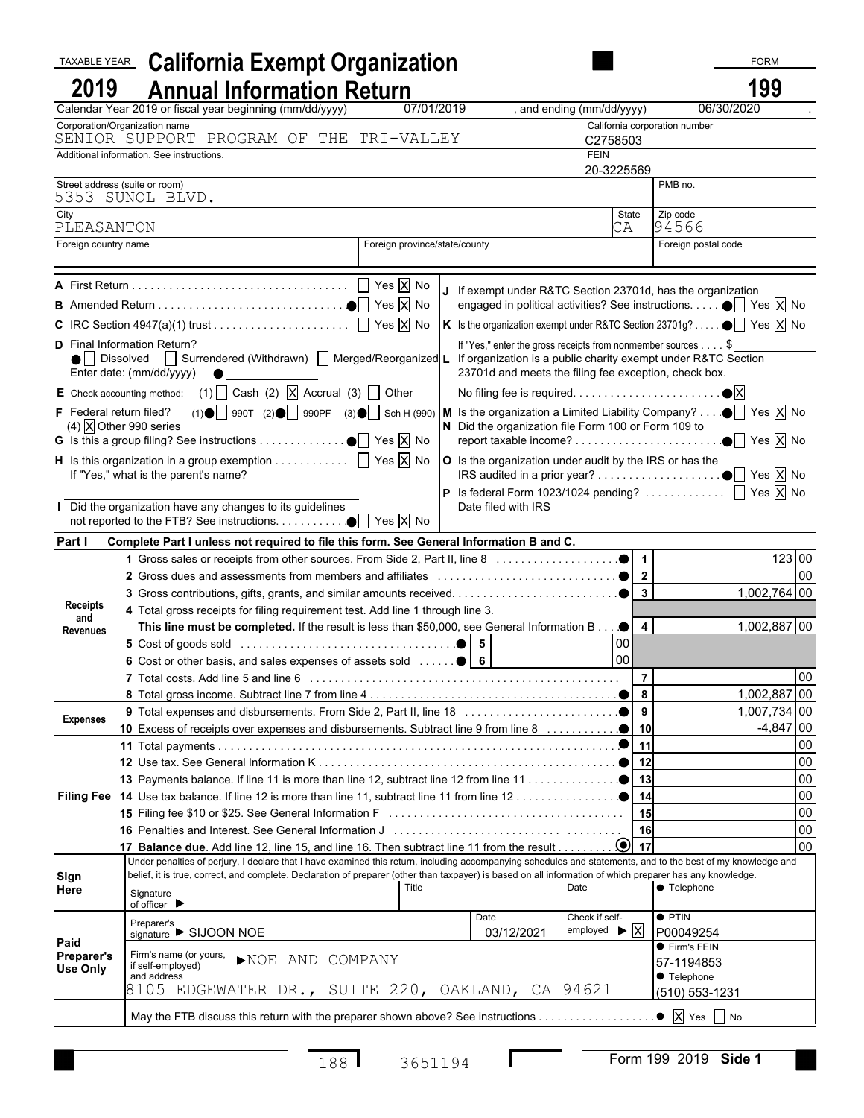| <b>TAXABLE YEAR</b>                  | <b>California Exempt Organization</b>                                                                                                                                      |  |                               |                                                                                                                            |                                                               |                                   | <b>FORM</b>  |                  |
|--------------------------------------|----------------------------------------------------------------------------------------------------------------------------------------------------------------------------|--|-------------------------------|----------------------------------------------------------------------------------------------------------------------------|---------------------------------------------------------------|-----------------------------------|--------------|------------------|
| 2019                                 | <b>Annual Information Return</b>                                                                                                                                           |  |                               |                                                                                                                            |                                                               |                                   | 199          |                  |
|                                      | Calendar Year 2019 or fiscal year beginning (mm/dd/yyyy)                                                                                                                   |  | 07/01/2019                    |                                                                                                                            | and ending (mm/dd/yyyy)                                       |                                   | 06/30/2020   |                  |
|                                      | Corporation/Organization name<br>SENIOR SUPPORT PROGRAM OF THE TRI-VALLEY                                                                                                  |  |                               |                                                                                                                            |                                                               | California corporation number     |              |                  |
|                                      | Additional information. See instructions.                                                                                                                                  |  |                               |                                                                                                                            | C2758503<br><b>FEIN</b>                                       |                                   |              |                  |
|                                      |                                                                                                                                                                            |  |                               |                                                                                                                            | 20-3225569                                                    |                                   |              |                  |
|                                      | Street address (suite or room)                                                                                                                                             |  |                               |                                                                                                                            |                                                               | PMB no.                           |              |                  |
| City                                 | 5353 SUNOL BLVD.                                                                                                                                                           |  |                               |                                                                                                                            | State                                                         | Zip code                          |              |                  |
| PLEASANTON                           |                                                                                                                                                                            |  |                               |                                                                                                                            | СA                                                            | 94566                             |              |                  |
| Foreign country name                 |                                                                                                                                                                            |  | Foreign province/state/county |                                                                                                                            |                                                               | Foreign postal code               |              |                  |
|                                      |                                                                                                                                                                            |  |                               |                                                                                                                            |                                                               |                                   |              |                  |
|                                      |                                                                                                                                                                            |  |                               | If exempt under R&TC Section 23701d, has the organization<br>engaged in political activities? See instructions. ● Yes X No |                                                               |                                   |              |                  |
|                                      |                                                                                                                                                                            |  |                               | K Is the organization exempt under R&TC Section 23701g? $\bullet$ $\boxed{\phantom{1}}$ Yes $\boxed{\times}$ No            |                                                               |                                   |              |                  |
|                                      | <b>D</b> Final Information Return?                                                                                                                                         |  |                               | If "Yes," enter the gross receipts from nonmember sources \$                                                               |                                                               |                                   |              |                  |
|                                      | ● Dissolved   Surrendered (Withdrawn)   Merged/Reorganized L<br>Enter date: (mm/dd/yyyy)                                                                                   |  |                               | If organization is a public charity exempt under R&TC Section<br>23701d and meets the filing fee exception, check box.     |                                                               |                                   |              |                  |
|                                      | E Check accounting method: (1) $\Box$ Cash (2) $\Box$ Accrual (3) $\Box$ Other                                                                                             |  |                               |                                                                                                                            |                                                               |                                   |              |                  |
|                                      | F Federal return filed? (1) $\bullet$   990T (2) $\bullet$   990PF (3) $\bullet$   Sch H (990)   M Is the organization a Limited Liability Company? $\bullet$   Yes   X No |  |                               |                                                                                                                            |                                                               |                                   |              |                  |
|                                      | $(4)$ X Other 990 series                                                                                                                                                   |  |                               | N Did the organization file Form 100 or Form 109 to                                                                        |                                                               |                                   |              |                  |
|                                      |                                                                                                                                                                            |  |                               |                                                                                                                            |                                                               |                                   |              |                  |
|                                      | <b>H</b> Is this organization in a group exemption $\Box$ Yes $\overline{X}$ No<br>If "Yes," what is the parent's name?                                                    |  |                               | O Is the organization under audit by the IRS or has the                                                                    |                                                               |                                   |              |                  |
|                                      |                                                                                                                                                                            |  |                               | <b>P</b> Is federal Form 1023/1024 pending? $\Box$ Yes $\overline{X}$ No                                                   |                                                               |                                   |              |                  |
|                                      | Did the organization have any changes to its guidelines                                                                                                                    |  |                               | Date filed with IRS _________________                                                                                      |                                                               |                                   |              |                  |
|                                      |                                                                                                                                                                            |  |                               |                                                                                                                            |                                                               |                                   |              |                  |
| Part I                               | Complete Part I unless not required to file this form. See General Information B and C.                                                                                    |  |                               |                                                                                                                            |                                                               |                                   |              |                  |
|                                      |                                                                                                                                                                            |  |                               |                                                                                                                            |                                                               |                                   | 123 00       |                  |
|                                      |                                                                                                                                                                            |  |                               |                                                                                                                            |                                                               |                                   | 1,002,764 00 | 00               |
| <b>Receipts</b>                      | 4 Total gross receipts for filing requirement test. Add line 1 through line 3.                                                                                             |  |                               |                                                                                                                            |                                                               |                                   |              |                  |
| and                                  | This line must be completed. If the result is less than \$50,000, see General Information B                                                                                |  |                               |                                                                                                                            | $\overline{a}$                                                |                                   | 1,002,887 00 |                  |
| Revenues                             |                                                                                                                                                                            |  |                               |                                                                                                                            | 00                                                            |                                   |              |                  |
|                                      | 6 Cost or other basis, and sales expenses of assets sold    6                                                                                                              |  |                               |                                                                                                                            | $\overline{8}$                                                |                                   |              |                  |
|                                      |                                                                                                                                                                            |  |                               |                                                                                                                            | $\overline{7}$                                                |                                   |              | 00               |
|                                      |                                                                                                                                                                            |  |                               |                                                                                                                            |                                                               |                                   | 1,002,887 00 |                  |
| <b>Expenses</b>                      |                                                                                                                                                                            |  |                               |                                                                                                                            |                                                               |                                   | 1,007,734 00 |                  |
|                                      |                                                                                                                                                                            |  |                               |                                                                                                                            |                                                               |                                   | $-4,847$ 00  |                  |
|                                      |                                                                                                                                                                            |  |                               |                                                                                                                            | 11                                                            |                                   |              | 00               |
|                                      |                                                                                                                                                                            |  |                               |                                                                                                                            |                                                               |                                   |              | $00\,$<br>$00\,$ |
|                                      |                                                                                                                                                                            |  |                               |                                                                                                                            |                                                               |                                   |              | 00               |
|                                      |                                                                                                                                                                            |  |                               |                                                                                                                            | 15                                                            |                                   |              | 00               |
|                                      |                                                                                                                                                                            |  |                               |                                                                                                                            | 16                                                            |                                   |              | 00               |
|                                      |                                                                                                                                                                            |  |                               |                                                                                                                            |                                                               |                                   |              | 00               |
|                                      | Under penalties of perjury, I declare that I have examined this return, including accompanying schedules and statements, and to the best of my knowledge and               |  |                               |                                                                                                                            |                                                               |                                   |              |                  |
| Sign                                 | belief, it is true, correct, and complete. Declaration of preparer (other than taxpayer) is based on all information of which preparer has any knowledge.                  |  |                               |                                                                                                                            |                                                               |                                   |              |                  |
| Here                                 | Signature<br>of officer $\blacktriangleright$                                                                                                                              |  | Title                         |                                                                                                                            | Date                                                          | ● Telephone                       |              |                  |
|                                      | Preparer's<br>signature SIJOON NOE                                                                                                                                         |  |                               | Date<br>03/12/2021                                                                                                         | Check if self-<br>employed $\blacktriangleright \overline{X}$ | $\bullet$ PTIN<br>P00049254       |              |                  |
| Paid                                 | Firm's name (or yours,                                                                                                                                                     |  |                               |                                                                                                                            |                                                               | ● Firm's FEIN                     |              |                  |
| <b>Preparer's</b><br><b>Use Only</b> | NOE AND COMPANY<br>if self-employed)                                                                                                                                       |  |                               |                                                                                                                            |                                                               | 57-1194853                        |              |                  |
|                                      | and address<br>8105 EDGEWATER DR., SUITE 220, OAKLAND, CA 94621                                                                                                            |  |                               |                                                                                                                            |                                                               | ● Telephone<br>$(510) 553 - 1231$ |              |                  |
|                                      |                                                                                                                                                                            |  |                               |                                                                                                                            |                                                               |                                   |              |                  |
|                                      | May the FTB discuss this return with the preparer shown above? See instructions                                                                                            |  |                               |                                                                                                                            |                                                               | $\bullet$ X Yes $\Box$ No         |              |                  |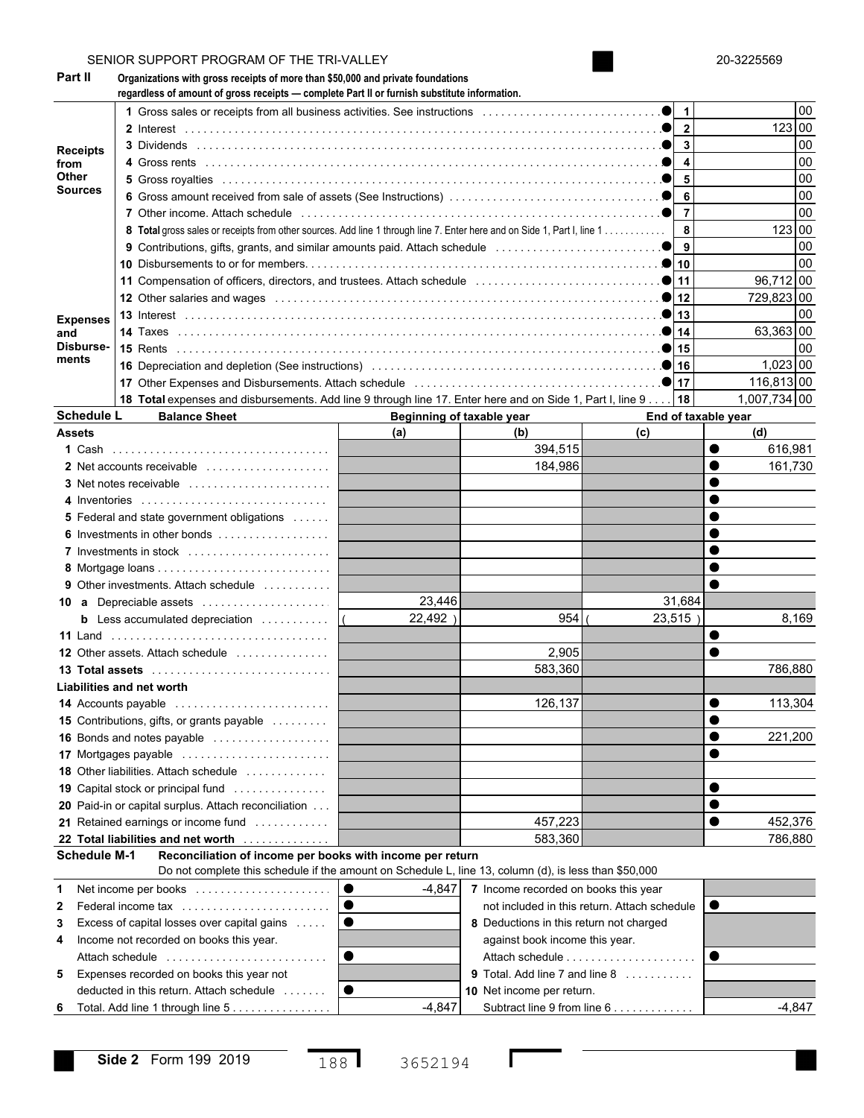|                                             | SENIOR SUPPORT PROGRAM OF THE TRI-VALLEY                                                                                                                                                                                       |                                                                                                                                                                                                                               |                                                                                           |                             |    | 20-3225569               |          |  |  |  |  |  |
|---------------------------------------------|--------------------------------------------------------------------------------------------------------------------------------------------------------------------------------------------------------------------------------|-------------------------------------------------------------------------------------------------------------------------------------------------------------------------------------------------------------------------------|-------------------------------------------------------------------------------------------|-----------------------------|----|--------------------------|----------|--|--|--|--|--|
| Part II                                     | Organizations with gross receipts of more than \$50,000 and private foundations<br>regardless of amount of gross receipts - complete Part II or furnish substitute information.                                                |                                                                                                                                                                                                                               |                                                                                           |                             |    |                          |          |  |  |  |  |  |
|                                             |                                                                                                                                                                                                                                | 1 Gross sales or receipts from all business activities. See instructions                                                                                                                                                      |                                                                                           |                             |    |                          |          |  |  |  |  |  |
| <b>Receipts</b><br>from<br>Other<br>Sources |                                                                                                                                                                                                                                |                                                                                                                                                                                                                               |                                                                                           | $\mathbf{2}$                |    | 123 00                   |          |  |  |  |  |  |
|                                             |                                                                                                                                                                                                                                |                                                                                                                                                                                                                               |                                                                                           | 3                           |    |                          | 00       |  |  |  |  |  |
|                                             |                                                                                                                                                                                                                                | 4                                                                                                                                                                                                                             |                                                                                           |                             | 00 |                          |          |  |  |  |  |  |
|                                             |                                                                                                                                                                                                                                | 5                                                                                                                                                                                                                             |                                                                                           |                             | 00 |                          |          |  |  |  |  |  |
|                                             |                                                                                                                                                                                                                                | 6                                                                                                                                                                                                                             |                                                                                           |                             | 00 |                          |          |  |  |  |  |  |
|                                             | 7 Other income. Attach schedule entertainment contains and a statement of the statement of the statement of the statement of the statement of the statement of the statement of the statement of the statement of the statemen |                                                                                                                                                                                                                               |                                                                                           | $\overline{7}$              |    |                          | 00       |  |  |  |  |  |
|                                             | 8 Total gross sales or receipts from other sources. Add line 1 through line 7. Enter here and on Side 1, Part I, line 1                                                                                                        |                                                                                                                                                                                                                               |                                                                                           | 8                           |    | 123 00                   |          |  |  |  |  |  |
|                                             | 9 Contributions, gifts, grants, and similar amounts paid. Attach schedule contract contributions, and $\bullet$                                                                                                                | 9                                                                                                                                                                                                                             |                                                                                           |                             | 00 |                          |          |  |  |  |  |  |
|                                             |                                                                                                                                                                                                                                | 10                                                                                                                                                                                                                            |                                                                                           |                             | 00 |                          |          |  |  |  |  |  |
|                                             |                                                                                                                                                                                                                                | 11 Compensation of officers, directors, and trustees. Attach schedule entitled and connect and connect of $\bullet$                                                                                                           |                                                                                           |                             |    |                          |          |  |  |  |  |  |
|                                             | 12 Other salaries and wages entertainment containment container and wages the containment of the containing of                                                                                                                 | 12                                                                                                                                                                                                                            |                                                                                           | 729,823 00                  |    |                          |          |  |  |  |  |  |
| <b>Expenses</b>                             |                                                                                                                                                                                                                                |                                                                                                                                                                                                                               |                                                                                           | 13                          |    |                          | 00       |  |  |  |  |  |
| and                                         |                                                                                                                                                                                                                                |                                                                                                                                                                                                                               |                                                                                           | 14                          |    | 63,363 00                |          |  |  |  |  |  |
| Disburse-<br>ments                          |                                                                                                                                                                                                                                |                                                                                                                                                                                                                               |                                                                                           | 15                          |    |                          | 00       |  |  |  |  |  |
|                                             |                                                                                                                                                                                                                                |                                                                                                                                                                                                                               |                                                                                           | 16<br>17                    |    | $1,023$ 00<br>116,813 00 |          |  |  |  |  |  |
|                                             |                                                                                                                                                                                                                                | 17 Other Expenses and Disbursements. Attach schedule entitled contained and contained and Dispute of the state of the state of the state of the state of the state of the state of the state of the state of the state of the |                                                                                           |                             |    |                          |          |  |  |  |  |  |
|                                             | 18 Total expenses and disbursements. Add line 9 through line 17. Enter here and on Side 1, Part I, line 9                                                                                                                      |                                                                                                                                                                                                                               |                                                                                           | 18                          |    | 1,007,734 00             |          |  |  |  |  |  |
|                                             | <b>Schedule L</b><br><b>Balance Sheet</b>                                                                                                                                                                                      | Beginning of taxable year                                                                                                                                                                                                     |                                                                                           | End of taxable year         |    |                          |          |  |  |  |  |  |
| <b>Assets</b>                               |                                                                                                                                                                                                                                | (a)                                                                                                                                                                                                                           | (b)                                                                                       | (c)                         |    | (d)                      |          |  |  |  |  |  |
|                                             |                                                                                                                                                                                                                                |                                                                                                                                                                                                                               | 394,515                                                                                   |                             |    | 616,981                  |          |  |  |  |  |  |
|                                             | 2 Net accounts receivable                                                                                                                                                                                                      |                                                                                                                                                                                                                               | 184,986                                                                                   |                             |    | 161,730                  |          |  |  |  |  |  |
|                                             | 3 Net notes receivable                                                                                                                                                                                                         |                                                                                                                                                                                                                               |                                                                                           |                             |    |                          |          |  |  |  |  |  |
|                                             | 4 Inventories                                                                                                                                                                                                                  |                                                                                                                                                                                                                               |                                                                                           |                             |    |                          |          |  |  |  |  |  |
|                                             | <b>5</b> Federal and state government obligations<br>6 Investments in other bonds                                                                                                                                              |                                                                                                                                                                                                                               |                                                                                           |                             |    |                          |          |  |  |  |  |  |
|                                             |                                                                                                                                                                                                                                |                                                                                                                                                                                                                               |                                                                                           |                             |    |                          |          |  |  |  |  |  |
|                                             | 7 Investments in stock                                                                                                                                                                                                         |                                                                                                                                                                                                                               |                                                                                           |                             |    |                          |          |  |  |  |  |  |
|                                             | <b>9</b> Other investments. Attach schedule                                                                                                                                                                                    |                                                                                                                                                                                                                               |                                                                                           |                             |    |                          |          |  |  |  |  |  |
| 10                                          | <b>a</b> Depreciable assets                                                                                                                                                                                                    | 23,446                                                                                                                                                                                                                        |                                                                                           | 31,684                      |    |                          |          |  |  |  |  |  |
|                                             | <b>b</b> Less accumulated depreciation $\ldots \ldots \ldots$                                                                                                                                                                  | 22,492)                                                                                                                                                                                                                       | 954                                                                                       | 23,515)                     |    |                          | 8,169    |  |  |  |  |  |
| 11 Land                                     |                                                                                                                                                                                                                                |                                                                                                                                                                                                                               |                                                                                           |                             |    |                          |          |  |  |  |  |  |
|                                             | <b>12</b> Other assets. Attach schedule                                                                                                                                                                                        |                                                                                                                                                                                                                               | 2,905                                                                                     |                             |    |                          |          |  |  |  |  |  |
|                                             |                                                                                                                                                                                                                                |                                                                                                                                                                                                                               | 583,360                                                                                   |                             |    | 786,880                  |          |  |  |  |  |  |
|                                             | Liabilities and net worth                                                                                                                                                                                                      |                                                                                                                                                                                                                               |                                                                                           |                             |    |                          |          |  |  |  |  |  |
|                                             | 14 Accounts payable                                                                                                                                                                                                            |                                                                                                                                                                                                                               | 126,137                                                                                   |                             |    | 113,304                  |          |  |  |  |  |  |
|                                             | <b>15</b> Contributions, gifts, or grants payable                                                                                                                                                                              |                                                                                                                                                                                                                               |                                                                                           |                             |    |                          |          |  |  |  |  |  |
|                                             | 16 Bonds and notes payable                                                                                                                                                                                                     |                                                                                                                                                                                                                               |                                                                                           |                             |    | 221,200                  |          |  |  |  |  |  |
|                                             | 17 Mortgages payable                                                                                                                                                                                                           |                                                                                                                                                                                                                               |                                                                                           |                             |    |                          |          |  |  |  |  |  |
|                                             | <b>18</b> Other liabilities. Attach schedule                                                                                                                                                                                   |                                                                                                                                                                                                                               |                                                                                           |                             |    |                          |          |  |  |  |  |  |
|                                             | 19 Capital stock or principal fund                                                                                                                                                                                             |                                                                                                                                                                                                                               |                                                                                           |                             |    |                          |          |  |  |  |  |  |
|                                             | 20 Paid-in or capital surplus. Attach reconciliation                                                                                                                                                                           |                                                                                                                                                                                                                               |                                                                                           |                             |    |                          |          |  |  |  |  |  |
|                                             | 21 Retained earnings or income fund                                                                                                                                                                                            |                                                                                                                                                                                                                               | 457,223                                                                                   |                             |    | 452,376                  |          |  |  |  |  |  |
|                                             | 22 Total liabilities and net worth                                                                                                                                                                                             |                                                                                                                                                                                                                               | 583,360                                                                                   |                             |    | 786,880                  |          |  |  |  |  |  |
|                                             | <b>Schedule M-1</b><br>Reconciliation of income per books with income per return<br>Do not complete this schedule if the amount on Schedule L, line 13, column (d), is less than \$50,000                                      |                                                                                                                                                                                                                               |                                                                                           |                             |    |                          |          |  |  |  |  |  |
| 1                                           | Net income per books                                                                                                                                                                                                           | $\bullet$<br>$-4,847$                                                                                                                                                                                                         |                                                                                           |                             |    |                          |          |  |  |  |  |  |
| 2                                           | Federal income tax                                                                                                                                                                                                             | $\bullet$                                                                                                                                                                                                                     | 7 Income recorded on books this year<br>not included in this return. Attach schedule<br>● |                             |    |                          |          |  |  |  |  |  |
| 3                                           | Excess of capital losses over capital gains                                                                                                                                                                                    |                                                                                                                                                                                                                               |                                                                                           |                             |    |                          |          |  |  |  |  |  |
| 4                                           | Income not recorded on books this year.                                                                                                                                                                                        |                                                                                                                                                                                                                               | 8 Deductions in this return not charged<br>against book income this year.                 |                             |    |                          |          |  |  |  |  |  |
|                                             | Attach schedule                                                                                                                                                                                                                | ●                                                                                                                                                                                                                             |                                                                                           |                             |    |                          |          |  |  |  |  |  |
| 5                                           | Expenses recorded on books this year not                                                                                                                                                                                       |                                                                                                                                                                                                                               | <b>9</b> Total. Add line 7 and line 8 $\ldots$ ,                                          |                             |    |                          |          |  |  |  |  |  |
|                                             | deducted in this return. Attach schedule                                                                                                                                                                                       | ●                                                                                                                                                                                                                             | 10 Net income per return.                                                                 |                             |    |                          |          |  |  |  |  |  |
| 6                                           | Total. Add line 1 through line 5                                                                                                                                                                                               | $-4,847$                                                                                                                                                                                                                      |                                                                                           | Subtract line 9 from line 6 |    |                          | $-4,847$ |  |  |  |  |  |
|                                             |                                                                                                                                                                                                                                |                                                                                                                                                                                                                               |                                                                                           |                             |    |                          |          |  |  |  |  |  |

Г